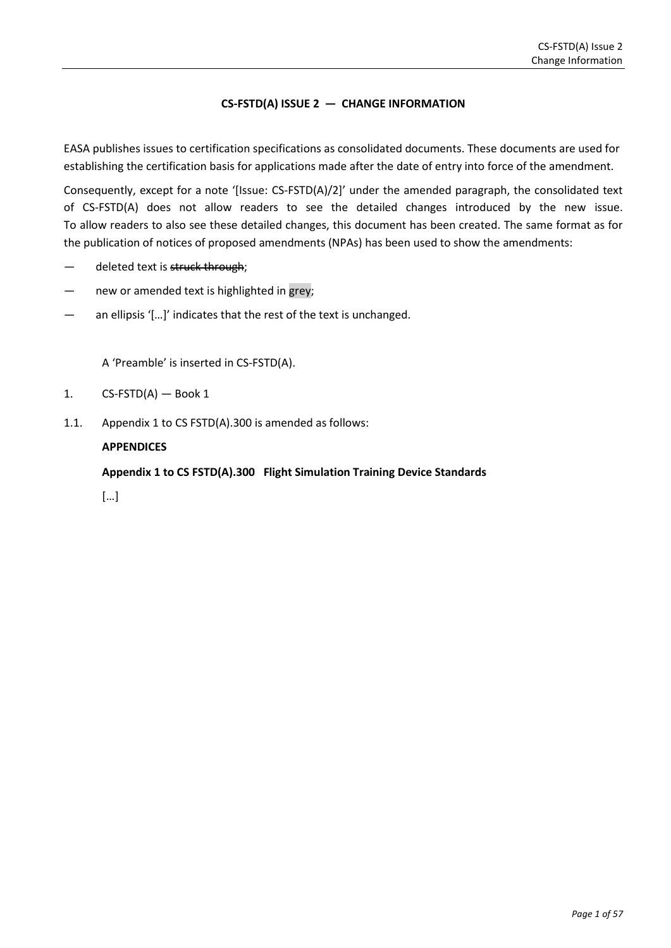### **CS-FSTD(A) ISSUE 2 — CHANGE INFORMATION**

EASA publishes issues to certification specifications as consolidated documents. These documents are used for establishing the certification basis for applications made after the date of entry into force of the amendment.

Consequently, except for a note '[Issue: CS-FSTD(A)/2]' under the amended paragraph, the consolidated text of CS-FSTD(A) does not allow readers to see the detailed changes introduced by the new issue. To allow readers to also see these detailed changes, this document has been created. The same format as for the publication of notices of proposed amendments (NPAs) has been used to show the amendments:

- deleted text is struck through;
- new or amended text is highlighted in grey;
- an ellipsis '[...]' indicates that the rest of the text is unchanged.

A 'Preamble' is inserted in CS-FSTD(A).

- 1.  $CS-FSTD(A)$  Book 1
- 1.1. Appendix 1 to CS FSTD(A).300 is amended as follows:

### **APPENDICES**

**Appendix 1 to CS FSTD(A).300 Flight Simulation Training Device Standards**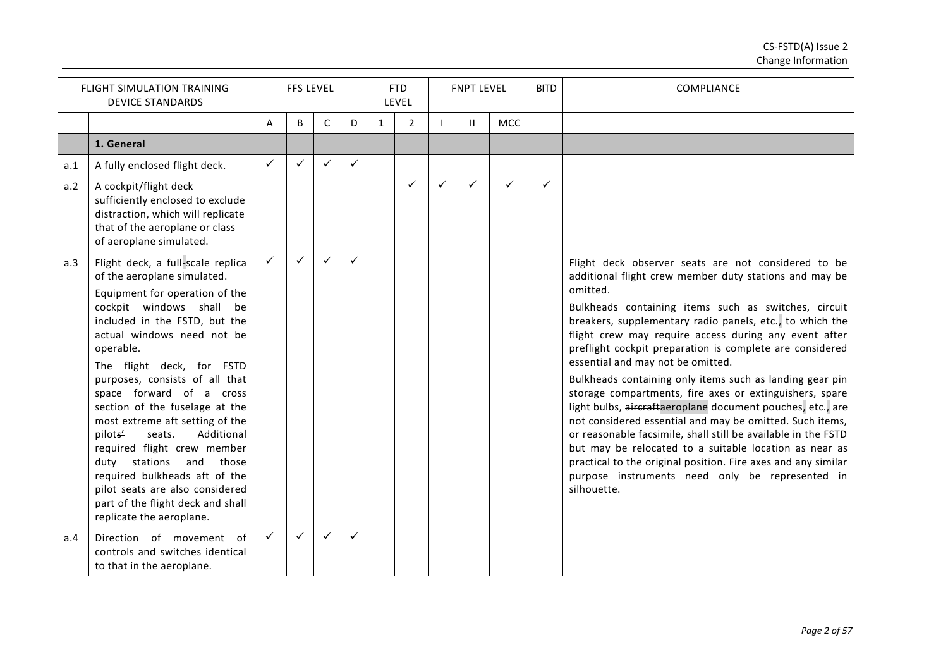|     | <b>FLIGHT SIMULATION TRAINING</b><br><b>DEVICE STANDARDS</b>                                                                                                                                                                                                                                                                                                                                                                                                                                                                                                                                                    |              | <b>FFS LEVEL</b> |   |              |              | <b>FTD</b><br>LEVEL |   | <b>FNPT LEVEL</b> |              | <b>BITD</b> | <b>COMPLIANCE</b>                                                                                                                                                                                                                                                                                                                                                                                                                                                                                                                                                                                                                                                                                                                                                                                                                                                                                                      |
|-----|-----------------------------------------------------------------------------------------------------------------------------------------------------------------------------------------------------------------------------------------------------------------------------------------------------------------------------------------------------------------------------------------------------------------------------------------------------------------------------------------------------------------------------------------------------------------------------------------------------------------|--------------|------------------|---|--------------|--------------|---------------------|---|-------------------|--------------|-------------|------------------------------------------------------------------------------------------------------------------------------------------------------------------------------------------------------------------------------------------------------------------------------------------------------------------------------------------------------------------------------------------------------------------------------------------------------------------------------------------------------------------------------------------------------------------------------------------------------------------------------------------------------------------------------------------------------------------------------------------------------------------------------------------------------------------------------------------------------------------------------------------------------------------------|
|     |                                                                                                                                                                                                                                                                                                                                                                                                                                                                                                                                                                                                                 | A            | B                | С | D            | $\mathbf{1}$ | $\overline{2}$      |   | $\mathbf{H}$      | MCC          |             |                                                                                                                                                                                                                                                                                                                                                                                                                                                                                                                                                                                                                                                                                                                                                                                                                                                                                                                        |
|     | 1. General                                                                                                                                                                                                                                                                                                                                                                                                                                                                                                                                                                                                      |              |                  |   |              |              |                     |   |                   |              |             |                                                                                                                                                                                                                                                                                                                                                                                                                                                                                                                                                                                                                                                                                                                                                                                                                                                                                                                        |
| a.1 | A fully enclosed flight deck.                                                                                                                                                                                                                                                                                                                                                                                                                                                                                                                                                                                   | $\checkmark$ | $\checkmark$     | ✓ | ✓            |              |                     |   |                   |              |             |                                                                                                                                                                                                                                                                                                                                                                                                                                                                                                                                                                                                                                                                                                                                                                                                                                                                                                                        |
| a.2 | A cockpit/flight deck<br>sufficiently enclosed to exclude<br>distraction, which will replicate<br>that of the aeroplane or class<br>of aeroplane simulated.                                                                                                                                                                                                                                                                                                                                                                                                                                                     |              |                  |   |              |              | ✓                   | ✓ | $\checkmark$      | $\checkmark$ | ✓           |                                                                                                                                                                                                                                                                                                                                                                                                                                                                                                                                                                                                                                                                                                                                                                                                                                                                                                                        |
| a.3 | Flight deck, a full-scale replica<br>of the aeroplane simulated.<br>Equipment for operation of the<br>cockpit windows shall be<br>included in the FSTD, but the<br>actual windows need not be<br>operable.<br>The flight deck, for FSTD<br>purposes, consists of all that<br>space forward of a cross<br>section of the fuselage at the<br>most extreme aft setting of the<br>pilots'<br>seats.<br>Additional<br>required flight crew member<br>duty stations and<br>those<br>required bulkheads aft of the<br>pilot seats are also considered<br>part of the flight deck and shall<br>replicate the aeroplane. | $\checkmark$ | $\checkmark$     |   | $\checkmark$ |              |                     |   |                   |              |             | Flight deck observer seats are not considered to be<br>additional flight crew member duty stations and may be<br>omitted.<br>Bulkheads containing items such as switches, circuit<br>breakers, supplementary radio panels, etc., to which the<br>flight crew may require access during any event after<br>preflight cockpit preparation is complete are considered<br>essential and may not be omitted.<br>Bulkheads containing only items such as landing gear pin<br>storage compartments, fire axes or extinguishers, spare<br>light bulbs, aircraftaeroplane document pouches, etc., are<br>not considered essential and may be omitted. Such items,<br>or reasonable facsimile, shall still be available in the FSTD<br>but may be relocated to a suitable location as near as<br>practical to the original position. Fire axes and any similar<br>purpose instruments need only be represented in<br>silhouette. |
| a.4 | Direction of movement of<br>controls and switches identical<br>to that in the aeroplane.                                                                                                                                                                                                                                                                                                                                                                                                                                                                                                                        | $\checkmark$ | $\checkmark$     | ✓ | ✓            |              |                     |   |                   |              |             |                                                                                                                                                                                                                                                                                                                                                                                                                                                                                                                                                                                                                                                                                                                                                                                                                                                                                                                        |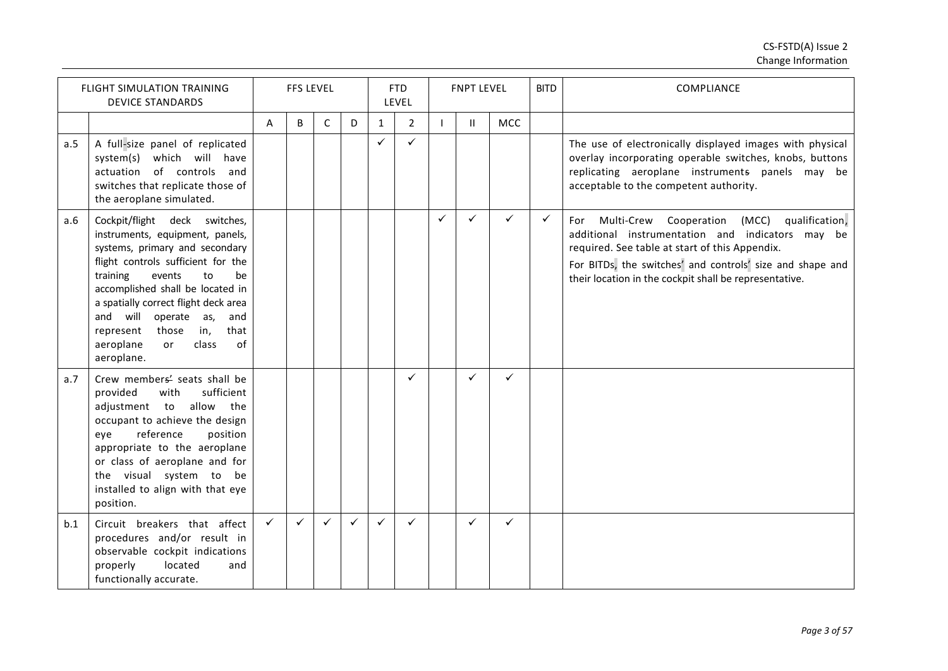|     | <b>FLIGHT SIMULATION TRAINING</b><br><b>DEVICE STANDARDS</b>                                                                                                                                                                                                                                                                                                               |              | <b>FFS LEVEL</b> |              |              |              | <b>FTD</b><br>LEVEL |              | <b>FNPT LEVEL</b> |              | <b>BITD</b>  | COMPLIANCE                                                                                                                                                                                                                                                                            |
|-----|----------------------------------------------------------------------------------------------------------------------------------------------------------------------------------------------------------------------------------------------------------------------------------------------------------------------------------------------------------------------------|--------------|------------------|--------------|--------------|--------------|---------------------|--------------|-------------------|--------------|--------------|---------------------------------------------------------------------------------------------------------------------------------------------------------------------------------------------------------------------------------------------------------------------------------------|
|     |                                                                                                                                                                                                                                                                                                                                                                            | A            | B                | C            | D            | $\mathbf{1}$ | $\overline{2}$      |              | $\mathbf{H}$      | <b>MCC</b>   |              |                                                                                                                                                                                                                                                                                       |
| a.5 | A full-size panel of replicated<br>system(s) which will have<br>actuation of controls and<br>switches that replicate those of<br>the aeroplane simulated.                                                                                                                                                                                                                  |              |                  |              |              | ✓            | $\checkmark$        |              |                   |              |              | The use of electronically displayed images with physical<br>overlay incorporating operable switches, knobs, buttons<br>replicating aeroplane instruments panels may be<br>acceptable to the competent authority.                                                                      |
| a.6 | Cockpit/flight deck switches,<br>instruments, equipment, panels,<br>systems, primary and secondary<br>flight controls sufficient for the<br>training<br>events<br>to<br>be<br>accomplished shall be located in<br>a spatially correct flight deck area<br>and will operate as,<br>and<br>in,<br>that<br>represent<br>those<br>of<br>aeroplane<br>class<br>or<br>aeroplane. |              |                  |              |              |              |                     | $\checkmark$ | ✓                 | ✓            | $\checkmark$ | qualification,<br>Multi-Crew Cooperation<br>(MCC)<br>For<br>additional instrumentation and indicators may be<br>required. See table at start of this Appendix.<br>For BITDs, the switches' and controls' size and shape and<br>their location in the cockpit shall be representative. |
| a.7 | Crew members' seats shall be<br>provided<br>with<br>sufficient<br>adjustment to allow the<br>occupant to achieve the design<br>reference<br>position<br>eye<br>appropriate to the aeroplane<br>or class of aeroplane and for<br>the visual system to be<br>installed to align with that eye<br>position.                                                                   |              |                  |              |              |              | $\checkmark$        |              | ✓                 | $\checkmark$ |              |                                                                                                                                                                                                                                                                                       |
| b.1 | Circuit breakers that affect<br>procedures and/or result in<br>observable cockpit indications<br>located<br>properly<br>and<br>functionally accurate.                                                                                                                                                                                                                      | $\checkmark$ | $\checkmark$     | $\checkmark$ | $\checkmark$ | $\checkmark$ | $\checkmark$        |              | ✓                 | ✓            |              |                                                                                                                                                                                                                                                                                       |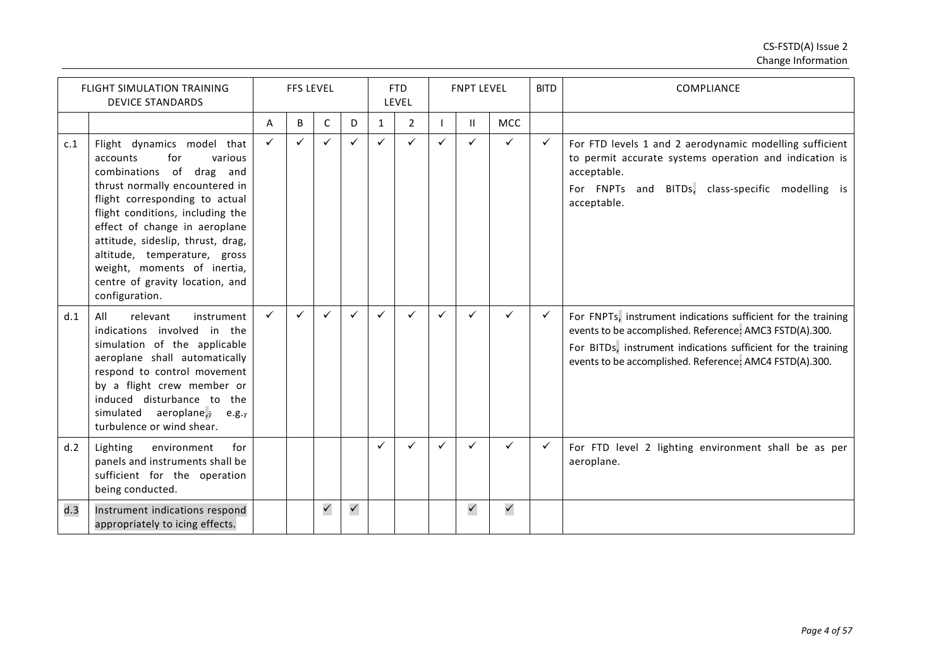|     | <b>FLIGHT SIMULATION TRAINING</b><br><b>DEVICE STANDARDS</b>                                                                                                                                                                                                                                                                                                                              |              | <b>FFS LEVEL</b> |              |              |              | <b>FTD</b><br>LEVEL |              | <b>FNPT LEVEL</b> |              | <b>BITD</b>  | COMPLIANCE                                                                                                                                                                                                                                           |
|-----|-------------------------------------------------------------------------------------------------------------------------------------------------------------------------------------------------------------------------------------------------------------------------------------------------------------------------------------------------------------------------------------------|--------------|------------------|--------------|--------------|--------------|---------------------|--------------|-------------------|--------------|--------------|------------------------------------------------------------------------------------------------------------------------------------------------------------------------------------------------------------------------------------------------------|
|     |                                                                                                                                                                                                                                                                                                                                                                                           | A            | B                | C            | D            | $\mathbf{1}$ | $\overline{2}$      |              | Ш.                | MCC          |              |                                                                                                                                                                                                                                                      |
| c.1 | Flight dynamics model that<br>accounts<br>for<br>various<br>combinations of<br>drag and<br>thrust normally encountered in<br>flight corresponding to actual<br>flight conditions, including the<br>effect of change in aeroplane<br>attitude, sideslip, thrust, drag,<br>altitude, temperature, gross<br>weight, moments of inertia,<br>centre of gravity location, and<br>configuration. | $\checkmark$ | $\checkmark$     | $\checkmark$ |              | ✓            | $\checkmark$        | $\checkmark$ | ✓                 | ✓            | $\checkmark$ | For FTD levels 1 and 2 aerodynamic modelling sufficient<br>to permit accurate systems operation and indication is<br>acceptable.<br>For FNPTs and BITDs, class-specific modelling is<br>acceptable.                                                  |
| d.1 | All<br>relevant<br>instrument<br>indications involved in the<br>simulation of the applicable<br>aeroplane shall automatically<br>respond to control movement<br>by a flight crew member or<br>induced disturbance to the<br>simulated aeroplane, e.g.,<br>turbulence or wind shear.                                                                                                       | ✓            | $\checkmark$     | $\checkmark$ |              | ✓            | $\checkmark$        | $\checkmark$ |                   | ✓            | ✓            | For FNPTs, instrument indications sufficient for the training<br>events to be accomplished. Reference: AMC3 FSTD(A).300.<br>For BITDs, instrument indications sufficient for the training<br>events to be accomplished. Reference: AMC4 FSTD(A).300. |
| d.2 | Lighting<br>environment<br>for<br>panels and instruments shall be<br>sufficient for the operation<br>being conducted.                                                                                                                                                                                                                                                                     |              |                  |              |              | ✓            | $\checkmark$        | $\checkmark$ | ✓                 | ✓            | ✓            | For FTD level 2 lighting environment shall be as per<br>aeroplane.                                                                                                                                                                                   |
| d.3 | Instrument indications respond<br>appropriately to icing effects.                                                                                                                                                                                                                                                                                                                         |              |                  | $\checkmark$ | $\checkmark$ |              |                     |              | $\checkmark$      | $\checkmark$ |              |                                                                                                                                                                                                                                                      |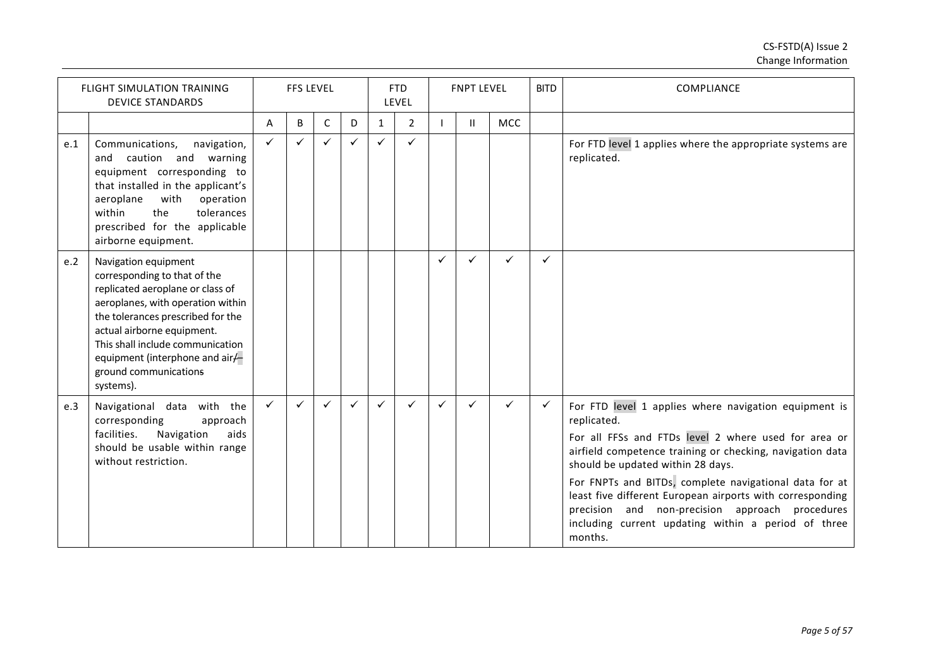|     | <b>FLIGHT SIMULATION TRAINING</b><br><b>DEVICE STANDARDS</b>                                                                                                                                                                                                                                                  |              | <b>FFS LEVEL</b> |   |   |              | <b>FTD</b><br>LEVEL |              | <b>FNPT LEVEL</b> |              | <b>BITD</b>  | COMPLIANCE                                                                                                                                                                                                                                                                                                                                                                                                                                                                 |
|-----|---------------------------------------------------------------------------------------------------------------------------------------------------------------------------------------------------------------------------------------------------------------------------------------------------------------|--------------|------------------|---|---|--------------|---------------------|--------------|-------------------|--------------|--------------|----------------------------------------------------------------------------------------------------------------------------------------------------------------------------------------------------------------------------------------------------------------------------------------------------------------------------------------------------------------------------------------------------------------------------------------------------------------------------|
|     |                                                                                                                                                                                                                                                                                                               | A            | B                | C | D | $\mathbf{1}$ | 2                   |              | $\mathbf{H}$      | <b>MCC</b>   |              |                                                                                                                                                                                                                                                                                                                                                                                                                                                                            |
| e.1 | Communications,<br>navigation,<br>and caution and warning<br>equipment corresponding to<br>that installed in the applicant's<br>with<br>aeroplane<br>operation<br>within<br>the<br>tolerances<br>prescribed for the applicable<br>airborne equipment.                                                         | $\checkmark$ | $\checkmark$     |   |   | $\checkmark$ | ✓                   |              |                   |              |              | For FTD level 1 applies where the appropriate systems are<br>replicated.                                                                                                                                                                                                                                                                                                                                                                                                   |
| e.2 | Navigation equipment<br>corresponding to that of the<br>replicated aeroplane or class of<br>aeroplanes, with operation within<br>the tolerances prescribed for the<br>actual airborne equipment.<br>This shall include communication<br>equipment (interphone and air/-<br>ground communications<br>systems). |              |                  |   |   |              |                     | $\checkmark$ | ✓                 | $\checkmark$ | ✓            |                                                                                                                                                                                                                                                                                                                                                                                                                                                                            |
| e.3 | Navigational data with the<br>corresponding<br>approach<br>Navigation<br>aids<br>facilities.<br>should be usable within range<br>without restriction.                                                                                                                                                         | $\checkmark$ | $\checkmark$     | ✓ | ✓ | ✓            | ✓                   | ✓            | ✓                 | ✓            | $\checkmark$ | For FTD level 1 applies where navigation equipment is<br>replicated.<br>For all FFSs and FTDs level 2 where used for area or<br>airfield competence training or checking, navigation data<br>should be updated within 28 days.<br>For FNPTs and BITDs, complete navigational data for at<br>least five different European airports with corresponding<br>precision and non-precision approach procedures<br>including current updating within a period of three<br>months. |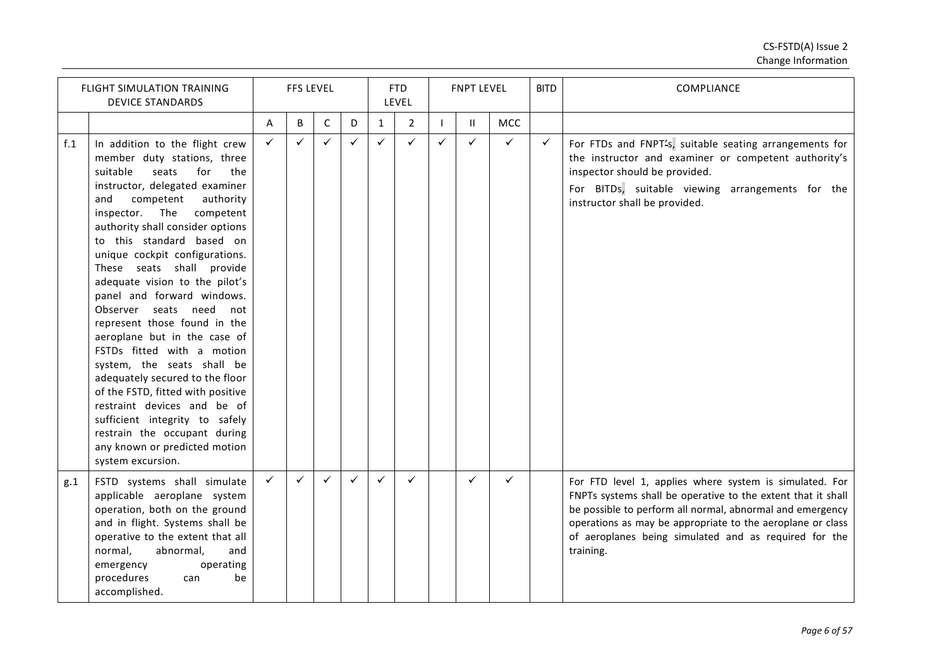|     | <b>FLIGHT SIMULATION TRAINING</b><br><b>DEVICE STANDARDS</b>                                                                                                                                                                                                                                                                                                                                                                                                                                                                                                                                                                                                                                                                                                                             |              | <b>FFS LEVEL</b> |             |              |              | <b>FTD</b><br>LEVEL |              | <b>FNPT LEVEL</b> |              | <b>BITD</b>  | <b>COMPLIANCE</b>                                                                                                                                                                                                                                                                                                        |
|-----|------------------------------------------------------------------------------------------------------------------------------------------------------------------------------------------------------------------------------------------------------------------------------------------------------------------------------------------------------------------------------------------------------------------------------------------------------------------------------------------------------------------------------------------------------------------------------------------------------------------------------------------------------------------------------------------------------------------------------------------------------------------------------------------|--------------|------------------|-------------|--------------|--------------|---------------------|--------------|-------------------|--------------|--------------|--------------------------------------------------------------------------------------------------------------------------------------------------------------------------------------------------------------------------------------------------------------------------------------------------------------------------|
|     |                                                                                                                                                                                                                                                                                                                                                                                                                                                                                                                                                                                                                                                                                                                                                                                          | A            | В                | $\mathsf C$ | D            | $\mathbf{1}$ | $\overline{2}$      |              | $\mathbf{H}$      | <b>MCC</b>   |              |                                                                                                                                                                                                                                                                                                                          |
| f.1 | In addition to the flight crew<br>member duty stations, three<br>suitable<br>seats<br>for<br>the<br>instructor, delegated examiner<br>competent<br>authority<br>and<br>inspector. The competent<br>authority shall consider options<br>to this standard based on<br>unique cockpit configurations.<br>These seats shall provide<br>adequate vision to the pilot's<br>panel and forward windows.<br>Observer seats need<br>not<br>represent those found in the<br>aeroplane but in the case of<br>FSTDs fitted with a motion<br>system, the seats shall be<br>adequately secured to the floor<br>of the FSTD, fitted with positive<br>restraint devices and be of<br>sufficient integrity to safely<br>restrain the occupant during<br>any known or predicted motion<br>system excursion. | $\checkmark$ | $\checkmark$     | ✓           | $\checkmark$ | $\checkmark$ | $\checkmark$        | $\checkmark$ | $\checkmark$      | $\checkmark$ | $\checkmark$ | For FTDs and FNPT's, suitable seating arrangements for<br>the instructor and examiner or competent authority's<br>inspector should be provided.<br>For BITDs, suitable viewing arrangements for the<br>instructor shall be provided.                                                                                     |
| g.1 | FSTD systems shall simulate<br>applicable aeroplane system<br>operation, both on the ground<br>and in flight. Systems shall be<br>operative to the extent that all<br>normal,<br>abnormal,<br>and<br>emergency<br>operating<br>procedures<br>be<br>can<br>accomplished.                                                                                                                                                                                                                                                                                                                                                                                                                                                                                                                  | $\checkmark$ | $\checkmark$     | ✓           | ✓            | $\checkmark$ | $\checkmark$        |              | $\checkmark$      | $\checkmark$ |              | For FTD level 1, applies where system is simulated. For<br>FNPTs systems shall be operative to the extent that it shall<br>be possible to perform all normal, abnormal and emergency<br>operations as may be appropriate to the aeroplane or class<br>of aeroplanes being simulated and as required for the<br>training. |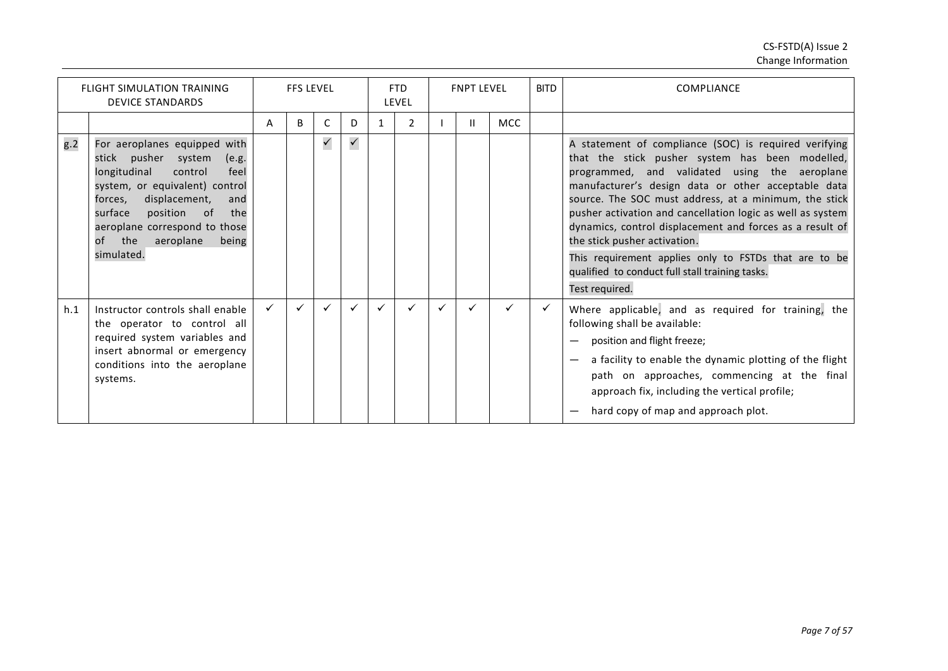|     | <b>FLIGHT SIMULATION TRAINING</b><br><b>DEVICE STANDARDS</b>                                                                                                                                                                                                                              |              | <b>FFS LEVEL</b> |              |              |   | <b>FTD</b><br>LEVEL |   | <b>FNPT LEVEL</b> |     | <b>BITD</b> | <b>COMPLIANCE</b>                                                                                                                                                                                                                                                                                                                                                                                                                                                                                                                                                 |
|-----|-------------------------------------------------------------------------------------------------------------------------------------------------------------------------------------------------------------------------------------------------------------------------------------------|--------------|------------------|--------------|--------------|---|---------------------|---|-------------------|-----|-------------|-------------------------------------------------------------------------------------------------------------------------------------------------------------------------------------------------------------------------------------------------------------------------------------------------------------------------------------------------------------------------------------------------------------------------------------------------------------------------------------------------------------------------------------------------------------------|
|     |                                                                                                                                                                                                                                                                                           | A            | <sub>B</sub>     | C            | D.           | 1 | 2                   |   | Ш                 | MCC |             |                                                                                                                                                                                                                                                                                                                                                                                                                                                                                                                                                                   |
| g.2 | For aeroplanes equipped with<br>stick pusher system<br>(e.g.<br>longitudinal<br>control<br>feel<br>system, or equivalent) control<br>displacement,<br>forces,<br>and<br>surface<br>position<br>the<br>- of<br>aeroplane correspond to those<br>of the<br>aeroplane<br>being<br>simulated. |              |                  | $\checkmark$ | $\checkmark$ |   |                     |   |                   |     |             | A statement of compliance (SOC) is required verifying<br>that the stick pusher system has been modelled,<br>programmed, and validated using the aeroplane<br>manufacturer's design data or other acceptable data<br>source. The SOC must address, at a minimum, the stick<br>pusher activation and cancellation logic as well as system<br>dynamics, control displacement and forces as a result of<br>the stick pusher activation.<br>This requirement applies only to FSTDs that are to be<br>qualified to conduct full stall training tasks.<br>Test required. |
| h.1 | Instructor controls shall enable<br>the operator to control all<br>required system variables and<br>insert abnormal or emergency<br>conditions into the aeroplane<br>systems.                                                                                                             | $\checkmark$ |                  |              |              | ✓ |                     | ✓ |                   | ✓   |             | Where applicable, and as required for training, the<br>following shall be available:<br>position and flight freeze;<br>a facility to enable the dynamic plotting of the flight<br>path on approaches, commencing at the final<br>approach fix, including the vertical profile;<br>hard copy of map and approach plot.                                                                                                                                                                                                                                             |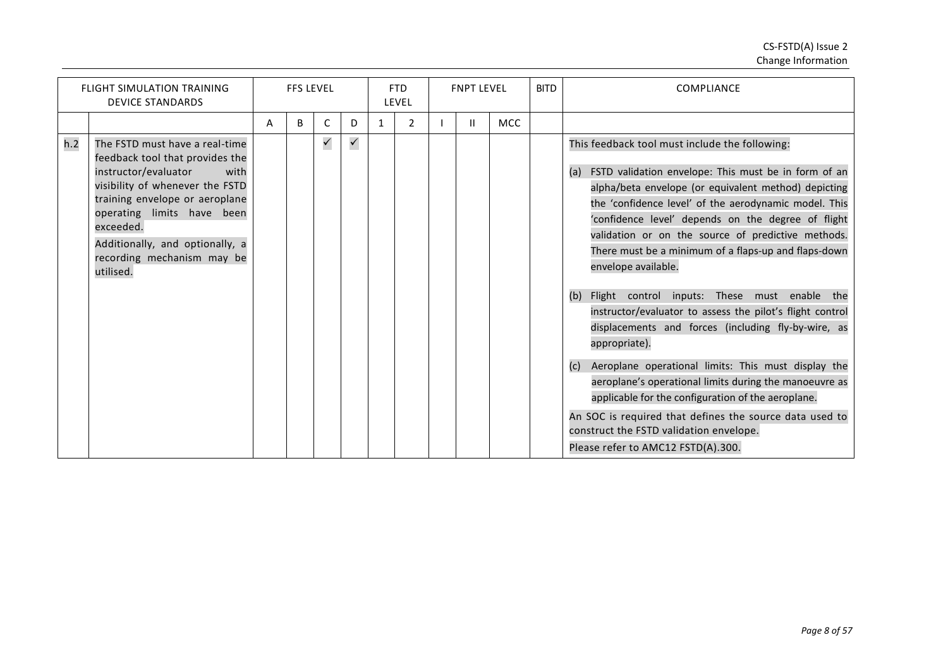|     | <b>FLIGHT SIMULATION TRAINING</b><br><b>DEVICE STANDARDS</b>                                                                                                                                                                                                                                    |   | <b>FFS LEVEL</b> |              |              |              | <b>FTD</b><br>LEVEL | <b>FNPT LEVEL</b> |            | <b>BITD</b> | COMPLIANCE                                                                                                                                                                                                                                                                                                                                                                                                                                                                                                                                                                                                                                                                                                                                                                                                                                                                                                                                      |
|-----|-------------------------------------------------------------------------------------------------------------------------------------------------------------------------------------------------------------------------------------------------------------------------------------------------|---|------------------|--------------|--------------|--------------|---------------------|-------------------|------------|-------------|-------------------------------------------------------------------------------------------------------------------------------------------------------------------------------------------------------------------------------------------------------------------------------------------------------------------------------------------------------------------------------------------------------------------------------------------------------------------------------------------------------------------------------------------------------------------------------------------------------------------------------------------------------------------------------------------------------------------------------------------------------------------------------------------------------------------------------------------------------------------------------------------------------------------------------------------------|
|     |                                                                                                                                                                                                                                                                                                 | A | B                | C            | D.           | $\mathbf{1}$ | 2                   | Ш.                | <b>MCC</b> |             |                                                                                                                                                                                                                                                                                                                                                                                                                                                                                                                                                                                                                                                                                                                                                                                                                                                                                                                                                 |
| h.2 | The FSTD must have a real-time<br>feedback tool that provides the<br>instructor/evaluator<br>with<br>visibility of whenever the FSTD<br>training envelope or aeroplane<br>operating limits have been<br>exceeded.<br>Additionally, and optionally, a<br>recording mechanism may be<br>utilised. |   |                  | $\checkmark$ | $\checkmark$ |              |                     |                   |            |             | This feedback tool must include the following:<br>FSTD validation envelope: This must be in form of an<br>(a)<br>alpha/beta envelope (or equivalent method) depicting<br>the 'confidence level' of the aerodynamic model. This<br>'confidence level' depends on the degree of flight<br>validation or on the source of predictive methods.<br>There must be a minimum of a flaps-up and flaps-down<br>envelope available.<br>Flight control inputs: These must enable the<br>(b)<br>instructor/evaluator to assess the pilot's flight control<br>displacements and forces (including fly-by-wire, as<br>appropriate).<br>Aeroplane operational limits: This must display the<br>(c)<br>aeroplane's operational limits during the manoeuvre as<br>applicable for the configuration of the aeroplane.<br>An SOC is required that defines the source data used to<br>construct the FSTD validation envelope.<br>Please refer to AMC12 FSTD(A).300. |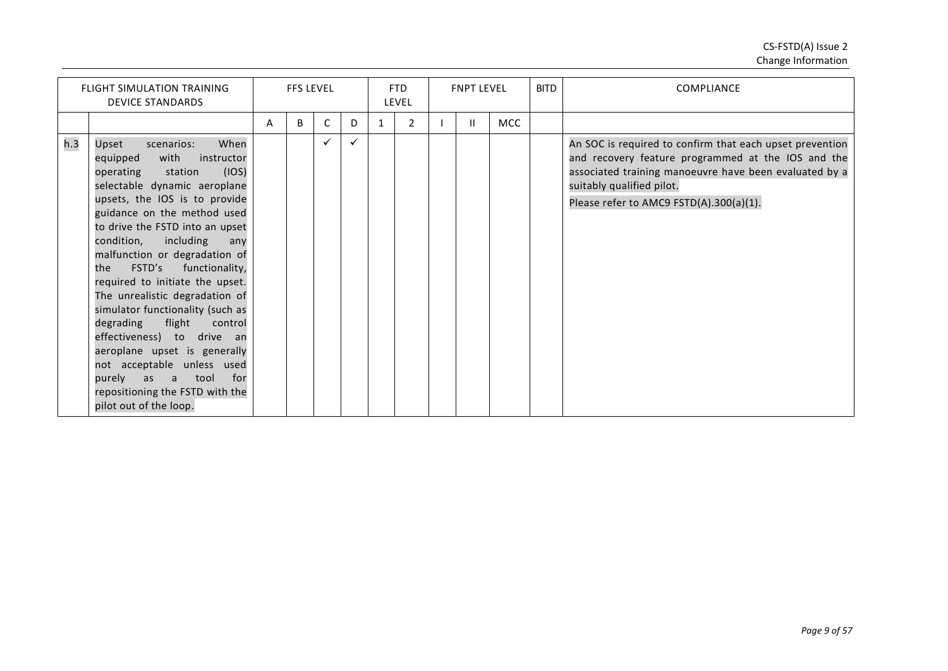|     | <b>FLIGHT SIMULATION TRAINING</b><br><b>DEVICE STANDARDS</b>                                                                                                                                                                                                                                                                                                                                                                                                                                                                                                                                                                                                           |   | <b>FFS LEVEL</b> |   |   |   | <b>FTD</b><br>LEVEL | <b>FNPT LEVEL</b> |            | <b>BITD</b> | <b>COMPLIANCE</b>                                                                                                                                                                                                                                |
|-----|------------------------------------------------------------------------------------------------------------------------------------------------------------------------------------------------------------------------------------------------------------------------------------------------------------------------------------------------------------------------------------------------------------------------------------------------------------------------------------------------------------------------------------------------------------------------------------------------------------------------------------------------------------------------|---|------------------|---|---|---|---------------------|-------------------|------------|-------------|--------------------------------------------------------------------------------------------------------------------------------------------------------------------------------------------------------------------------------------------------|
|     |                                                                                                                                                                                                                                                                                                                                                                                                                                                                                                                                                                                                                                                                        | A | B                | C | D | 1 | $\overline{2}$      |                   | <b>MCC</b> |             |                                                                                                                                                                                                                                                  |
| h.3 | When<br>Upset<br>scenarios:<br>with<br>equipped<br>instructor<br>(IOS)<br>operating<br>station<br>selectable dynamic aeroplane<br>upsets, the IOS is to provide<br>guidance on the method used<br>to drive the FSTD into an upset<br>condition,<br>including<br>any<br>malfunction or degradation of<br>FSTD's<br>functionality,<br>the<br>required to initiate the upset.<br>The unrealistic degradation of<br>simulator functionality (such as<br>flight<br>degrading<br>control<br>effectiveness) to drive an<br>aeroplane upset is generally<br>not acceptable unless used<br>purely as a tool<br>for<br>repositioning the FSTD with the<br>pilot out of the loop. |   |                  |   |   |   |                     |                   |            |             | An SOC is required to confirm that each upset prevention<br>and recovery feature programmed at the IOS and the<br>associated training manoeuvre have been evaluated by a<br>suitably qualified pilot.<br>Please refer to AMC9 FSTD(A).300(a)(1). |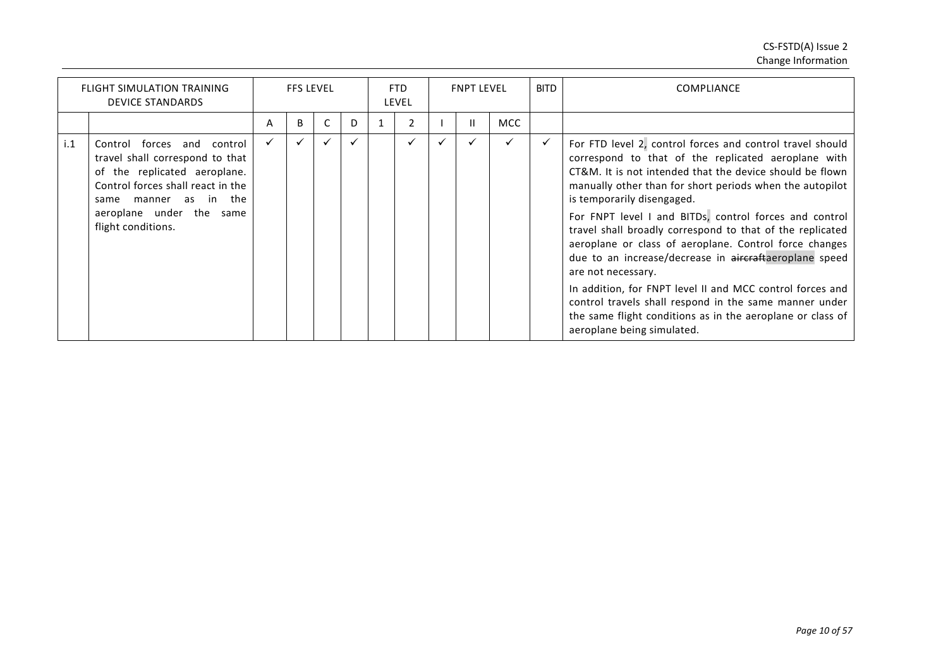|     | <b>FLIGHT SIMULATION TRAINING</b><br><b>DEVICE STANDARDS</b>                                                                                                                                                     |   | <b>FFS LEVEL</b> |   |   | FTD<br><b>LEVEL</b> | <b>FNPT LEVEL</b> |            | <b>BITD</b> | <b>COMPLIANCE</b>                                                                                                                                                                                                                                                                                                                                                                                                                                                                                                                                                                                                                                                                                                                                          |
|-----|------------------------------------------------------------------------------------------------------------------------------------------------------------------------------------------------------------------|---|------------------|---|---|---------------------|-------------------|------------|-------------|------------------------------------------------------------------------------------------------------------------------------------------------------------------------------------------------------------------------------------------------------------------------------------------------------------------------------------------------------------------------------------------------------------------------------------------------------------------------------------------------------------------------------------------------------------------------------------------------------------------------------------------------------------------------------------------------------------------------------------------------------------|
|     |                                                                                                                                                                                                                  | A | B                | C | D |                     | п                 | <b>MCC</b> |             |                                                                                                                                                                                                                                                                                                                                                                                                                                                                                                                                                                                                                                                                                                                                                            |
| i.1 | Control forces and control<br>travel shall correspond to that<br>of the replicated aeroplane.<br>Control forces shall react in the<br>manner as in the<br>same<br>aeroplane under the same<br>flight conditions. |   |                  | ✓ |   | ✓                   |                   | ✓          | ✓           | For FTD level 2, control forces and control travel should<br>correspond to that of the replicated aeroplane with<br>CT&M. It is not intended that the device should be flown<br>manually other than for short periods when the autopilot<br>is temporarily disengaged.<br>For FNPT level I and BITDs, control forces and control<br>travel shall broadly correspond to that of the replicated<br>aeroplane or class of aeroplane. Control force changes<br>due to an increase/decrease in aircraftaeroplane speed<br>are not necessary.<br>In addition, for FNPT level II and MCC control forces and<br>control travels shall respond in the same manner under<br>the same flight conditions as in the aeroplane or class of<br>aeroplane being simulated. |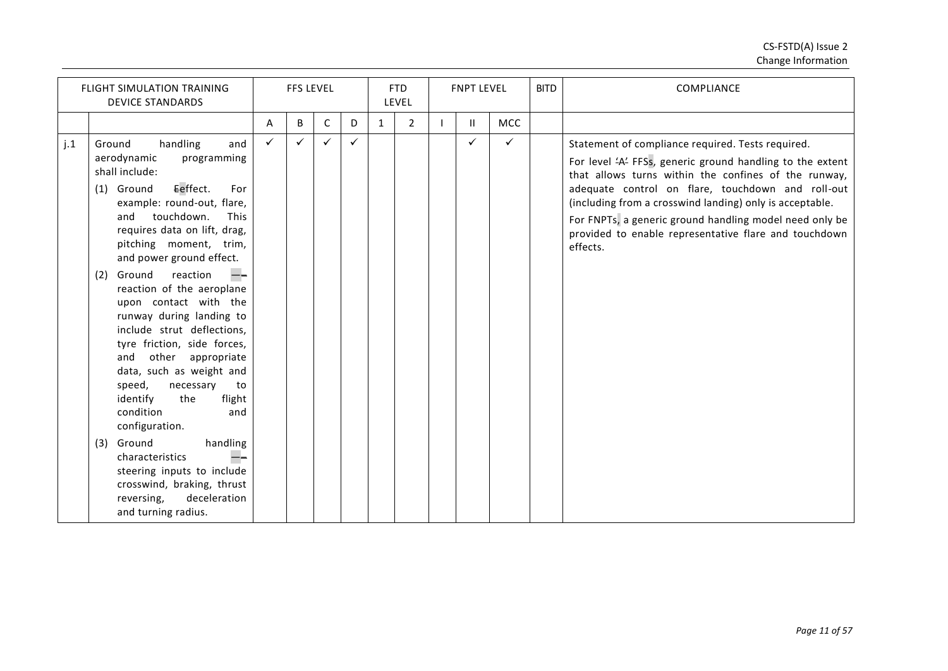|     | <b>FLIGHT SIMULATION TRAINING</b><br><b>DEVICE STANDARDS</b>                                                                                                                                                                                                                                                                                                                                                                                                                                                                                                                                                                                                                                                                                                            |              | <b>FFS LEVEL</b> |   |              |              | <b>FTD</b><br>LEVEL | <b>FNPT LEVEL</b> |     | <b>BITD</b> | <b>COMPLIANCE</b>                                                                                                                                                                                                                                                                                                                                                                                                       |
|-----|-------------------------------------------------------------------------------------------------------------------------------------------------------------------------------------------------------------------------------------------------------------------------------------------------------------------------------------------------------------------------------------------------------------------------------------------------------------------------------------------------------------------------------------------------------------------------------------------------------------------------------------------------------------------------------------------------------------------------------------------------------------------------|--------------|------------------|---|--------------|--------------|---------------------|-------------------|-----|-------------|-------------------------------------------------------------------------------------------------------------------------------------------------------------------------------------------------------------------------------------------------------------------------------------------------------------------------------------------------------------------------------------------------------------------------|
|     |                                                                                                                                                                                                                                                                                                                                                                                                                                                                                                                                                                                                                                                                                                                                                                         | A            | B                | C | D            | $\mathbf{1}$ | 2                   | $\mathbf{H}$      | MCC |             |                                                                                                                                                                                                                                                                                                                                                                                                                         |
| j.1 | handling<br>Ground<br>and<br>aerodynamic<br>programming<br>shall include:<br>Eeffect.<br>For<br>(1) Ground<br>example: round-out, flare,<br>touchdown.<br>and<br><b>This</b><br>requires data on lift, drag,<br>pitching moment, trim,<br>and power ground effect.<br>reaction<br>Ground<br>(2)<br>reaction of the aeroplane<br>upon contact with the<br>runway during landing to<br>include strut deflections,<br>tyre friction, side forces,<br>other appropriate<br>and<br>data, such as weight and<br>speed,<br>necessary<br>to<br>the<br>identify<br>flight<br>condition<br>and<br>configuration.<br>Ground<br>handling<br>(3)<br>characteristics<br>steering inputs to include<br>crosswind, braking, thrust<br>reversing,<br>deceleration<br>and turning radius. | $\checkmark$ | ✓                | ✓ | $\checkmark$ |              |                     | ✓                 | ✓   |             | Statement of compliance required. Tests required.<br>For level 'A' FFSs, generic ground handling to the extent<br>that allows turns within the confines of the runway,<br>adequate control on flare, touchdown and roll-out<br>(including from a crosswind landing) only is acceptable.<br>For FNPTs, a generic ground handling model need only be<br>provided to enable representative flare and touchdown<br>effects. |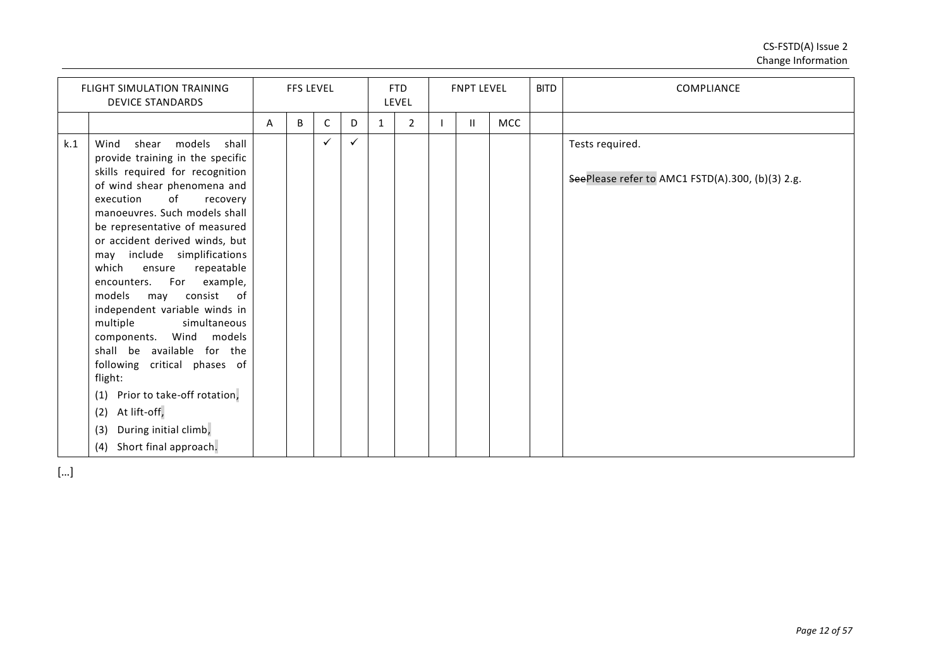|     | <b>FLIGHT SIMULATION TRAINING</b><br><b>DEVICE STANDARDS</b>                                                                                                                                                                                                                                                                                                                                                                                                                                                                                                                                                                                                                                 |   | <b>FFS LEVEL</b> |              |   |              | <b>FTD</b><br>LEVEL | <b>FNPT LEVEL</b> |            | <b>BITD</b> | <b>COMPLIANCE</b>                                                   |
|-----|----------------------------------------------------------------------------------------------------------------------------------------------------------------------------------------------------------------------------------------------------------------------------------------------------------------------------------------------------------------------------------------------------------------------------------------------------------------------------------------------------------------------------------------------------------------------------------------------------------------------------------------------------------------------------------------------|---|------------------|--------------|---|--------------|---------------------|-------------------|------------|-------------|---------------------------------------------------------------------|
|     |                                                                                                                                                                                                                                                                                                                                                                                                                                                                                                                                                                                                                                                                                              | A | B                | $\mathsf{C}$ | D | $\mathbf{1}$ | $\overline{2}$      | $\mathbf{H}$      | <b>MCC</b> |             |                                                                     |
| k.1 | models shall<br>Wind<br>shear<br>provide training in the specific<br>skills required for recognition<br>of wind shear phenomena and<br>execution<br>of<br>recovery<br>manoeuvres. Such models shall<br>be representative of measured<br>or accident derived winds, but<br>may include simplifications<br>which<br>repeatable<br>ensure<br>For example,<br>encounters.<br>models<br>consist of<br>may<br>independent variable winds in<br>multiple<br>simultaneous<br>Wind models<br>components.<br>shall be available for the<br>following critical phases of<br>flight:<br>(1) Prior to take-off rotation,<br>(2) At lift-off,<br>During initial climb,<br>(3)<br>(4) Short final approach. |   |                  | $\checkmark$ | ✓ |              |                     |                   |            |             | Tests required.<br>SeePlease refer to AMC1 FSTD(A).300, (b)(3) 2.g. |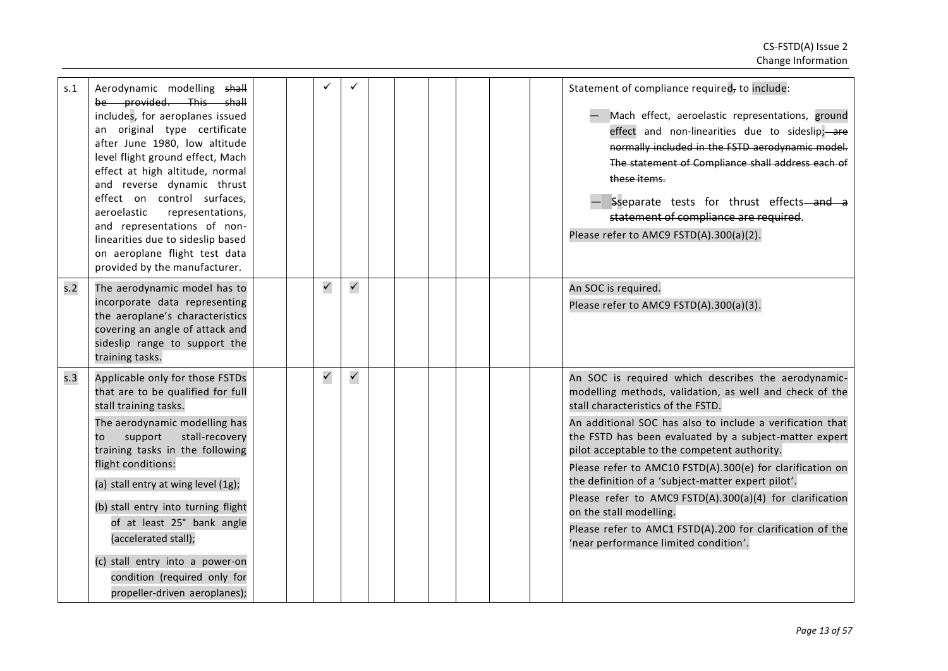| s.1              | Aerodynamic modelling shall<br>be provided. This shall<br>includes, for aeroplanes issued<br>an original type certificate<br>after June 1980, low altitude<br>level flight ground effect, Mach<br>effect at high altitude, normal<br>and reverse dynamic thrust<br>effect on control surfaces,<br>representations,<br>aeroelastic<br>and representations of non-<br>linearities due to sideslip based<br>on aeroplane flight test data<br>provided by the manufacturer. |  |              |              |  |  |  | Statement of compliance required, to include:<br>Mach effect, aeroelastic representations, ground<br>effect and non-linearities due to sideslip; are<br>normally included in the FSTD aerodynamic model.<br>The statement of Compliance shall address each of<br>these items.<br>- Sseparate tests for thrust effects-and a<br>statement of compliance are required.<br>Please refer to AMC9 FSTD(A).300(a)(2).                                                                                                                                                                                                                             |
|------------------|-------------------------------------------------------------------------------------------------------------------------------------------------------------------------------------------------------------------------------------------------------------------------------------------------------------------------------------------------------------------------------------------------------------------------------------------------------------------------|--|--------------|--------------|--|--|--|---------------------------------------------------------------------------------------------------------------------------------------------------------------------------------------------------------------------------------------------------------------------------------------------------------------------------------------------------------------------------------------------------------------------------------------------------------------------------------------------------------------------------------------------------------------------------------------------------------------------------------------------|
| s.2              | The aerodynamic model has to<br>incorporate data representing<br>the aeroplane's characteristics<br>covering an angle of attack and<br>sideslip range to support the<br>training tasks.                                                                                                                                                                                                                                                                                 |  | $\checkmark$ | $\checkmark$ |  |  |  | An SOC is required.<br>Please refer to AMC9 FSTD(A).300(a)(3).                                                                                                                                                                                                                                                                                                                                                                                                                                                                                                                                                                              |
| $s.\overline{3}$ | Applicable only for those FSTDs<br>that are to be qualified for full<br>stall training tasks.<br>The aerodynamic modelling has<br>support<br>stall-recovery<br>to<br>training tasks in the following<br>flight conditions:<br>(a) stall entry at wing level (1g);<br>(b) stall entry into turning flight<br>of at least 25° bank angle<br>(accelerated stall);<br>(c) stall entry into a power-on<br>condition (required only for<br>propeller-driven aeroplanes);      |  | $\checkmark$ | $\checkmark$ |  |  |  | An SOC is required which describes the aerodynamic-<br>modelling methods, validation, as well and check of the<br>stall characteristics of the FSTD.<br>An additional SOC has also to include a verification that<br>the FSTD has been evaluated by a subject-matter expert<br>pilot acceptable to the competent authority.<br>Please refer to AMC10 FSTD(A).300(e) for clarification on<br>the definition of a 'subject-matter expert pilot'.<br>Please refer to AMC9 FSTD(A).300(a)(4) for clarification<br>on the stall modelling.<br>Please refer to AMC1 FSTD(A).200 for clarification of the<br>'near performance limited condition'. |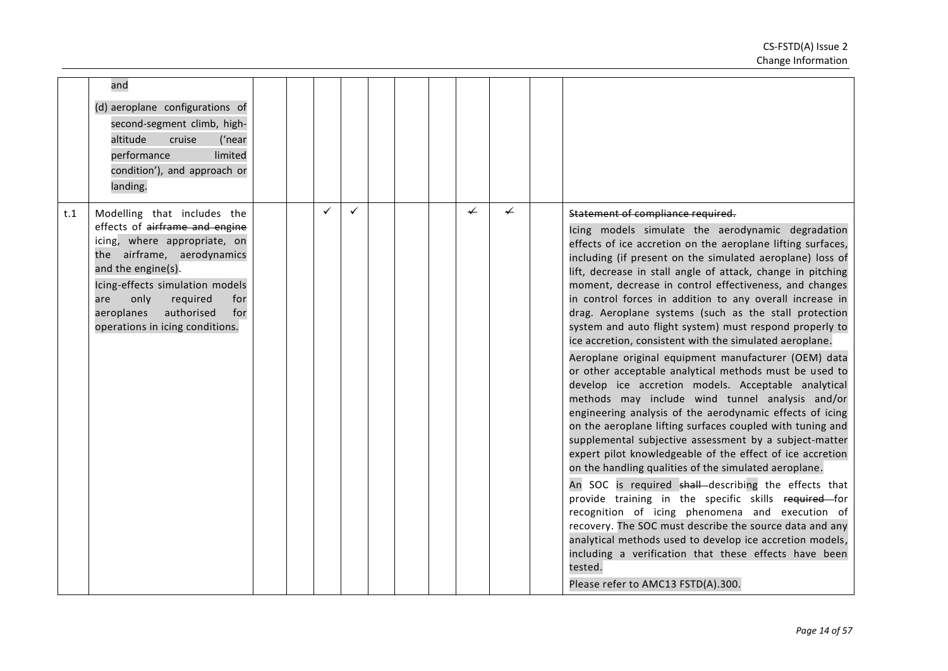|     | and<br>(d) aeroplane configurations of<br>second-segment climb, high-<br>altitude<br>cruise<br>('near<br>limited<br>performance<br>condition'), and approach or<br>landing.                                                                                                                  |  |              |  |   |                          |                                                                                                                                                                                                                                                                                                                                                                                                                                                                                                                                                                                                                                                                                                                                                                                                                                                                                                                                                                                                                                                                                                                                                                                                                                                                                                                                                                                                                                                                                                                                 |
|-----|----------------------------------------------------------------------------------------------------------------------------------------------------------------------------------------------------------------------------------------------------------------------------------------------|--|--------------|--|---|--------------------------|---------------------------------------------------------------------------------------------------------------------------------------------------------------------------------------------------------------------------------------------------------------------------------------------------------------------------------------------------------------------------------------------------------------------------------------------------------------------------------------------------------------------------------------------------------------------------------------------------------------------------------------------------------------------------------------------------------------------------------------------------------------------------------------------------------------------------------------------------------------------------------------------------------------------------------------------------------------------------------------------------------------------------------------------------------------------------------------------------------------------------------------------------------------------------------------------------------------------------------------------------------------------------------------------------------------------------------------------------------------------------------------------------------------------------------------------------------------------------------------------------------------------------------|
| t.1 | Modelling that includes the<br>effects of airframe and engine<br>icing, where appropriate, on<br>the airframe, aerodynamics<br>and the engine(s).<br>Icing-effects simulation models<br>only<br>required<br>are<br>for<br>authorised<br>aeroplanes<br>for<br>operations in icing conditions. |  | $\checkmark$ |  | ✔ | $\overline{\phantom{0}}$ | Statement of compliance required.<br>Icing models simulate the aerodynamic degradation<br>effects of ice accretion on the aeroplane lifting surfaces,<br>including (if present on the simulated aeroplane) loss of<br>lift, decrease in stall angle of attack, change in pitching<br>moment, decrease in control effectiveness, and changes<br>in control forces in addition to any overall increase in<br>drag. Aeroplane systems (such as the stall protection<br>system and auto flight system) must respond properly to<br>ice accretion, consistent with the simulated aeroplane.<br>Aeroplane original equipment manufacturer (OEM) data<br>or other acceptable analytical methods must be used to<br>develop ice accretion models. Acceptable analytical<br>methods may include wind tunnel analysis and/or<br>engineering analysis of the aerodynamic effects of icing<br>on the aeroplane lifting surfaces coupled with tuning and<br>supplemental subjective assessment by a subject-matter<br>expert pilot knowledgeable of the effect of ice accretion<br>on the handling qualities of the simulated aeroplane.<br>An SOC is required shall describing the effects that<br>provide training in the specific skills required for<br>recognition of icing phenomena and execution of<br>recovery. The SOC must describe the source data and any<br>analytical methods used to develop ice accretion models,<br>including a verification that these effects have been<br>tested.<br>Please refer to AMC13 FSTD(A).300. |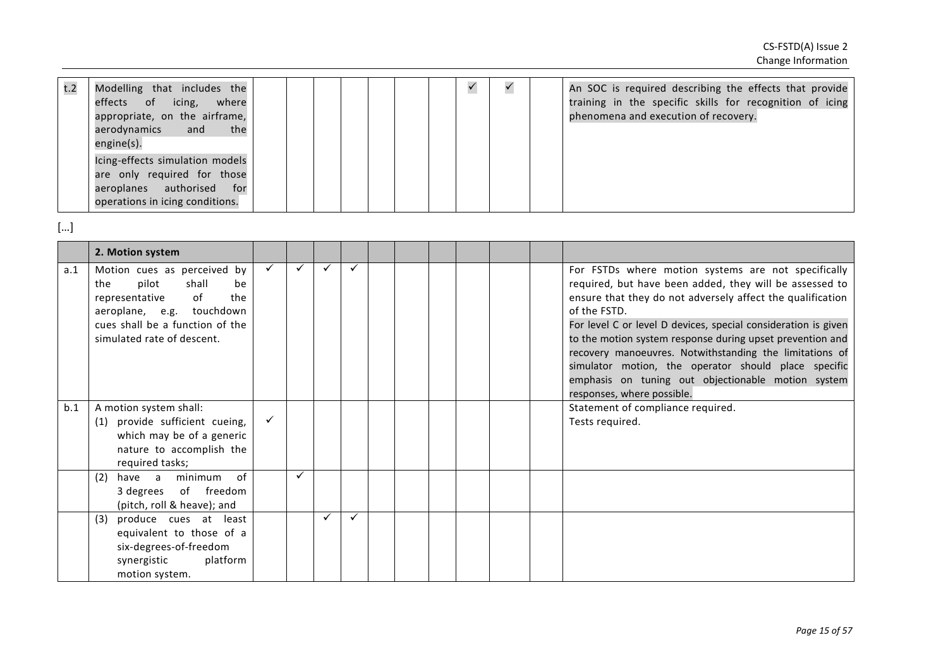| t.2 | Modelling that includes the<br>of icing,<br>effects<br>where<br>appropriate, on the airframe,<br>aerodynamics and<br>the<br>engine(s).        |  |  |  |  | An SOC is required describing the effects that provide<br>training in the specific skills for recognition of icing<br>phenomena and execution of recovery. |
|-----|-----------------------------------------------------------------------------------------------------------------------------------------------|--|--|--|--|------------------------------------------------------------------------------------------------------------------------------------------------------------|
|     | Icing-effects simulation models<br>are only required for those<br>authorised<br>aeroplanes<br>for <b>f</b><br>operations in icing conditions. |  |  |  |  |                                                                                                                                                            |

|     | 2. Motion system                                                                                                                                                                        |              |   |              |              |  |  |  |                                                                                                                                                                                                                                                                                                                                                                                                                                                                                                                                    |
|-----|-----------------------------------------------------------------------------------------------------------------------------------------------------------------------------------------|--------------|---|--------------|--------------|--|--|--|------------------------------------------------------------------------------------------------------------------------------------------------------------------------------------------------------------------------------------------------------------------------------------------------------------------------------------------------------------------------------------------------------------------------------------------------------------------------------------------------------------------------------------|
| a.1 | Motion cues as perceived by<br>pilot<br>shall<br>the<br>be<br>of<br>the<br>representative<br>aeroplane, e.g. touchdown<br>cues shall be a function of the<br>simulated rate of descent. | $\checkmark$ | ✓ | $\checkmark$ | $\checkmark$ |  |  |  | For FSTDs where motion systems are not specifically<br>required, but have been added, they will be assessed to<br>ensure that they do not adversely affect the qualification<br>of the FSTD.<br>For level C or level D devices, special consideration is given<br>to the motion system response during upset prevention and<br>recovery manoeuvres. Notwithstanding the limitations of<br>simulator motion, the operator should place specific<br>emphasis on tuning out objectionable motion system<br>responses, where possible. |
| b.1 | A motion system shall:<br>provide sufficient cueing,<br>(1)<br>which may be of a generic<br>nature to accomplish the<br>required tasks;                                                 | $\checkmark$ |   |              |              |  |  |  | Statement of compliance required.<br>Tests required.                                                                                                                                                                                                                                                                                                                                                                                                                                                                               |
|     | of<br>have a minimum<br>(2)<br>of freedom<br>3 degrees<br>(pitch, roll & heave); and                                                                                                    |              |   |              |              |  |  |  |                                                                                                                                                                                                                                                                                                                                                                                                                                                                                                                                    |
|     | produce cues at least<br>(3)<br>equivalent to those of a<br>six-degrees-of-freedom<br>platform<br>synergistic<br>motion system.                                                         |              |   |              | ✓            |  |  |  |                                                                                                                                                                                                                                                                                                                                                                                                                                                                                                                                    |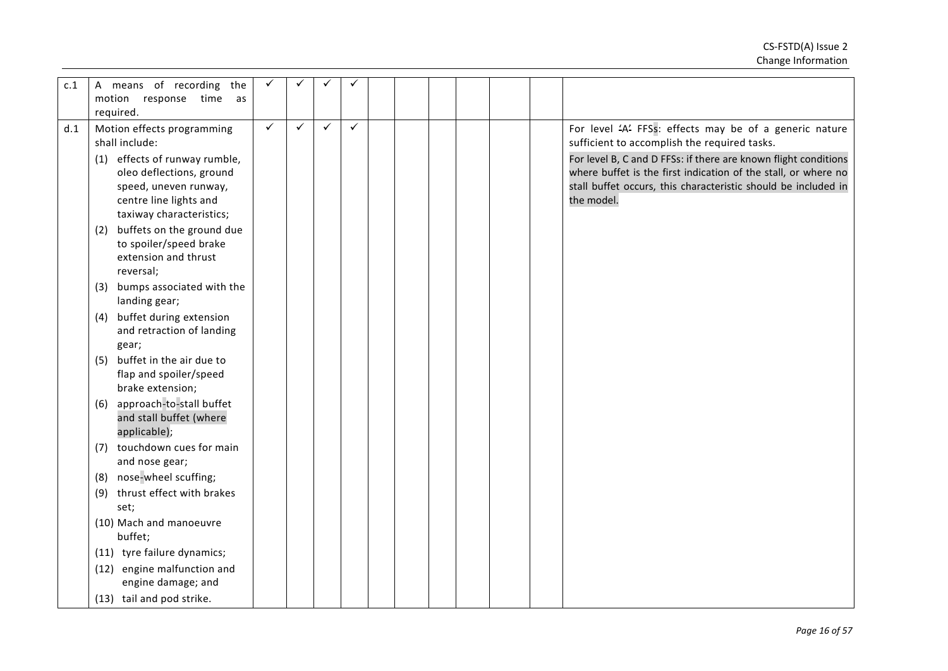| c.1 | A means of recording the         |              |              |              |              |  |  |                                                                 |
|-----|----------------------------------|--------------|--------------|--------------|--------------|--|--|-----------------------------------------------------------------|
|     | motion<br>response time<br>as    |              |              |              |              |  |  |                                                                 |
|     | required.                        |              |              |              |              |  |  |                                                                 |
| d.1 | Motion effects programming       | $\checkmark$ | $\checkmark$ | $\checkmark$ | $\checkmark$ |  |  | For level 'A' FFSs: effects may be of a generic nature          |
|     | shall include:                   |              |              |              |              |  |  | sufficient to accomplish the required tasks.                    |
|     | (1) effects of runway rumble,    |              |              |              |              |  |  | For level B, C and D FFSs: if there are known flight conditions |
|     | oleo deflections, ground         |              |              |              |              |  |  | where buffet is the first indication of the stall, or where no  |
|     | speed, uneven runway,            |              |              |              |              |  |  | stall buffet occurs, this characteristic should be included in  |
|     | centre line lights and           |              |              |              |              |  |  | the model.                                                      |
|     | taxiway characteristics;         |              |              |              |              |  |  |                                                                 |
|     | buffets on the ground due<br>(2) |              |              |              |              |  |  |                                                                 |
|     | to spoiler/speed brake           |              |              |              |              |  |  |                                                                 |
|     | extension and thrust             |              |              |              |              |  |  |                                                                 |
|     | reversal;                        |              |              |              |              |  |  |                                                                 |
|     | bumps associated with the<br>(3) |              |              |              |              |  |  |                                                                 |
|     | landing gear;                    |              |              |              |              |  |  |                                                                 |
|     | buffet during extension<br>(4)   |              |              |              |              |  |  |                                                                 |
|     | and retraction of landing        |              |              |              |              |  |  |                                                                 |
|     | gear;                            |              |              |              |              |  |  |                                                                 |
|     | buffet in the air due to<br>(5)  |              |              |              |              |  |  |                                                                 |
|     | flap and spoiler/speed           |              |              |              |              |  |  |                                                                 |
|     | brake extension;                 |              |              |              |              |  |  |                                                                 |
|     | approach-to-stall buffet<br>(6)  |              |              |              |              |  |  |                                                                 |
|     | and stall buffet (where          |              |              |              |              |  |  |                                                                 |
|     | applicable);                     |              |              |              |              |  |  |                                                                 |
|     | touchdown cues for main<br>(7)   |              |              |              |              |  |  |                                                                 |
|     | and nose gear;                   |              |              |              |              |  |  |                                                                 |
|     | (8) nose-wheel scuffing;         |              |              |              |              |  |  |                                                                 |
|     | thrust effect with brakes<br>(9) |              |              |              |              |  |  |                                                                 |
|     | set;                             |              |              |              |              |  |  |                                                                 |
|     | (10) Mach and manoeuvre          |              |              |              |              |  |  |                                                                 |
|     | buffet;                          |              |              |              |              |  |  |                                                                 |
|     | (11) tyre failure dynamics;      |              |              |              |              |  |  |                                                                 |
|     | (12) engine malfunction and      |              |              |              |              |  |  |                                                                 |
|     | engine damage; and               |              |              |              |              |  |  |                                                                 |
|     | (13) tail and pod strike.        |              |              |              |              |  |  |                                                                 |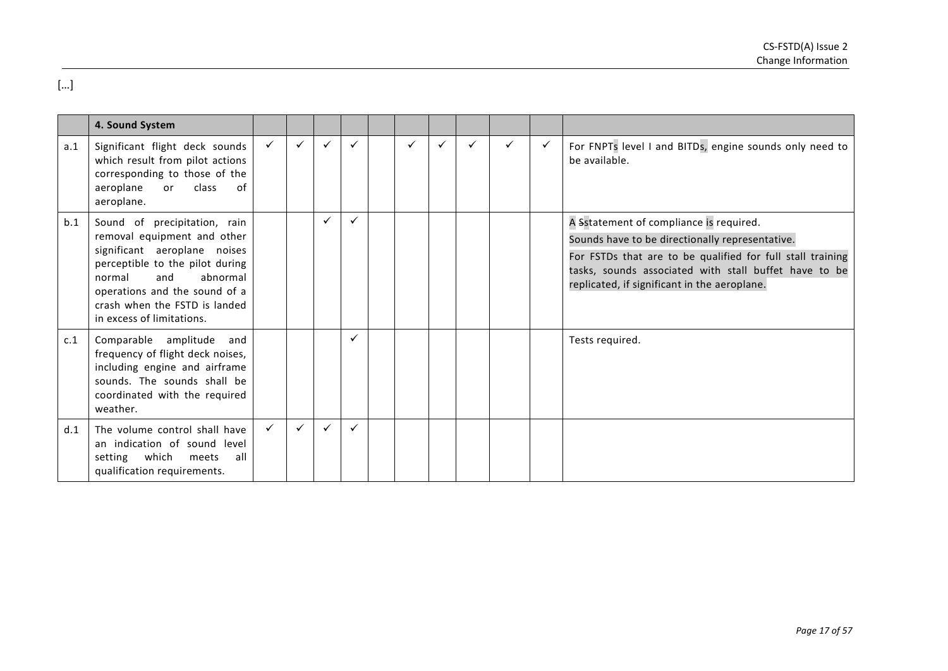|     | 4. Sound System                                                                                                                                                                                                                                            |              |              |              |   |   |   |   |                                                                                                                                                                                                                                                                   |
|-----|------------------------------------------------------------------------------------------------------------------------------------------------------------------------------------------------------------------------------------------------------------|--------------|--------------|--------------|---|---|---|---|-------------------------------------------------------------------------------------------------------------------------------------------------------------------------------------------------------------------------------------------------------------------|
| a.1 | Significant flight deck sounds<br>which result from pilot actions<br>corresponding to those of the<br>class<br>aeroplane<br>or<br>of<br>aeroplane.                                                                                                         | $\checkmark$ | $\checkmark$ | ✓            | ✓ | ✓ | ✓ | ✓ | For FNPTs level I and BITDs, engine sounds only need to<br>be available.                                                                                                                                                                                          |
| b.1 | Sound of precipitation, rain<br>removal equipment and other<br>significant aeroplane noises<br>perceptible to the pilot during<br>abnormal<br>normal<br>and<br>operations and the sound of a<br>crash when the FSTD is landed<br>in excess of limitations. |              | ✓            | $\checkmark$ |   |   |   |   | A Sstatement of compliance is required.<br>Sounds have to be directionally representative.<br>For FSTDs that are to be qualified for full stall training<br>tasks, sounds associated with stall buffet have to be<br>replicated, if significant in the aeroplane. |
| c.1 | Comparable amplitude and<br>frequency of flight deck noises,<br>including engine and airframe<br>sounds. The sounds shall be<br>coordinated with the required<br>weather.                                                                                  |              |              | $\checkmark$ |   |   |   |   | Tests required.                                                                                                                                                                                                                                                   |
| d.1 | The volume control shall have<br>an indication of sound level<br>which<br>setting<br>meets<br>all<br>qualification requirements.                                                                                                                           | $\checkmark$ | $\checkmark$ | ✓            |   |   |   |   |                                                                                                                                                                                                                                                                   |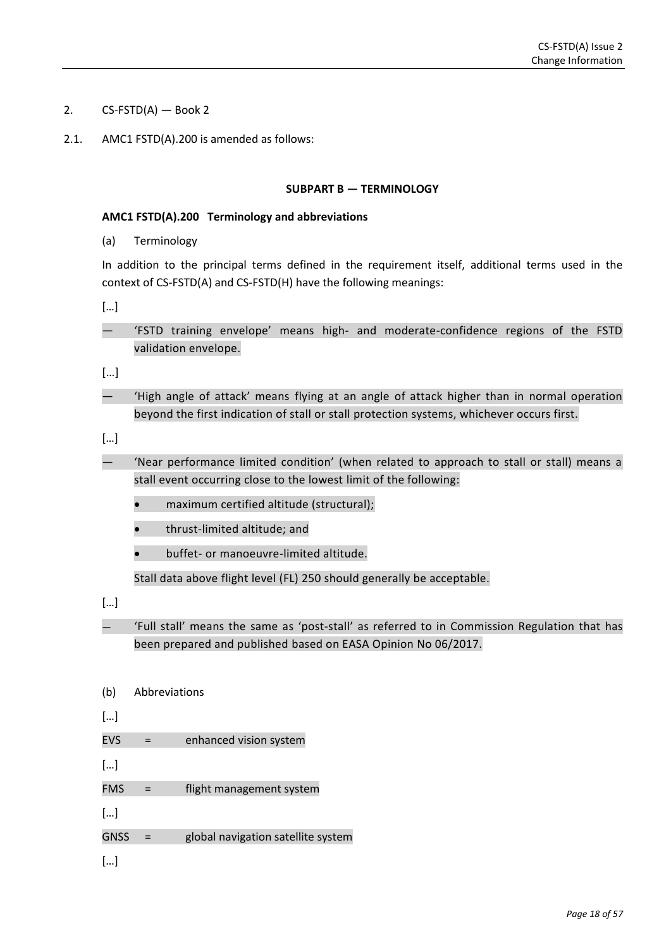- 2.  $CS-FSTD(A)$  Book 2
- 2.1. AMC1 FSTD(A).200 is amended as follows:

### **SUBPART B — TERMINOLOGY**

### **AMC1 FSTD(A).200 Terminology and abbreviations**

(a) Terminology

In addition to the principal terms defined in the requirement itself, additional terms used in the context of CS-FSTD(A) and CS-FSTD(H) have the following meanings:

[…]

— 'FSTD training envelope' means high- and moderate-confidence regions of the FSTD validation envelope.

[…]

— 'High angle of attack' means flying at an angle of attack higher than in normal operation beyond the first indication of stall or stall protection systems, whichever occurs first.

[…]

- 'Near performance limited condition' (when related to approach to stall or stall) means a stall event occurring close to the lowest limit of the following:
	- maximum certified altitude (structural);
	- thrust-limited altitude; and
	- buffet- or manoeuvre-limited altitude.

Stall data above flight level (FL) 250 should generally be acceptable.

[…]

— 'Full stall' means the same as 'post-stall' as referred to in Commission Regulation that has been prepared and published based on EASA Opinion No 06/2017.

- (b) Abbreviations
- […]
- EVS = enhanced vision system

[…]

- FMS = flight management system
- […]
- GNSS = global navigation satellite system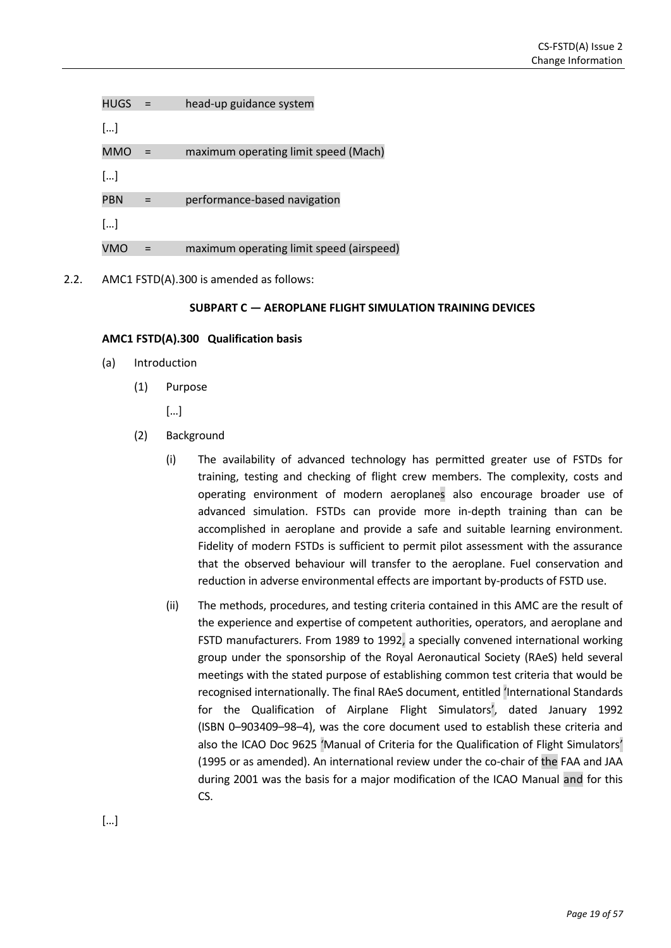| HUGS                  | head-up guidance system                  |
|-----------------------|------------------------------------------|
| []                    |                                          |
| <b>MMO</b>            | maximum operating limit speed (Mach)     |
| $\left[\ldots\right]$ |                                          |
| <b>PBN</b>            | performance-based navigation             |
| $\left[\ldots\right]$ |                                          |
| VMO                   | maximum operating limit speed (airspeed) |
|                       |                                          |

2.2. AMC1 FSTD(A).300 is amended as follows:

### **SUBPART C — AEROPLANE FLIGHT SIMULATION TRAINING DEVICES**

### **AMC1 FSTD(A).300 Qualification basis**

- (a) Introduction
	- (1) Purpose

[…]

- (2) Background
	- (i) The availability of advanced technology has permitted greater use of FSTDs for training, testing and checking of flight crew members. The complexity, costs and operating environment of modern aeroplanes also encourage broader use of advanced simulation. FSTDs can provide more in-depth training than can be accomplished in aeroplane and provide a safe and suitable learning environment. Fidelity of modern FSTDs is sufficient to permit pilot assessment with the assurance that the observed behaviour will transfer to the aeroplane. Fuel conservation and reduction in adverse environmental effects are important by-products of FSTD use.
	- (ii) The methods, procedures, and testing criteria contained in this AMC are the result of the experience and expertise of competent authorities, operators, and aeroplane and FSTD manufacturers. From 1989 to 1992, a specially convened international working group under the sponsorship of the Royal Aeronautical Society (RAeS) held several meetings with the stated purpose of establishing common test criteria that would be recognised internationally. The final RAeS document, entitled 'International Standards for the Qualification of Airplane Flight Simulators', dated January 1992 (ISBN 0–903409–98–4), was the core document used to establish these criteria and also the ICAO Doc 9625 'Manual of Criteria for the Qualification of Flight Simulators' (1995 or as amended). An international review under the co-chair of the FAA and JAA during 2001 was the basis for a major modification of the ICAO Manual and for this CS.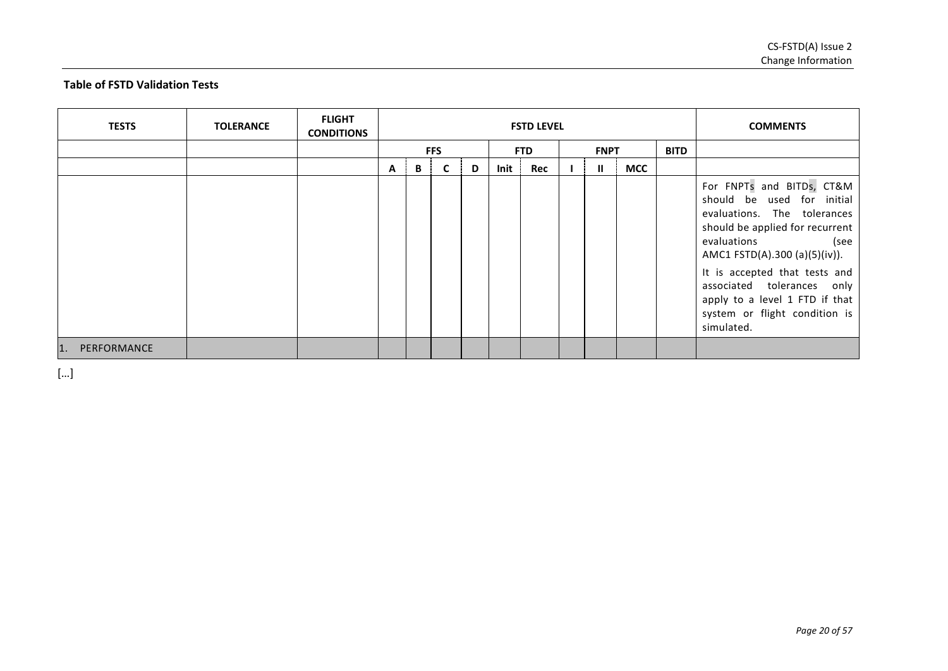# **Table of FSTD Validation Tests**

| <b>TESTS</b>       | <b>TOLERANCE</b> | <b>FLIGHT</b><br><b>CONDITIONS</b> |   |   |            |   |      | <b>FSTD LEVEL</b> |              |            |             | <b>COMMENTS</b>                                                                                                                                                                                                                                                                                                                   |
|--------------------|------------------|------------------------------------|---|---|------------|---|------|-------------------|--------------|------------|-------------|-----------------------------------------------------------------------------------------------------------------------------------------------------------------------------------------------------------------------------------------------------------------------------------------------------------------------------------|
|                    |                  |                                    |   |   | <b>FFS</b> |   |      | <b>FTD</b>        | <b>FNPT</b>  |            | <b>BITD</b> |                                                                                                                                                                                                                                                                                                                                   |
|                    |                  |                                    | A | В | C          | D | Init | Rec               | $\mathbf{I}$ | <b>MCC</b> |             |                                                                                                                                                                                                                                                                                                                                   |
|                    |                  |                                    |   |   |            |   |      |                   |              |            |             | For FNPTs and BITDs, CT&M<br>should be used for initial<br>evaluations. The tolerances<br>should be applied for recurrent<br>evaluations<br>(see<br>AMC1 FSTD(A).300 (a)(5)(iv)).<br>It is accepted that tests and<br>associated tolerances only<br>apply to a level 1 FTD if that<br>system or flight condition is<br>simulated. |
| PERFORMANCE<br>11. |                  |                                    |   |   |            |   |      |                   |              |            |             |                                                                                                                                                                                                                                                                                                                                   |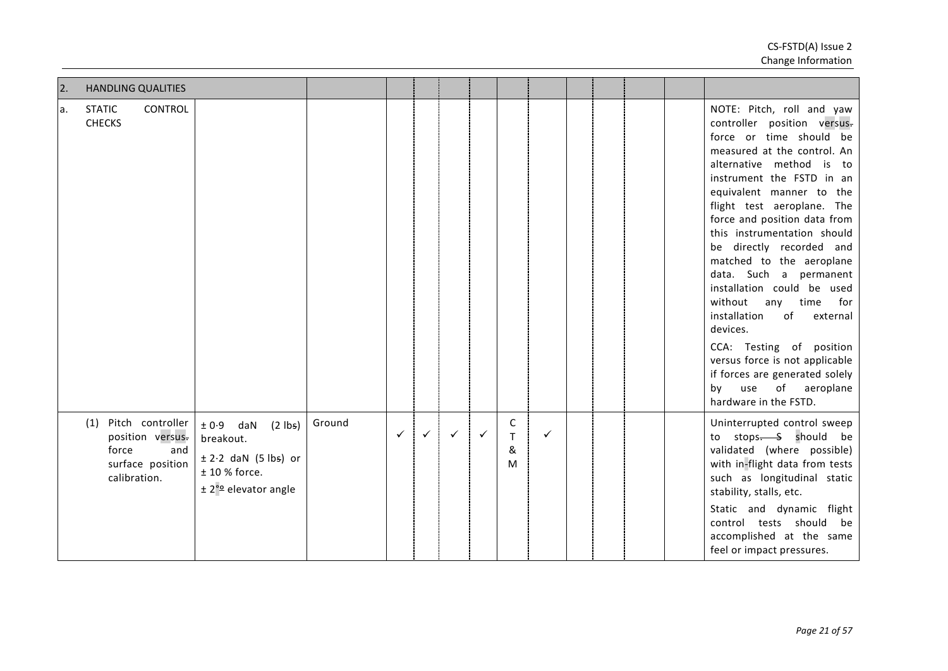| $\overline{2}$ . | <b>HANDLING QUALITIES</b>                                                                    |                                                                                                                      |        |              |              |              |              |                                        |              |  |  |                                                                                                                                                                                                                                                                                                                                                                                                                                                                                                                                                                                                                                                              |
|------------------|----------------------------------------------------------------------------------------------|----------------------------------------------------------------------------------------------------------------------|--------|--------------|--------------|--------------|--------------|----------------------------------------|--------------|--|--|--------------------------------------------------------------------------------------------------------------------------------------------------------------------------------------------------------------------------------------------------------------------------------------------------------------------------------------------------------------------------------------------------------------------------------------------------------------------------------------------------------------------------------------------------------------------------------------------------------------------------------------------------------------|
| la.              | <b>STATIC</b><br><b>CONTROL</b><br><b>CHECKS</b>                                             |                                                                                                                      |        |              |              |              |              |                                        |              |  |  | NOTE: Pitch, roll and yaw<br>controller position versus-<br>force or time should be<br>measured at the control. An<br>alternative method is to<br>instrument the FSTD in an<br>equivalent manner to the<br>flight test aeroplane. The<br>force and position data from<br>this instrumentation should<br>be directly recorded and<br>matched to the aeroplane<br>data. Such a permanent<br>installation could be used<br>without<br>any<br>time<br>for<br>installation<br>of<br>external<br>devices.<br>CCA: Testing of position<br>versus force is not applicable<br>if forces are generated solely<br>use<br>of<br>aeroplane<br>bv<br>hardware in the FSTD. |
|                  | (1) Pitch controller<br>position versus.<br>force<br>and<br>surface position<br>calibration. | $\pm 0.9$ daN (2 lbs)<br>breakout.<br>$\pm$ 2.2 daN (5 lbs) or<br>$± 10 %$ force.<br>± 2 <sup>°</sup> elevator angle | Ground | $\checkmark$ | $\checkmark$ | $\checkmark$ | $\checkmark$ | $\mathsf{C}$<br>$\mathsf{T}$<br>&<br>M | $\checkmark$ |  |  | Uninterrupted control sweep<br>to stops. S should be<br>validated (where possible)<br>with in-flight data from tests<br>such as longitudinal static<br>stability, stalls, etc.<br>Static and dynamic flight<br>control tests should be<br>accomplished at the same<br>feel or impact pressures.                                                                                                                                                                                                                                                                                                                                                              |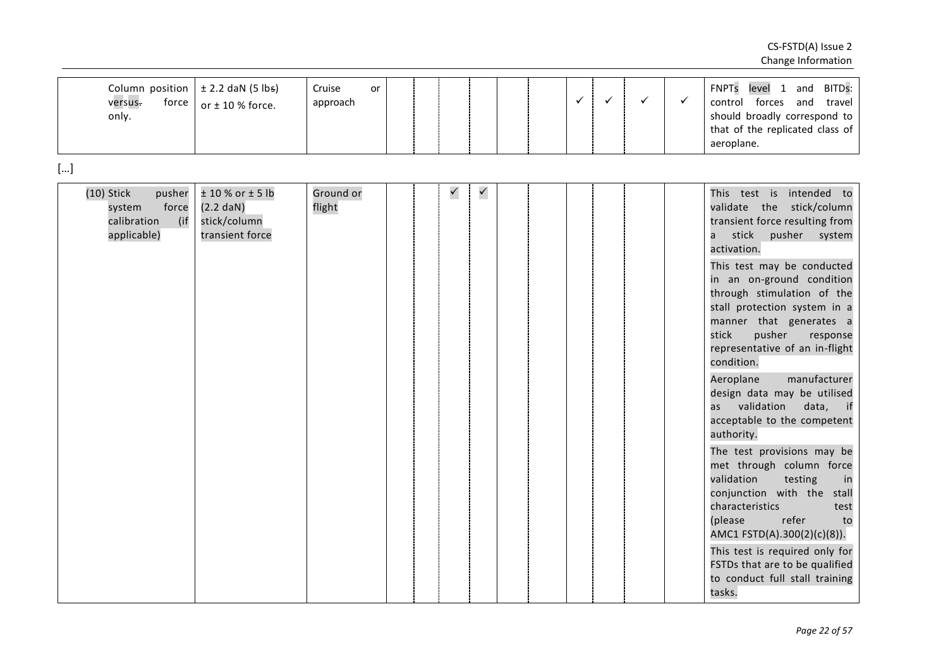|    | Column position<br>versus.<br>only.                  | force                  | $\pm$ 2.2 daN (5 lbs)<br>or $\pm$ 10 % force.                                  | Cruise<br>approach  | <b>or</b> |  |              |              |  | $\checkmark$ | $\checkmark$ | $\checkmark$ | $\checkmark$ | <b>FNPTs</b><br>level 1 and<br>BITDs:<br>control forces and<br>travel<br>should broadly correspond to<br>that of the replicated class of<br>aeroplane.                                                                                                                                                                                                                                                                                                                                                                                                                                                                                                                                                                                                                                                                                       |
|----|------------------------------------------------------|------------------------|--------------------------------------------------------------------------------|---------------------|-----------|--|--------------|--------------|--|--------------|--------------|--------------|--------------|----------------------------------------------------------------------------------------------------------------------------------------------------------------------------------------------------------------------------------------------------------------------------------------------------------------------------------------------------------------------------------------------------------------------------------------------------------------------------------------------------------------------------------------------------------------------------------------------------------------------------------------------------------------------------------------------------------------------------------------------------------------------------------------------------------------------------------------------|
| [] |                                                      |                        |                                                                                |                     |           |  |              |              |  |              |              |              |              |                                                                                                                                                                                                                                                                                                                                                                                                                                                                                                                                                                                                                                                                                                                                                                                                                                              |
|    | $(10)$ Stick<br>system<br>calibration<br>applicable) | pusher<br>force<br>(if | $± 10 %$ or $± 5 lb$<br>$(2.2 \text{ dan})$<br>stick/column<br>transient force | Ground or<br>flight |           |  | $\checkmark$ | $\checkmark$ |  |              |              |              |              | This test is intended to<br>validate the stick/column<br>transient force resulting from<br>stick<br>pusher system<br>a<br>activation.<br>This test may be conducted<br>in an on-ground condition<br>through stimulation of the<br>stall protection system in a<br>manner that generates a<br>pusher<br>stick<br>response<br>representative of an in-flight<br>condition.<br>manufacturer<br>Aeroplane<br>design data may be utilised<br>validation<br>data, if<br>as<br>acceptable to the competent<br>authority.<br>The test provisions may be<br>met through column force<br>validation<br>testing<br>in<br>conjunction with the stall<br>characteristics<br>test<br>refer<br>(please<br>to<br>AMC1 FSTD(A).300(2)(c)(8)).<br>This test is required only for<br>FSTDs that are to be qualified<br>to conduct full stall training<br>tasks. |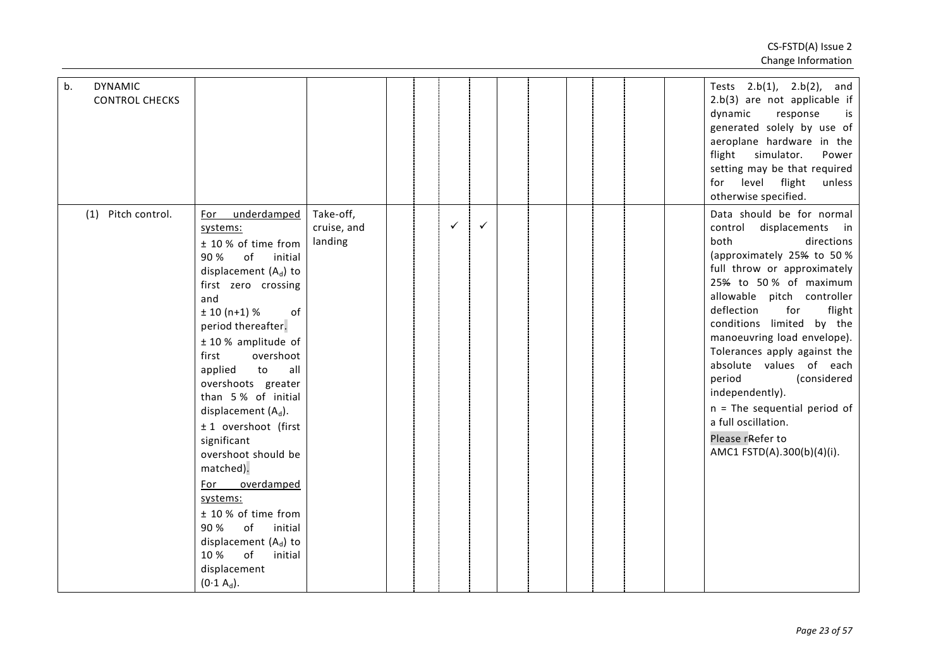| b.<br><b>DYNAMIC</b><br><b>CONTROL CHECKS</b> |                                                                                                                                                                                                                                                                                                                                                                                                                                                                                                                                                                                   |                                     |  |              |              |  |  |  | Tests $2.b(1)$ , $2.b(2)$ , and<br>$2.b(3)$ are not applicable if<br>dynamic<br>response<br>is<br>generated solely by use of<br>aeroplane hardware in the<br>flight<br>simulator.<br>Power<br>setting may be that required<br>for level flight<br>unless<br>otherwise specified.                                                                                                                                                                                                                                        |
|-----------------------------------------------|-----------------------------------------------------------------------------------------------------------------------------------------------------------------------------------------------------------------------------------------------------------------------------------------------------------------------------------------------------------------------------------------------------------------------------------------------------------------------------------------------------------------------------------------------------------------------------------|-------------------------------------|--|--------------|--------------|--|--|--|-------------------------------------------------------------------------------------------------------------------------------------------------------------------------------------------------------------------------------------------------------------------------------------------------------------------------------------------------------------------------------------------------------------------------------------------------------------------------------------------------------------------------|
| Pitch control.<br>(1)                         | underdamped<br>For<br>systems:<br>± 10 % of time from<br>90 %<br>of<br>initial<br>displacement $(A_d)$ to<br>first zero crossing<br>and<br>$± 10(n+1)%$<br>of<br>period thereafter.<br>$± 10 %$ amplitude of<br>overshoot<br>first<br>all<br>applied<br>to<br>overshoots greater<br>than 5% of initial<br>displacement $(A_d)$ .<br>± 1 overshoot (first<br>significant<br>overshoot should be<br>matched).<br>overdamped<br>For<br>systems:<br>± 10 % of time from<br>90 %<br>of<br>initial<br>displacement $(A_d)$ to<br>10 %<br>of<br>initial<br>displacement<br>$(0.1 A_d)$ . | Take-off,<br>cruise, and<br>landing |  | $\checkmark$ | $\checkmark$ |  |  |  | Data should be for normal<br>control displacements in<br>both<br>directions<br>(approximately 25% to 50%<br>full throw or approximately<br>25% to 50% of maximum<br>allowable pitch controller<br>deflection<br>for<br>flight<br>conditions limited by the<br>manoeuvring load envelope).<br>Tolerances apply against the<br>absolute values of each<br>period<br>(considered<br>independently).<br>$n =$ The sequential period of<br>a full oscillation.<br>Please r <sub>Refer</sub> to<br>AMC1 FSTD(A).300(b)(4)(i). |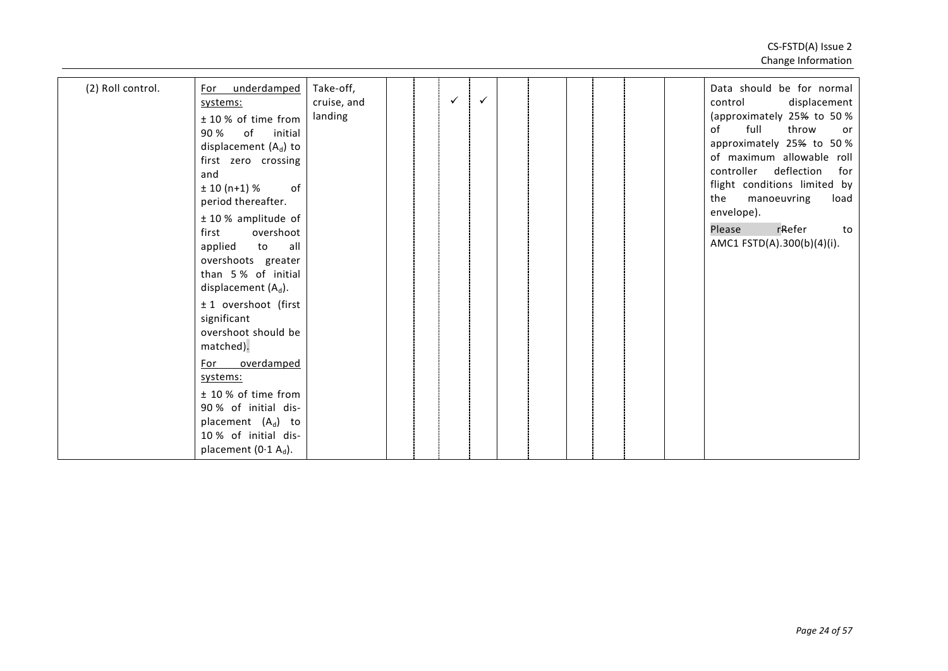| (2) Roll control. | underdamped<br>For<br>systems:<br>± 10 % of time from<br>90 %<br>of<br>initial<br>displacement $(A_d)$ to<br>first zero crossing<br>and<br>$± 10(n+1)%$<br>of<br>period thereafter.<br>$± 10 %$ amplitude of<br>overshoot<br>first<br>to<br>all<br>applied<br>overshoots greater<br>than 5% of initial<br>displacement $(A_d)$ .<br>± 1 overshoot (first<br>significant<br>overshoot should be<br>matched).<br>overdamped<br>For<br>systems:<br>± 10 % of time from<br>90% of initial dis-<br>placement $(A_d)$ to<br>10% of initial dis-<br>placement (0.1 $A_d$ ). | Take-off,<br>cruise, and<br>landing |  | $\checkmark$ | $\checkmark$ |  |  |  | Data should be for normal<br>displacement<br>control<br>(approximately 25% to 50%<br>full<br>throw<br>of<br>or<br>approximately 25% to 50%<br>of maximum allowable roll<br>controller deflection<br>for<br>flight conditions limited by<br>the<br>manoeuvring<br>load<br>envelope).<br>Please<br>rRefer<br>to<br>AMC1 FSTD(A).300(b)(4)(i). |
|-------------------|----------------------------------------------------------------------------------------------------------------------------------------------------------------------------------------------------------------------------------------------------------------------------------------------------------------------------------------------------------------------------------------------------------------------------------------------------------------------------------------------------------------------------------------------------------------------|-------------------------------------|--|--------------|--------------|--|--|--|---------------------------------------------------------------------------------------------------------------------------------------------------------------------------------------------------------------------------------------------------------------------------------------------------------------------------------------------|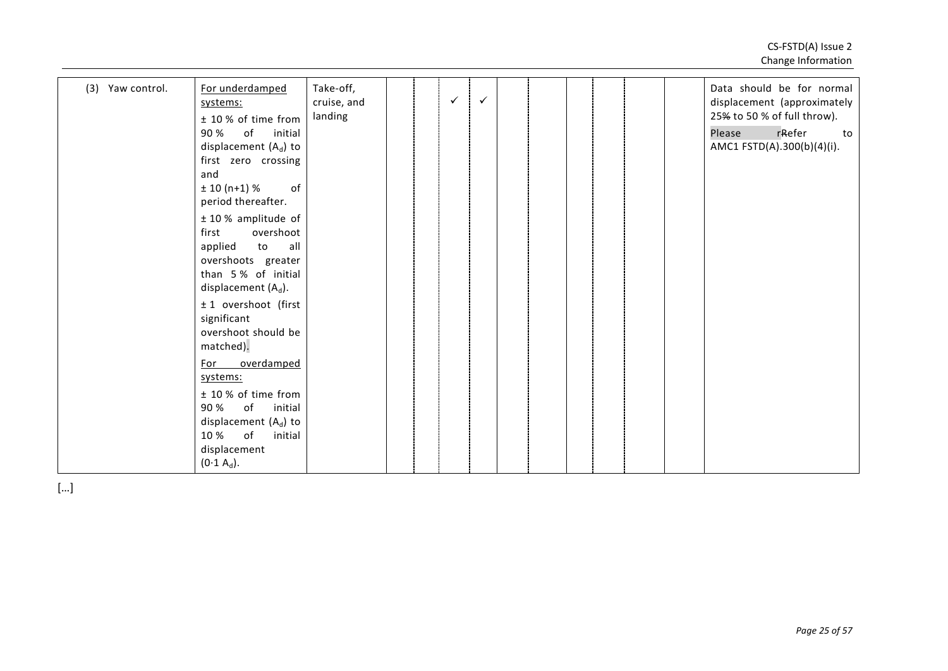| systems:<br>± 10 % of time from<br>90 %<br>of<br>initial<br>displacement $(A_d)$ to<br>of<br>10 %<br>initial<br>displacement<br>$(0.1 A_d).$ | (3) Yaw control.<br>90 %<br>and<br>first<br>For | For underdamped<br>systems:<br>± 10 % of time from<br>of<br>initial<br>displacement $(A_d)$ to<br>first zero crossing<br>of<br>$± 10(n+1)%$<br>period thereafter.<br>$± 10 %$ amplitude of<br>overshoot<br>applied<br>to<br>all<br>overshoots greater<br>than 5% of initial<br>displacement $(A_d)$ .<br>± 1 overshoot (first<br>significant<br>overshoot should be<br>matched).<br>overdamped | Take-off,<br>cruise, and<br>landing |  | $\checkmark$ | $\checkmark$ |  |  |  |  |  | Data should be for normal<br>displacement (approximately<br>25% to 50 % of full throw).<br>Please<br>rRefer<br>to<br>AMC1 FSTD(A).300(b)(4)(i). |
|----------------------------------------------------------------------------------------------------------------------------------------------|-------------------------------------------------|------------------------------------------------------------------------------------------------------------------------------------------------------------------------------------------------------------------------------------------------------------------------------------------------------------------------------------------------------------------------------------------------|-------------------------------------|--|--------------|--------------|--|--|--|--|--|-------------------------------------------------------------------------------------------------------------------------------------------------|
|----------------------------------------------------------------------------------------------------------------------------------------------|-------------------------------------------------|------------------------------------------------------------------------------------------------------------------------------------------------------------------------------------------------------------------------------------------------------------------------------------------------------------------------------------------------------------------------------------------------|-------------------------------------|--|--------------|--------------|--|--|--|--|--|-------------------------------------------------------------------------------------------------------------------------------------------------|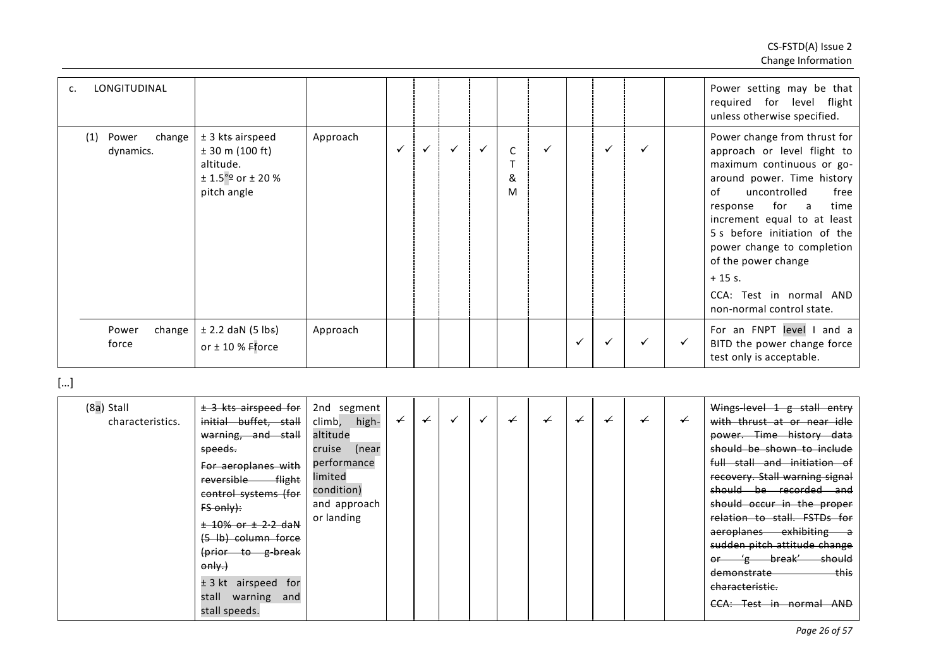| LONGITUDINAL<br>c.                  |                                                                                                             |          |              |   |              |             |   |              |              |   |   | Power setting may be that<br>required for level flight<br>unless otherwise specified.                                                                                                                                                                                                                                                                                     |
|-------------------------------------|-------------------------------------------------------------------------------------------------------------|----------|--------------|---|--------------|-------------|---|--------------|--------------|---|---|---------------------------------------------------------------------------------------------------------------------------------------------------------------------------------------------------------------------------------------------------------------------------------------------------------------------------------------------------------------------------|
| (1)<br>Power<br>change<br>dynamics. | $±$ 3 kts airspeed<br>$± 30$ m (100 ft)<br>altitude.<br>$\pm$ 1.5 $^{\circ}$ 9 or $\pm$ 20 %<br>pitch angle | Approach | $\checkmark$ | ✓ | $\checkmark$ | C<br>&<br>M | ✓ |              | $\checkmark$ |   |   | Power change from thrust for<br>approach or level flight to<br>maximum continuous or go-<br>around power. Time history<br>of<br>uncontrolled<br>free<br>for a<br>time<br>response<br>increment equal to at least<br>5 s before initiation of the<br>power change to completion<br>of the power change<br>$+15$ s.<br>CCA: Test in normal AND<br>non-normal control state. |
| change<br>Power<br>force            | $\pm$ 2.2 daN (5 lbs)<br>or $\pm$ 10 % Fforce                                                               | Approach |              |   |              |             |   | $\checkmark$ | $\checkmark$ | ✓ | ✓ | For an FNPT level I<br>and a<br>BITD the power change force<br>test only is acceptable.                                                                                                                                                                                                                                                                                   |

| (8a) Stall<br>characteristics. | $±$ 3 kts airspeed for<br>initial buffet, stall | 2nd segment<br>high-<br>climb, | $\leftarrow$ | $\overline{\phantom{0}}$ |  | ≁ | ≁ |  | $\overline{\phantom{0}}$ | Wings-level 1 g stall entry<br>with thrust at or near idle |
|--------------------------------|-------------------------------------------------|--------------------------------|--------------|--------------------------|--|---|---|--|--------------------------|------------------------------------------------------------|
|                                |                                                 |                                |              |                          |  |   |   |  |                          |                                                            |
|                                | warning, and stall                              | altitude                       |              |                          |  |   |   |  |                          | power. Time history data                                   |
|                                | speeds.                                         | cruise<br>(near                |              |                          |  |   |   |  |                          | should be shown to include                                 |
|                                | For aeroplanes with                             | performance                    |              |                          |  |   |   |  |                          | full stall and initiation of                               |
|                                | flight<br>reversible                            | limited                        |              |                          |  |   |   |  |                          | recovery. Stall warning signal                             |
|                                | control systems (for                            | condition)                     |              |                          |  |   |   |  |                          | should be recorded and                                     |
|                                | $FS$ only):                                     | and approach                   |              |                          |  |   |   |  |                          | should occur in the proper                                 |
|                                | <del>± 10% or ± 2-2 daN</del>                   | or landing                     |              |                          |  |   |   |  |                          | relation to stall. FSTDs for                               |
|                                |                                                 |                                |              |                          |  |   |   |  |                          | aeroplanes exhibiting a                                    |
|                                | (5 lb) column force                             |                                |              |                          |  |   |   |  |                          | sudden pitch attitude change                               |
|                                | (prior to g-break                               |                                |              |                          |  |   |   |  |                          |                                                            |
|                                | only.                                           |                                |              |                          |  |   |   |  |                          | break'<br><del>should</del><br>'சூ                         |
|                                |                                                 |                                |              |                          |  |   |   |  |                          | this<br><del>demonstrate</del>                             |
|                                | $± 3 kt$ airspeed for                           |                                |              |                          |  |   |   |  |                          | characteristic.                                            |
|                                | stall warning and                               |                                |              |                          |  |   |   |  |                          |                                                            |
|                                | stall speeds.                                   |                                |              |                          |  |   |   |  |                          | CCA: Test in normal<br><b>AND</b>                          |
|                                |                                                 |                                |              |                          |  |   |   |  |                          |                                                            |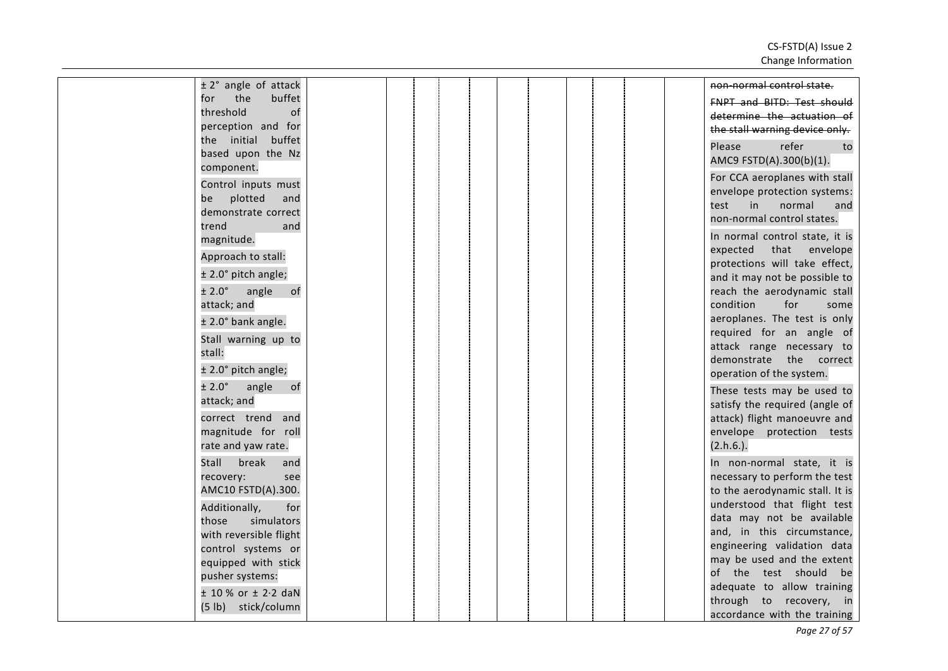| $± 2°$ angle of attack           |  |  |  | non-normal control state.                                    |
|----------------------------------|--|--|--|--------------------------------------------------------------|
| the<br>buffet<br>for             |  |  |  | <b>FNPT and BITD: Test should</b>                            |
| threshold<br>of                  |  |  |  | determine the actuation of                                   |
| perception and for               |  |  |  | the stall warning device only.                               |
| the initial buffet               |  |  |  | Please<br>refer<br>to                                        |
| based upon the Nz                |  |  |  | AMC9 FSTD(A).300(b)(1).                                      |
| component.                       |  |  |  | For CCA aeroplanes with stall                                |
| Control inputs must              |  |  |  | envelope protection systems:                                 |
| plotted<br>be<br>and             |  |  |  | test<br>in<br>normal<br>and                                  |
| demonstrate correct<br>trend     |  |  |  | non-normal control states.                                   |
| and<br>magnitude.                |  |  |  | In normal control state, it is                               |
|                                  |  |  |  | expected<br>that<br>envelope                                 |
| Approach to stall:               |  |  |  | protections will take effect,                                |
| ± 2.0° pitch angle;              |  |  |  | and it may not be possible to                                |
| $\pm 2.0^{\circ}$<br>angle<br>of |  |  |  | reach the aerodynamic stall                                  |
| attack; and                      |  |  |  | condition<br>for<br>some                                     |
| $±$ 2.0 $^{\circ}$ bank angle.   |  |  |  | aeroplanes. The test is only                                 |
| Stall warning up to              |  |  |  | required for an angle of                                     |
| stall:                           |  |  |  | attack range necessary to<br>demonstrate the correct         |
| ± 2.0° pitch angle;              |  |  |  | operation of the system.                                     |
| ± 2.0°<br>angle<br>of            |  |  |  |                                                              |
| attack; and                      |  |  |  | These tests may be used to<br>satisfy the required (angle of |
| correct trend and                |  |  |  | attack) flight manoeuvre and                                 |
| magnitude for roll               |  |  |  | envelope protection tests                                    |
| rate and yaw rate.               |  |  |  | $(2.h.6.)$ .                                                 |
| Stall<br>break<br>and            |  |  |  | In non-normal state, it is                                   |
| recovery:<br>see                 |  |  |  | necessary to perform the test                                |
| AMC10 FSTD(A).300.               |  |  |  | to the aerodynamic stall. It is                              |
| Additionally,<br>for             |  |  |  | understood that flight test                                  |
| simulators<br>those              |  |  |  | data may not be available                                    |
| with reversible flight           |  |  |  | and, in this circumstance,                                   |
| control systems or               |  |  |  | engineering validation data                                  |
| equipped with stick              |  |  |  | may be used and the extent                                   |
| pusher systems:                  |  |  |  | of the test should be                                        |
| $± 10 \%$ or $± 2.2$ daN         |  |  |  | adequate to allow training                                   |
| (5 lb) stick/column              |  |  |  | through to recovery, in<br>accordance with the training      |
|                                  |  |  |  |                                                              |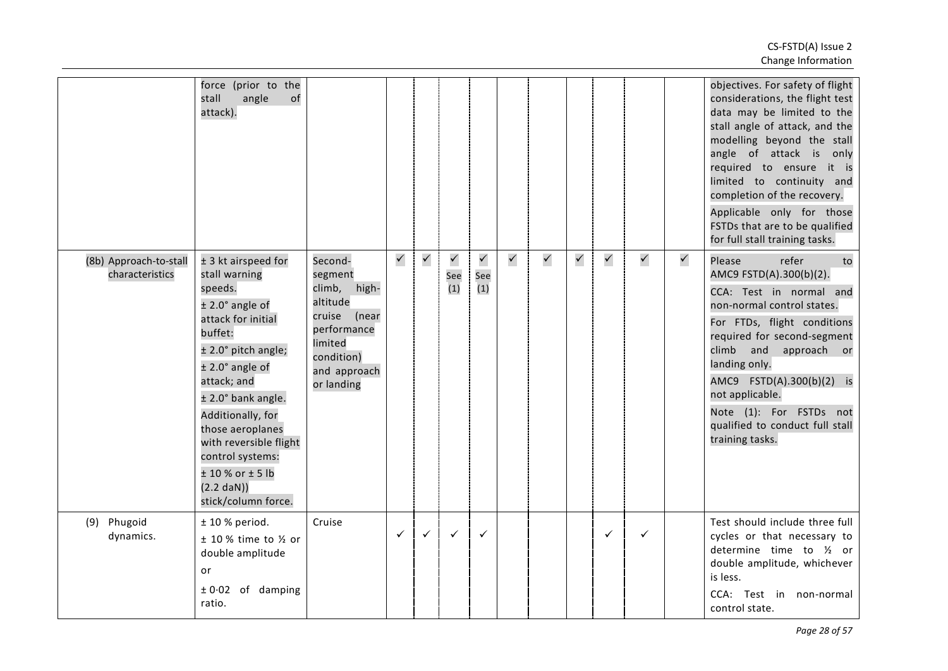|                                           | force (prior to the<br>angle<br>of<br>stall<br>attack).                                                                                                                                                                                                                                                                                                                  |                                                                                                                                         |              |              |                            |                            |              |              |              |              |              |              | objectives. For safety of flight<br>considerations, the flight test<br>data may be limited to the<br>stall angle of attack, and the<br>modelling beyond the stall<br>angle of attack is<br>only<br>required to ensure it is<br>limited to continuity and<br>completion of the recovery.<br>Applicable only for those<br>FSTDs that are to be qualified<br>for full stall training tasks. |
|-------------------------------------------|--------------------------------------------------------------------------------------------------------------------------------------------------------------------------------------------------------------------------------------------------------------------------------------------------------------------------------------------------------------------------|-----------------------------------------------------------------------------------------------------------------------------------------|--------------|--------------|----------------------------|----------------------------|--------------|--------------|--------------|--------------|--------------|--------------|------------------------------------------------------------------------------------------------------------------------------------------------------------------------------------------------------------------------------------------------------------------------------------------------------------------------------------------------------------------------------------------|
| (8b) Approach-to-stall<br>characteristics | ± 3 kt airspeed for<br>stall warning<br>speeds.<br>$±$ 2.0 $^{\circ}$ angle of<br>attack for initial<br>buffet:<br>± 2.0° pitch angle;<br>$±$ 2.0 $^{\circ}$ angle of<br>attack; and<br>± 2.0° bank angle.<br>Additionally, for<br>those aeroplanes<br>with reversible flight<br>control systems:<br>$± 10 %$ or $± 5 lb$<br>$(2.2 \text{ dan}))$<br>stick/column force. | Second-<br>segment<br>climb, high-<br>altitude<br>cruise<br>(near<br>performance<br>limited<br>condition)<br>and approach<br>or landing | $\checkmark$ | $\checkmark$ | $\checkmark$<br>See<br>(1) | $\checkmark$<br>See<br>(1) | $\checkmark$ | $\checkmark$ | $\checkmark$ | $\checkmark$ | $\checkmark$ | $\checkmark$ | Please<br>refer<br>to<br>AMC9 FSTD(A).300(b)(2).<br>CCA: Test in normal and<br>non-normal control states.<br>For FTDs, flight conditions<br>required for second-segment<br>climb and approach or<br>landing only.<br>AMC9 FSTD(A).300(b)(2) is<br>not applicable.<br>Note (1): For FSTDs not<br>qualified to conduct full stall<br>training tasks.                                       |
| Phugoid<br>(9)<br>dynamics.               | $± 10 %$ period.<br>$±$ 10 % time to $\frac{1}{2}$ or<br>double amplitude<br>or<br>$± 0.02$ of damping<br>ratio.                                                                                                                                                                                                                                                         | Cruise                                                                                                                                  | ✓            | $\checkmark$ | $\checkmark$               | $\checkmark$               |              |              |              | ✓            | $\checkmark$ |              | Test should include three full<br>cycles or that necessary to<br>determine time to 1/2 or<br>double amplitude, whichever<br>is less.<br>CCA: Test in non-normal<br>control state.                                                                                                                                                                                                        |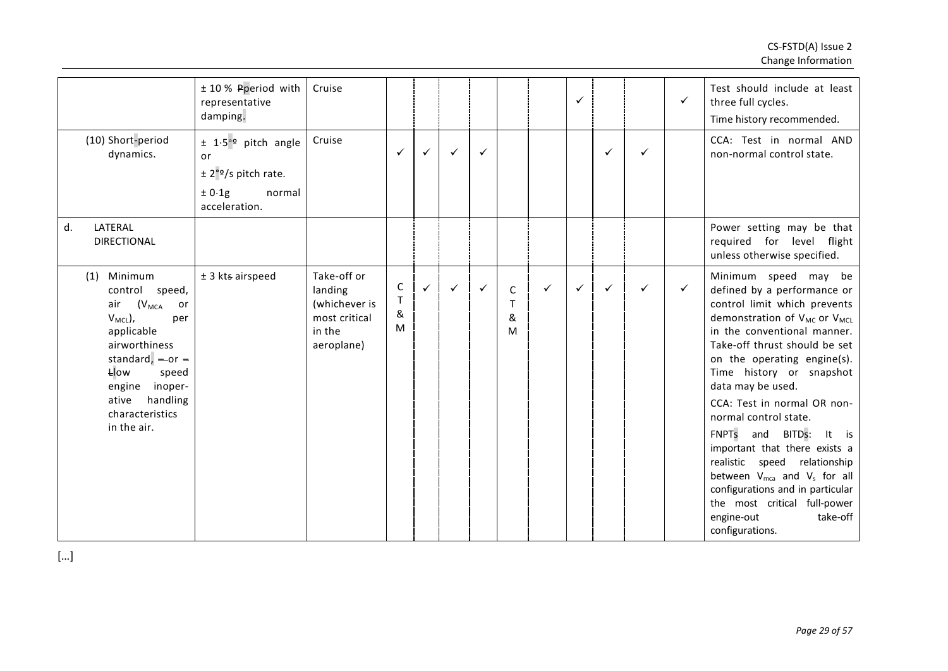|                                                                                                                                                                                                                                                    | ± 10 % Pperiod with<br>representative<br>damping.                                                                      | Cruise                                                                           |                             |   |              |   |                            |   | ✓ |              |   | $\checkmark$ | Test should include at least<br>three full cycles.<br>Time history recommended.                                                                                                                                                                                                                                                                                                                                                                                                                                                                                                                           |
|----------------------------------------------------------------------------------------------------------------------------------------------------------------------------------------------------------------------------------------------------|------------------------------------------------------------------------------------------------------------------------|----------------------------------------------------------------------------------|-----------------------------|---|--------------|---|----------------------------|---|---|--------------|---|--------------|-----------------------------------------------------------------------------------------------------------------------------------------------------------------------------------------------------------------------------------------------------------------------------------------------------------------------------------------------------------------------------------------------------------------------------------------------------------------------------------------------------------------------------------------------------------------------------------------------------------|
| (10) Short-period<br>dynamics.                                                                                                                                                                                                                     | $\pm$ 1.5° <sup>o</sup> pitch angle<br>or<br>$\pm$ 2° <sup>o</sup> /s pitch rate.<br>± 0.1g<br>normal<br>acceleration. | Cruise                                                                           | $\checkmark$                | ✓ | $\checkmark$ | ✓ |                            |   |   | ✓            | ✓ |              | CCA: Test in normal AND<br>non-normal control state.                                                                                                                                                                                                                                                                                                                                                                                                                                                                                                                                                      |
| d.<br>LATERAL<br><b>DIRECTIONAL</b>                                                                                                                                                                                                                |                                                                                                                        |                                                                                  |                             |   |              |   |                            |   |   |              |   |              | Power setting may be that<br>required for level flight<br>unless otherwise specified.                                                                                                                                                                                                                                                                                                                                                                                                                                                                                                                     |
| Minimum<br>(1)<br>control speed,<br>$(V_{\sf MCA})$<br>air<br>or<br>$V_{MCL}$ ),<br>per<br>applicable<br>airworthiness<br>standard, $-$ or $-$<br><b>Llow</b><br>speed<br>engine<br>inoper-<br>handling<br>ative<br>characteristics<br>in the air. | $±$ 3 kts airspeed                                                                                                     | Take-off or<br>landing<br>(whichever is<br>most critical<br>in the<br>aeroplane) | C<br>$\mathsf{T}$<br>&<br>M | ✓ | ✓            | ✓ | $\mathsf C$<br>T<br>&<br>M | ✓ | ✓ | $\checkmark$ | ✓ | $\checkmark$ | Minimum speed may be<br>defined by a performance or<br>control limit which prevents<br>demonstration of V <sub>MC</sub> or V <sub>MCL</sub><br>in the conventional manner.<br>Take-off thrust should be set<br>on the operating engine(s).<br>Time history or snapshot<br>data may be used.<br>CCA: Test in normal OR non-<br>normal control state.<br>FNPTs and BITDs:<br>It is<br>important that there exists a<br>realistic speed relationship<br>between $V_{mca}$ and $V_s$ for all<br>configurations and in particular<br>the most critical full-power<br>take-off<br>engine-out<br>configurations. |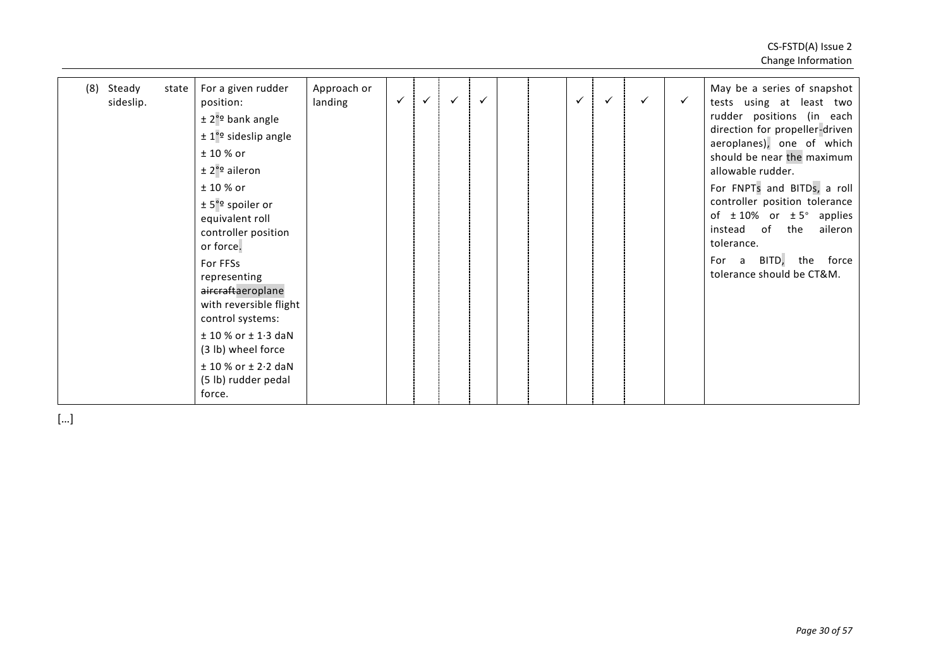| Steady<br>(8)<br>state<br>sideslip. | For a given rudder<br>position:<br>$\pm$ 2 <sup>°</sup> bank angle<br>$± 1°$ <sup>o</sup> sideslip angle<br>$± 10 %$ or                                                                                                                                                                          | Approach or<br>landing | $\checkmark$ | $\checkmark$ | $\checkmark$ | $\checkmark$ |  | $\checkmark$ | ✓ | $\checkmark$ | $\checkmark$ | May be a series of snapshot<br>tests using at least two<br>rudder positions (in each                                                                                                                                                                                                                                |
|-------------------------------------|--------------------------------------------------------------------------------------------------------------------------------------------------------------------------------------------------------------------------------------------------------------------------------------------------|------------------------|--------------|--------------|--------------|--------------|--|--------------|---|--------------|--------------|---------------------------------------------------------------------------------------------------------------------------------------------------------------------------------------------------------------------------------------------------------------------------------------------------------------------|
|                                     | $\pm 2^{\circ}$ aileron<br>$± 10 %$ or<br>$± 5°°$ spoiler or<br>equivalent roll<br>controller position<br>or force.<br>For FFSs<br>representing<br>aircraftaeroplane<br>with reversible flight<br>control systems:<br>$± 10 \%$ or $± 1.3$ daN<br>(3 lb) wheel force<br>$± 10 \%$ or $± 2.2$ daN |                        |              |              |              |              |  |              |   |              |              | direction for propeller-driven<br>aeroplanes), one of which<br>should be near the maximum<br>allowable rudder.<br>For FNPTs and BITDs, a roll<br>controller position tolerance<br>of $\pm$ 10% or $\pm$ 5° applies<br>instead of the<br>aileron<br>tolerance.<br>For a BITD, the force<br>tolerance should be CT&M. |
|                                     | (5 lb) rudder pedal<br>force.                                                                                                                                                                                                                                                                    |                        |              |              |              |              |  |              |   |              |              |                                                                                                                                                                                                                                                                                                                     |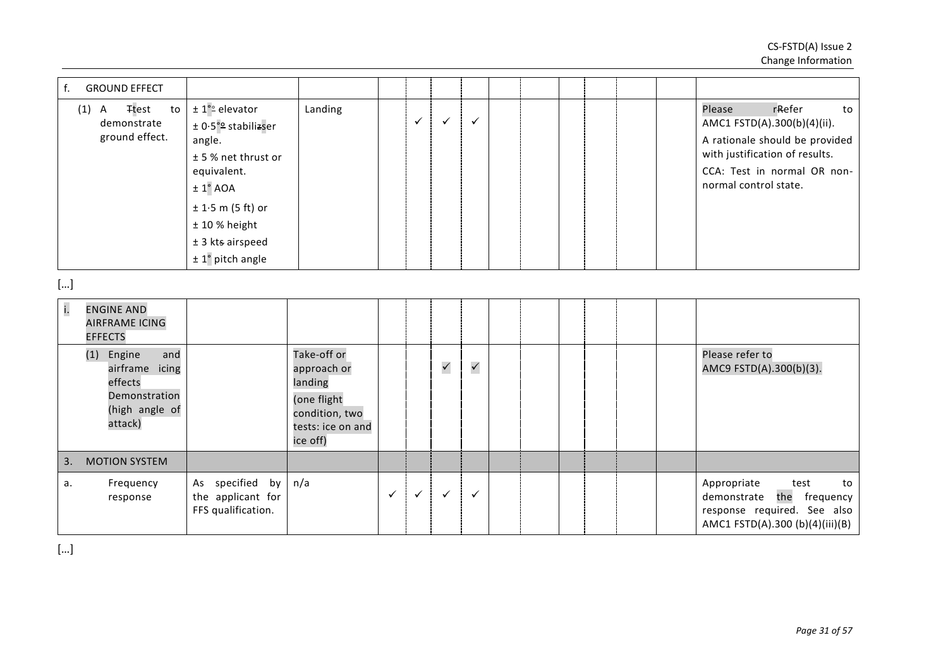| <b>GROUND EFFECT</b><br>f.                                                                   |                                                                                                                                                                                                          |                                                                                                         |              |              |              |              |  |  |  |                                                                                                                                                                                   |
|----------------------------------------------------------------------------------------------|----------------------------------------------------------------------------------------------------------------------------------------------------------------------------------------------------------|---------------------------------------------------------------------------------------------------------|--------------|--------------|--------------|--------------|--|--|--|-----------------------------------------------------------------------------------------------------------------------------------------------------------------------------------|
| <b>Ttest</b><br>$(1)$ A<br>to<br>demonstrate<br>ground effect.                               | $± 1°$ <sup>o</sup> elevator<br>± 0.5°º stabilizser<br>angle.<br>± 5 % net thrust or<br>equivalent.<br>$\pm$ 1° AOA<br>$± 1.5$ m (5 ft) or<br>$± 10%$ height<br>$±$ 3 kts airspeed<br>$± 1°$ pitch angle | Landing                                                                                                 |              | $\checkmark$ | $\checkmark$ | $\checkmark$ |  |  |  | Please<br>rRefer<br>to<br>AMC1 FSTD(A).300(b)(4)(ii).<br>A rationale should be provided<br>with justification of results.<br>CCA: Test in normal OR non-<br>normal control state. |
| []                                                                                           |                                                                                                                                                                                                          |                                                                                                         |              |              |              |              |  |  |  |                                                                                                                                                                                   |
| i.<br><b>ENGINE AND</b><br><b>AIRFRAME ICING</b><br><b>EFFECTS</b>                           |                                                                                                                                                                                                          |                                                                                                         |              |              |              |              |  |  |  |                                                                                                                                                                                   |
| and<br>(1) Engine<br>airframe icing<br>effects<br>Demonstration<br>(high angle of<br>attack) |                                                                                                                                                                                                          | Take-off or<br>approach or<br>landing<br>(one flight<br>condition, two<br>tests: ice on and<br>ice off) |              |              | $\checkmark$ | $\checkmark$ |  |  |  | Please refer to<br>AMC9 FSTD(A).300(b)(3).                                                                                                                                        |
| <b>MOTION SYSTEM</b><br>3.                                                                   |                                                                                                                                                                                                          |                                                                                                         |              |              |              |              |  |  |  |                                                                                                                                                                                   |
| Frequency<br>а.<br>response                                                                  | specified by<br>As<br>the applicant for<br>FFS qualification.                                                                                                                                            | n/a                                                                                                     | $\checkmark$ | $\checkmark$ | $\checkmark$ | $\checkmark$ |  |  |  | Appropriate<br>test<br>to<br>demonstrate<br>the frequency<br>response required. See also<br>AMC1 FSTD(A).300 (b)(4)(iii)(B)                                                       |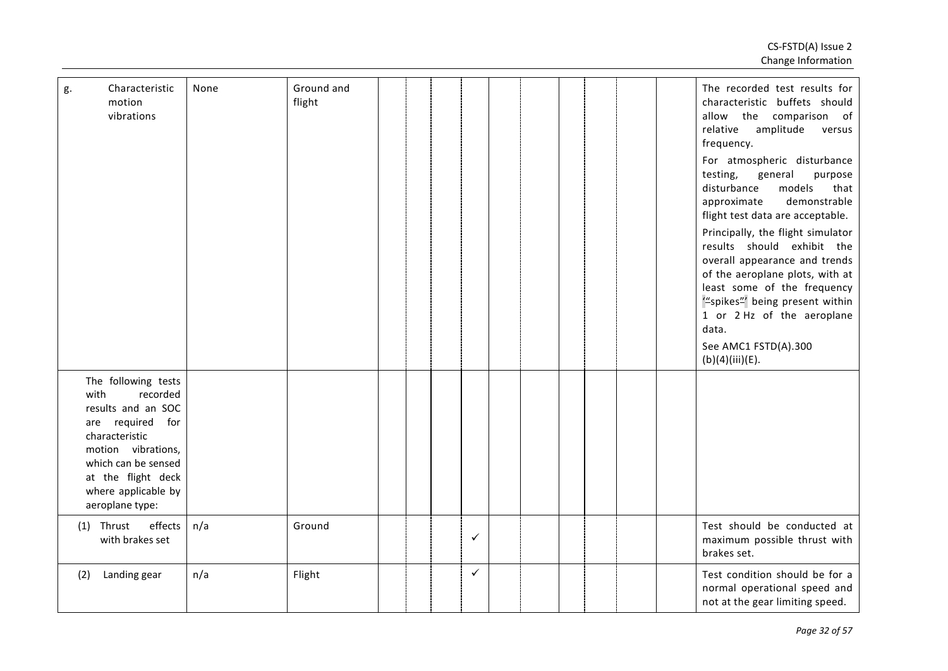| g.   | Characteristic<br>motion<br>vibrations                                                                                                                                                                   | None | Ground and<br>flight |  |              |  |  |  | The recorded test results for<br>characteristic buffets should<br>allow the comparison of<br>relative<br>amplitude<br>versus<br>frequency.<br>For atmospheric disturbance<br>testing,<br>general<br>purpose<br>disturbance<br>models<br>that<br>demonstrable<br>approximate<br>flight test data are acceptable.<br>Principally, the flight simulator<br>results should exhibit the<br>overall appearance and trends<br>of the aeroplane plots, with at<br>least some of the frequency<br>"spikes" being present within<br>1 or 2 Hz of the aeroplane<br>data.<br>See AMC1 FSTD(A).300<br>(b)(4)(iii)(E). |
|------|----------------------------------------------------------------------------------------------------------------------------------------------------------------------------------------------------------|------|----------------------|--|--------------|--|--|--|----------------------------------------------------------------------------------------------------------------------------------------------------------------------------------------------------------------------------------------------------------------------------------------------------------------------------------------------------------------------------------------------------------------------------------------------------------------------------------------------------------------------------------------------------------------------------------------------------------|
| with | The following tests<br>recorded<br>results and an SOC<br>are required for<br>characteristic<br>motion vibrations,<br>which can be sensed<br>at the flight deck<br>where applicable by<br>aeroplane type: |      |                      |  |              |  |  |  |                                                                                                                                                                                                                                                                                                                                                                                                                                                                                                                                                                                                          |
|      | effects<br>$(1)$ Thrust<br>with brakes set                                                                                                                                                               | n/a  | Ground               |  | ✓            |  |  |  | Test should be conducted at<br>maximum possible thrust with<br>brakes set.                                                                                                                                                                                                                                                                                                                                                                                                                                                                                                                               |
| (2)  | Landing gear                                                                                                                                                                                             | n/a  | Flight               |  | $\checkmark$ |  |  |  | Test condition should be for a<br>normal operational speed and<br>not at the gear limiting speed.                                                                                                                                                                                                                                                                                                                                                                                                                                                                                                        |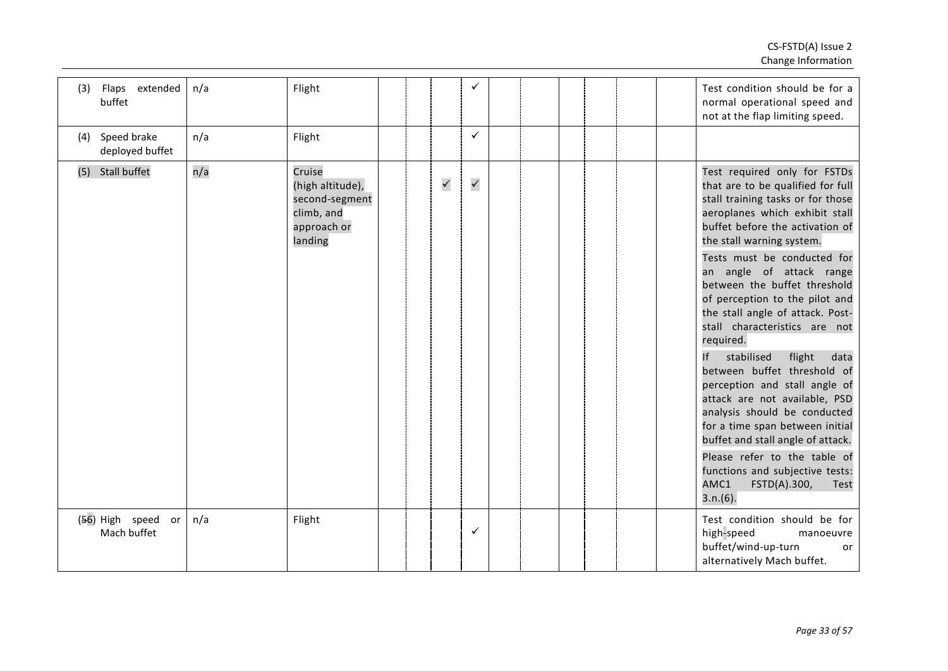| (3) | Flaps extended<br>buffet             | n/a | Flight                                                                               |  |              | ✓            |  |  |  | Test condition should be for a<br>normal operational speed and<br>not at the flap limiting speed.                                                                                                                                                                                                                                                                                                                                                                                                                                                                                                                                                                                                                                                                                        |
|-----|--------------------------------------|-----|--------------------------------------------------------------------------------------|--|--------------|--------------|--|--|--|------------------------------------------------------------------------------------------------------------------------------------------------------------------------------------------------------------------------------------------------------------------------------------------------------------------------------------------------------------------------------------------------------------------------------------------------------------------------------------------------------------------------------------------------------------------------------------------------------------------------------------------------------------------------------------------------------------------------------------------------------------------------------------------|
| (4) | Speed brake<br>deployed buffet       | n/a | Flight                                                                               |  |              | ✓            |  |  |  |                                                                                                                                                                                                                                                                                                                                                                                                                                                                                                                                                                                                                                                                                                                                                                                          |
|     | (5) Stall buffet                     | n/a | Cruise<br>(high altitude),<br>second-segment<br>climb, and<br>approach or<br>landing |  | $\checkmark$ | $\checkmark$ |  |  |  | Test required only for FSTDs<br>that are to be qualified for full<br>stall training tasks or for those<br>aeroplanes which exhibit stall<br>buffet before the activation of<br>the stall warning system.<br>Tests must be conducted for<br>an angle of attack range<br>between the buffet threshold<br>of perception to the pilot and<br>the stall angle of attack. Post-<br>stall characteristics are not<br>required.<br>stabilised<br>flight<br>data<br>If<br>between buffet threshold of<br>perception and stall angle of<br>attack are not available, PSD<br>analysis should be conducted<br>for a time span between initial<br>buffet and stall angle of attack.<br>Please refer to the table of<br>functions and subjective tests:<br>AMC1<br>FSTD(A).300,<br>Test<br>$3.n.(6)$ . |
|     | (56) High speed<br>or<br>Mach buffet | n/a | Flight                                                                               |  |              | ✓            |  |  |  | Test condition should be for<br>high-speed<br>manoeuvre<br>buffet/wind-up-turn<br>or<br>alternatively Mach buffet.                                                                                                                                                                                                                                                                                                                                                                                                                                                                                                                                                                                                                                                                       |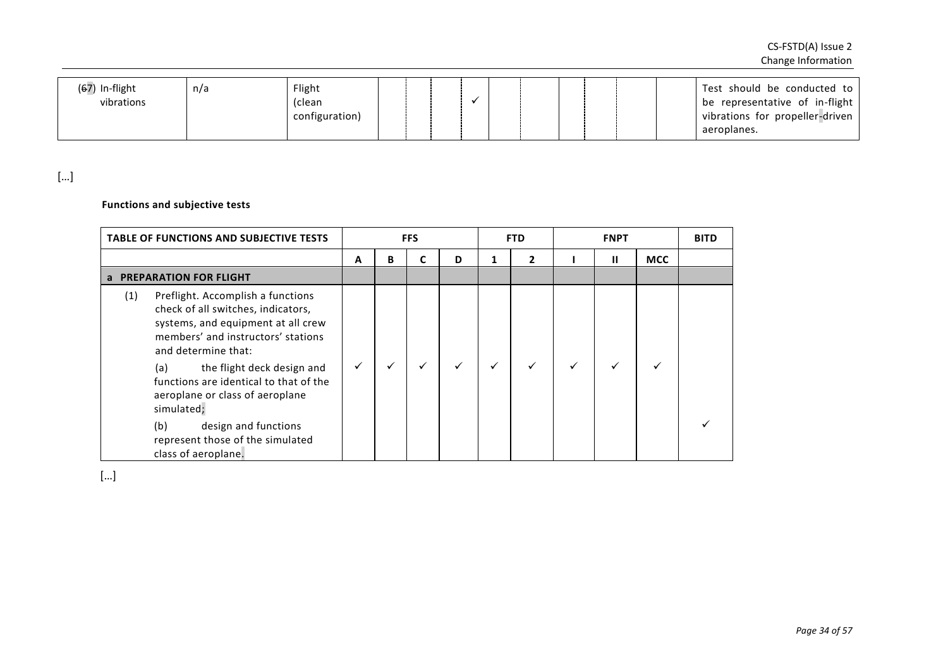| $(67)$ In-flight<br>Flight<br>n/a<br>vibrations<br>(clean<br>configuration) |  |  |  |  |  | Test should be conducted to<br>be representative of in-flight<br>vibrations for propeller-driven<br>aeroplanes. |
|-----------------------------------------------------------------------------|--|--|--|--|--|-----------------------------------------------------------------------------------------------------------------|

# **Functions and subjective tests**

| <b>TABLE OF FUNCTIONS AND SUBJECTIVE TESTS</b>                                                                                                                                    |              |   | <b>FFS</b> |   |              | <b>FTD</b>   |   | <b>FNPT</b> |            | <b>BITD</b> |
|-----------------------------------------------------------------------------------------------------------------------------------------------------------------------------------|--------------|---|------------|---|--------------|--------------|---|-------------|------------|-------------|
|                                                                                                                                                                                   | A            | В |            | D | 1            | $\mathbf{2}$ |   | Ш           | <b>MCC</b> |             |
| a PREPARATION FOR FLIGHT                                                                                                                                                          |              |   |            |   |              |              |   |             |            |             |
| Preflight. Accomplish a functions<br>(1)<br>check of all switches, indicators,<br>systems, and equipment at all crew<br>members' and instructors' stations<br>and determine that: |              |   |            |   |              |              |   |             |            |             |
| the flight deck design and<br>(a)<br>functions are identical to that of the<br>aeroplane or class of aeroplane<br>simulated;                                                      | $\checkmark$ |   |            |   | $\checkmark$ | ✓            | ✓ |             |            |             |
| (b)<br>design and functions<br>represent those of the simulated<br>class of aeroplane.                                                                                            |              |   |            |   |              |              |   |             |            |             |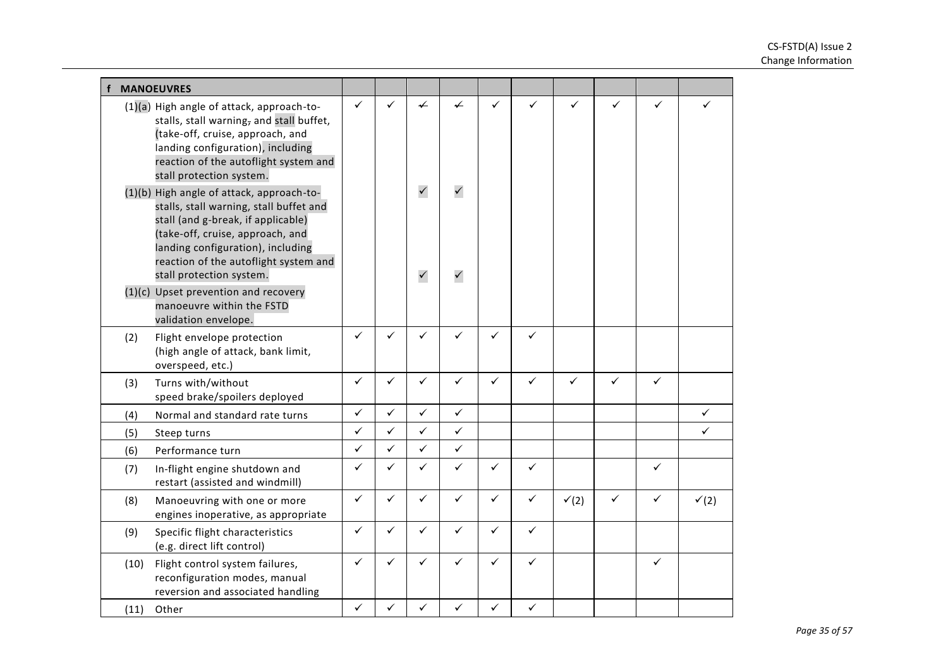|      | <b>MANOEUVRES</b>                                                                                                                                                                                                                                                        |              |              |                              |                              |              |              |                  |   |   |                  |
|------|--------------------------------------------------------------------------------------------------------------------------------------------------------------------------------------------------------------------------------------------------------------------------|--------------|--------------|------------------------------|------------------------------|--------------|--------------|------------------|---|---|------------------|
|      | (1)(a) High angle of attack, approach-to-<br>stalls, stall warning, and stall buffet,<br>(take-off, cruise, approach, and<br>landing configuration), including<br>reaction of the autoflight system and<br>stall protection system.                                      | ✓            | ✓            | $\checkmark$                 | ✓                            | ✓            | ✓            | ✓                | ✓ | ✓ | ✓                |
|      | (1)(b) High angle of attack, approach-to-<br>stalls, stall warning, stall buffet and<br>stall (and g-break, if applicable)<br>(take-off, cruise, approach, and<br>landing configuration), including<br>reaction of the autoflight system and<br>stall protection system. |              |              | $\checkmark$<br>$\checkmark$ | $\checkmark$<br>$\checkmark$ |              |              |                  |   |   |                  |
|      | (1)(c) Upset prevention and recovery<br>manoeuvre within the FSTD<br>validation envelope.                                                                                                                                                                                |              |              |                              |                              |              |              |                  |   |   |                  |
| (2)  | Flight envelope protection<br>(high angle of attack, bank limit,<br>overspeed, etc.)                                                                                                                                                                                     | $\checkmark$ | $\checkmark$ | $\checkmark$                 | $\checkmark$                 | $\checkmark$ | ✓            |                  |   |   |                  |
| (3)  | Turns with/without<br>speed brake/spoilers deployed                                                                                                                                                                                                                      | $\checkmark$ | $\checkmark$ | $\checkmark$                 | ✓                            | $\checkmark$ | ✓            | ✓                | ✓ | ✓ |                  |
| (4)  | Normal and standard rate turns                                                                                                                                                                                                                                           | ✓            | $\checkmark$ | $\checkmark$                 | $\checkmark$                 |              |              |                  |   |   | $\checkmark$     |
| (5)  | Steep turns                                                                                                                                                                                                                                                              | ✓            | $\checkmark$ | $\checkmark$                 | ✓                            |              |              |                  |   |   | ✓                |
| (6)  | Performance turn                                                                                                                                                                                                                                                         | ✓            | $\checkmark$ | $\checkmark$                 | $\checkmark$                 |              |              |                  |   |   |                  |
| (7)  | In-flight engine shutdown and<br>restart (assisted and windmill)                                                                                                                                                                                                         | ✓            | ✓            | $\checkmark$                 | ✓                            | ✓            | ✓            |                  |   | ✓ |                  |
| (8)  | Manoeuvring with one or more<br>engines inoperative, as appropriate                                                                                                                                                                                                      | $\checkmark$ | $\checkmark$ | $\checkmark$                 | $\checkmark$                 | $\checkmark$ | $\checkmark$ | $\checkmark$ (2) | ✓ | ✓ | $\checkmark$ (2) |
| (9)  | Specific flight characteristics<br>(e.g. direct lift control)                                                                                                                                                                                                            | ✓            | $\checkmark$ | $\checkmark$                 | ✓                            | $\checkmark$ | $\checkmark$ |                  |   |   |                  |
| (10) | Flight control system failures,<br>reconfiguration modes, manual<br>reversion and associated handling                                                                                                                                                                    | ✓            | ✓            | $\checkmark$                 | ✓                            | ✓            | ✓            |                  |   | ✓ |                  |
| (11) | Other                                                                                                                                                                                                                                                                    | $\checkmark$ | $\checkmark$ | ✓                            | ✓                            | $\checkmark$ | $\checkmark$ |                  |   |   |                  |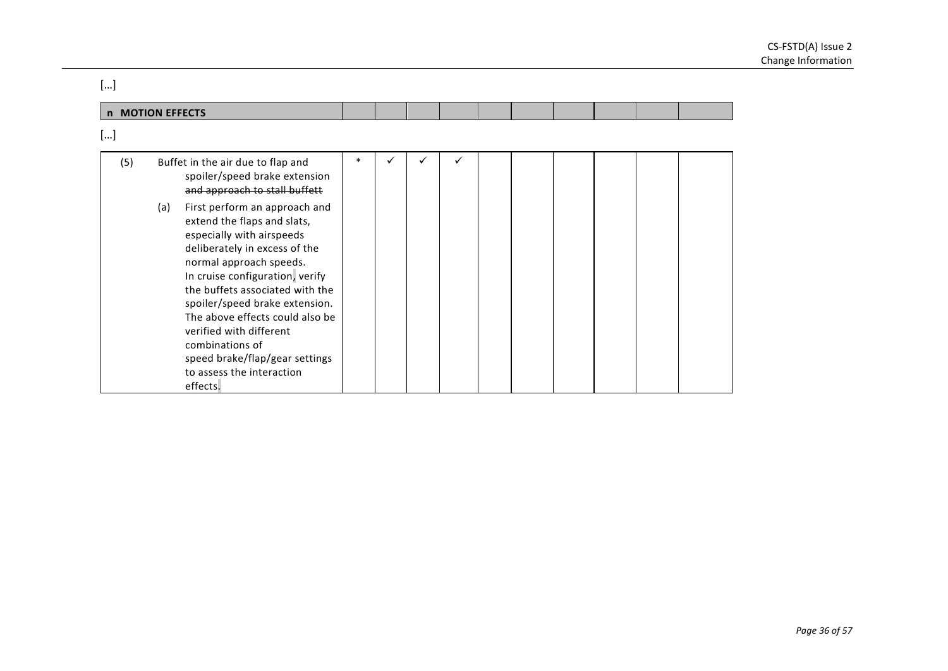| []  |                                                                                                                                                                                                                                                                                                                                                                                                                                  |        |   |  |   |  |  |  |  |  |  |
|-----|----------------------------------------------------------------------------------------------------------------------------------------------------------------------------------------------------------------------------------------------------------------------------------------------------------------------------------------------------------------------------------------------------------------------------------|--------|---|--|---|--|--|--|--|--|--|
|     | n MOTION EFFECTS                                                                                                                                                                                                                                                                                                                                                                                                                 |        |   |  |   |  |  |  |  |  |  |
| []  |                                                                                                                                                                                                                                                                                                                                                                                                                                  |        |   |  |   |  |  |  |  |  |  |
| (5) | Buffet in the air due to flap and<br>spoiler/speed brake extension<br>and approach to stall buffett                                                                                                                                                                                                                                                                                                                              | $\ast$ | ✓ |  | ✓ |  |  |  |  |  |  |
|     | First perform an approach and<br>(a)<br>extend the flaps and slats,<br>especially with airspeeds<br>deliberately in excess of the<br>normal approach speeds.<br>In cruise configuration, verify<br>the buffets associated with the<br>spoiler/speed brake extension.<br>The above effects could also be<br>verified with different<br>combinations of<br>speed brake/flap/gear settings<br>to assess the interaction<br>effects. |        |   |  |   |  |  |  |  |  |  |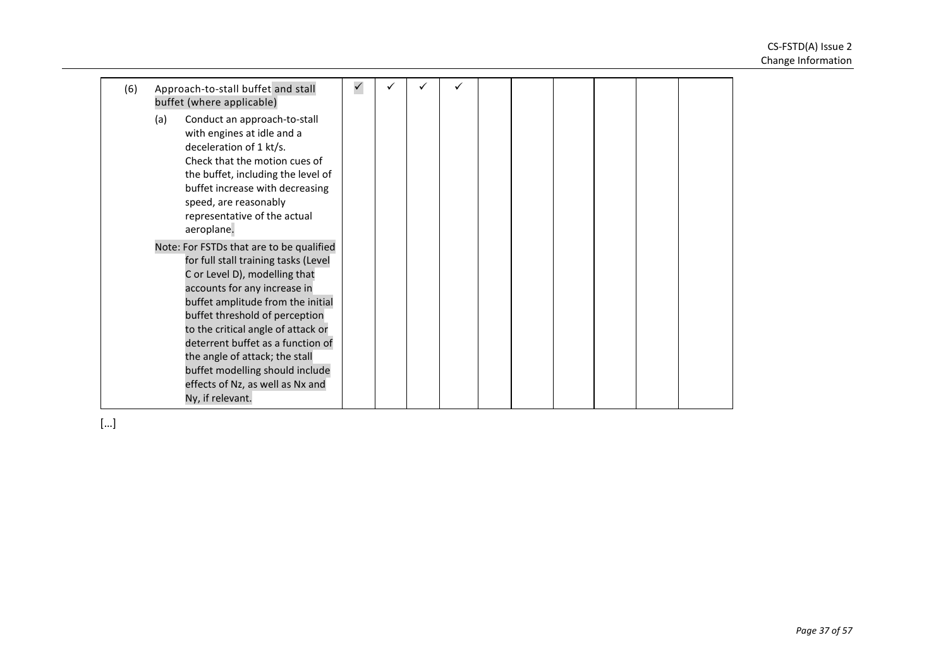| (6) | Approach-to-stall buffet and stall<br>buffet (where applicable)                                                                                                                                                                                                                                                                                                                                                                  | $\checkmark$ |  |  |  |  |  |
|-----|----------------------------------------------------------------------------------------------------------------------------------------------------------------------------------------------------------------------------------------------------------------------------------------------------------------------------------------------------------------------------------------------------------------------------------|--------------|--|--|--|--|--|
|     | Conduct an approach-to-stall<br>(a)<br>with engines at idle and a<br>deceleration of 1 kt/s.<br>Check that the motion cues of<br>the buffet, including the level of<br>buffet increase with decreasing<br>speed, are reasonably<br>representative of the actual<br>aeroplane.                                                                                                                                                    |              |  |  |  |  |  |
|     | Note: For FSTDs that are to be qualified<br>for full stall training tasks (Level<br>C or Level D), modelling that<br>accounts for any increase in<br>buffet amplitude from the initial<br>buffet threshold of perception<br>to the critical angle of attack or<br>deterrent buffet as a function of<br>the angle of attack; the stall<br>buffet modelling should include<br>effects of Nz, as well as Nx and<br>Ny, if relevant. |              |  |  |  |  |  |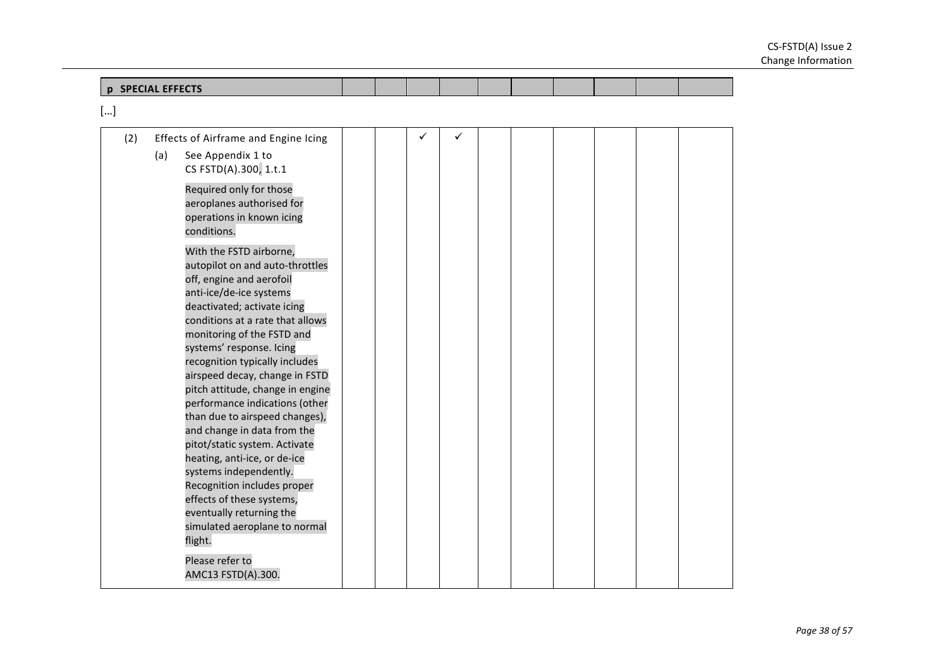| <b>SPECIAL EFFECTS</b><br>n |  |  |  |  |  |
|-----------------------------|--|--|--|--|--|
| <b>LUINE LEFECTS</b>        |  |  |  |  |  |

| (2) |     | Effects of Airframe and Engine Icing                  |  | ✓ |  |  |  |  |
|-----|-----|-------------------------------------------------------|--|---|--|--|--|--|
|     | (a) | See Appendix 1 to                                     |  |   |  |  |  |  |
|     |     | CS FSTD(A).300, 1.t.1                                 |  |   |  |  |  |  |
|     |     | Required only for those                               |  |   |  |  |  |  |
|     |     | aeroplanes authorised for                             |  |   |  |  |  |  |
|     |     | operations in known icing                             |  |   |  |  |  |  |
|     |     | conditions.                                           |  |   |  |  |  |  |
|     |     | With the FSTD airborne,                               |  |   |  |  |  |  |
|     |     | autopilot on and auto-throttles                       |  |   |  |  |  |  |
|     |     | off, engine and aerofoil                              |  |   |  |  |  |  |
|     |     | anti-ice/de-ice systems                               |  |   |  |  |  |  |
|     |     | deactivated; activate icing                           |  |   |  |  |  |  |
|     |     | conditions at a rate that allows                      |  |   |  |  |  |  |
|     |     | monitoring of the FSTD and                            |  |   |  |  |  |  |
|     |     | systems' response. Icing                              |  |   |  |  |  |  |
|     |     | recognition typically includes                        |  |   |  |  |  |  |
|     |     | airspeed decay, change in FSTD                        |  |   |  |  |  |  |
|     |     | pitch attitude, change in engine                      |  |   |  |  |  |  |
|     |     | performance indications (other                        |  |   |  |  |  |  |
|     |     | than due to airspeed changes),                        |  |   |  |  |  |  |
|     |     | and change in data from the                           |  |   |  |  |  |  |
|     |     | pitot/static system. Activate                         |  |   |  |  |  |  |
|     |     | heating, anti-ice, or de-ice                          |  |   |  |  |  |  |
|     |     | systems independently.<br>Recognition includes proper |  |   |  |  |  |  |
|     |     | effects of these systems,                             |  |   |  |  |  |  |
|     |     | eventually returning the                              |  |   |  |  |  |  |
|     |     | simulated aeroplane to normal                         |  |   |  |  |  |  |
|     |     | flight.                                               |  |   |  |  |  |  |
|     |     |                                                       |  |   |  |  |  |  |
|     |     | Please refer to                                       |  |   |  |  |  |  |
|     |     | AMC13 FSTD(A).300.                                    |  |   |  |  |  |  |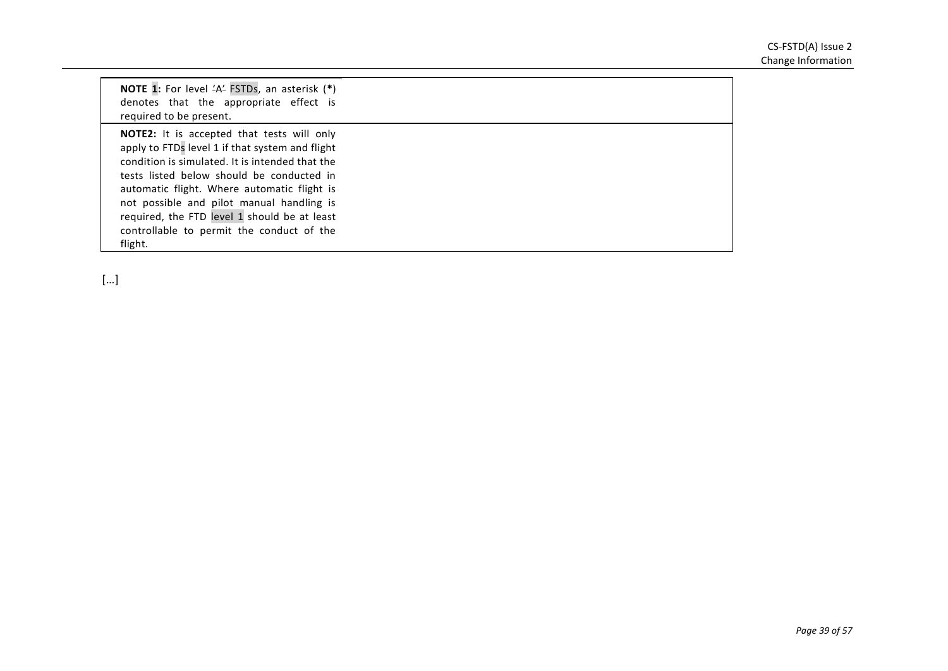| NOTE 1: For level 'A' FSTDs, an asterisk (*)<br>denotes that the appropriate effect is<br>required to be present.                                                                                                                                                                                                                                                                                        |  |
|----------------------------------------------------------------------------------------------------------------------------------------------------------------------------------------------------------------------------------------------------------------------------------------------------------------------------------------------------------------------------------------------------------|--|
| <b>NOTE2:</b> It is accepted that tests will only<br>apply to FTDs level 1 if that system and flight<br>condition is simulated. It is intended that the<br>tests listed below should be conducted in<br>automatic flight. Where automatic flight is<br>not possible and pilot manual handling is<br>required, the FTD level 1 should be at least<br>controllable to permit the conduct of the<br>flight. |  |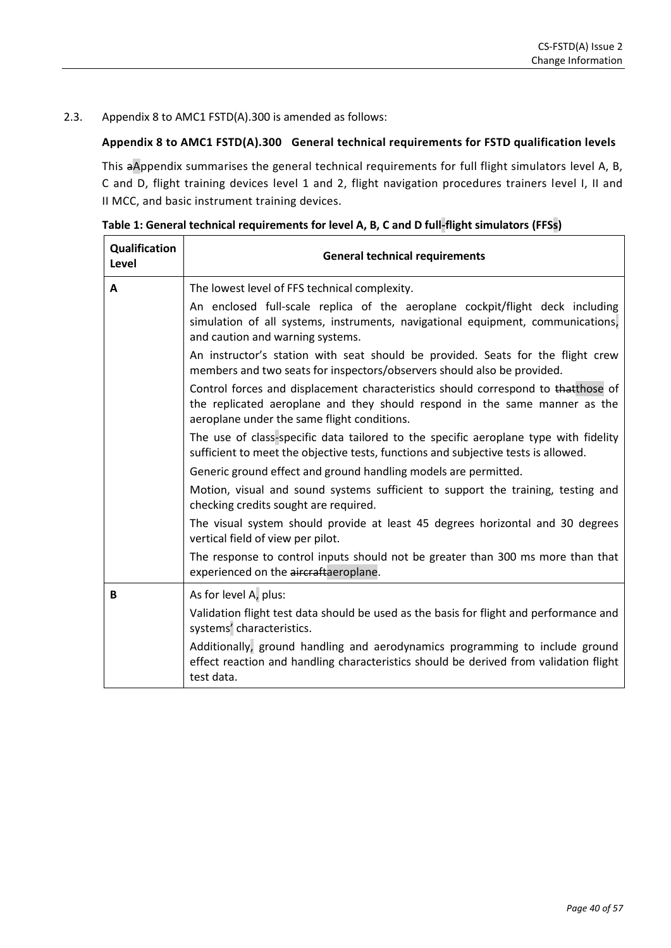### 2.3. Appendix 8 to AMC1 FSTD(A).300 is amended as follows:

# **Appendix 8 to AMC1 FSTD(A).300 General technical requirements for FSTD qualification levels**

This aAppendix summarises the general technical requirements for full flight simulators level A, B, C and D, flight training devices level 1 and 2, flight navigation procedures trainers level I, II and II MCC, and basic instrument training devices.

| Qualification<br>Level | <b>General technical requirements</b>                                                                                                                                                                          |
|------------------------|----------------------------------------------------------------------------------------------------------------------------------------------------------------------------------------------------------------|
| A                      | The lowest level of FFS technical complexity.                                                                                                                                                                  |
|                        | An enclosed full-scale replica of the aeroplane cockpit/flight deck including<br>simulation of all systems, instruments, navigational equipment, communications,<br>and caution and warning systems.           |
|                        | An instructor's station with seat should be provided. Seats for the flight crew<br>members and two seats for inspectors/observers should also be provided.                                                     |
|                        | Control forces and displacement characteristics should correspond to thatthose of<br>the replicated aeroplane and they should respond in the same manner as the<br>aeroplane under the same flight conditions. |
|                        | The use of class-specific data tailored to the specific aeroplane type with fidelity<br>sufficient to meet the objective tests, functions and subjective tests is allowed.                                     |
|                        | Generic ground effect and ground handling models are permitted.                                                                                                                                                |
|                        | Motion, visual and sound systems sufficient to support the training, testing and<br>checking credits sought are required.                                                                                      |
|                        | The visual system should provide at least 45 degrees horizontal and 30 degrees<br>vertical field of view per pilot.                                                                                            |
|                        | The response to control inputs should not be greater than 300 ms more than that<br>experienced on the aircraftaeroplane.                                                                                       |
| B                      | As for level A, plus:                                                                                                                                                                                          |
|                        | Validation flight test data should be used as the basis for flight and performance and<br>systems' characteristics.                                                                                            |
|                        | Additionally, ground handling and aerodynamics programming to include ground<br>effect reaction and handling characteristics should be derived from validation flight<br>test data.                            |

**Table 1: General technical requirements for level A, B, C and D full-flight simulators (FFSs)**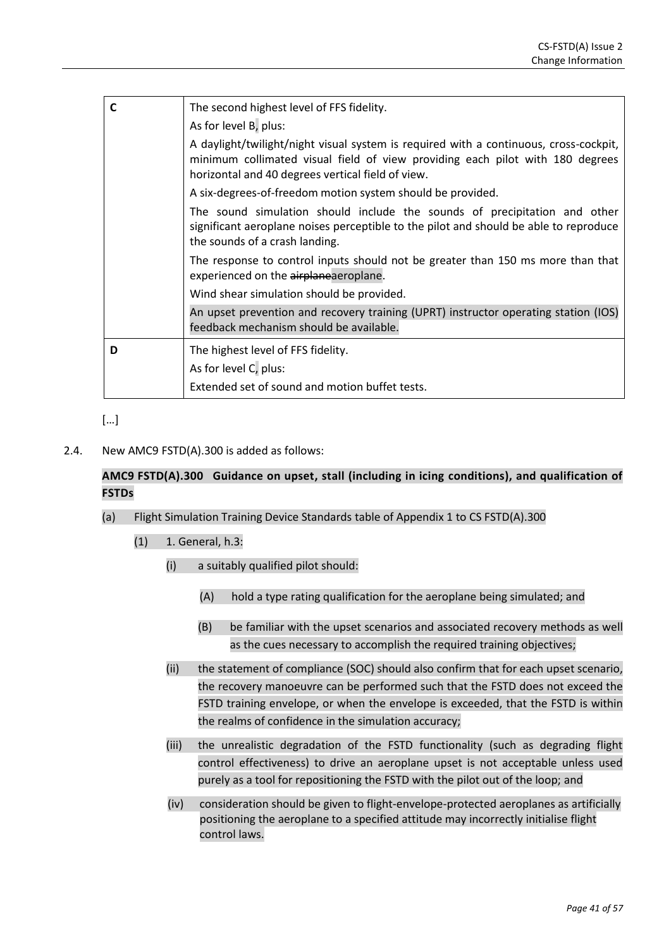| C | The second highest level of FFS fidelity.                                                                                                                                                                                   |
|---|-----------------------------------------------------------------------------------------------------------------------------------------------------------------------------------------------------------------------------|
|   | As for level B, plus:                                                                                                                                                                                                       |
|   | A daylight/twilight/night visual system is required with a continuous, cross-cockpit,<br>minimum collimated visual field of view providing each pilot with 180 degrees<br>horizontal and 40 degrees vertical field of view. |
|   | A six-degrees-of-freedom motion system should be provided.                                                                                                                                                                  |
|   | The sound simulation should include the sounds of precipitation and other<br>significant aeroplane noises perceptible to the pilot and should be able to reproduce<br>the sounds of a crash landing.                        |
|   | The response to control inputs should not be greater than 150 ms more than that<br>experienced on the airplaneaeroplane.                                                                                                    |
|   | Wind shear simulation should be provided.                                                                                                                                                                                   |
|   | An upset prevention and recovery training (UPRT) instructor operating station (IOS)<br>feedback mechanism should be available.                                                                                              |
| D | The highest level of FFS fidelity.                                                                                                                                                                                          |
|   | As for level C, plus:                                                                                                                                                                                                       |
|   | Extended set of sound and motion buffet tests.                                                                                                                                                                              |

2.4. New AMC9 FSTD(A).300 is added as follows:

# **AMC9 FSTD(A).300 Guidance on upset, stall (including in icing conditions), and qualification of FSTDs**

- (a) Flight Simulation Training Device Standards table of Appendix 1 to CS FSTD(A).300
	- (1) 1. General, h.3:
		- (i) a suitably qualified pilot should:
			- (A) hold a type rating qualification for the aeroplane being simulated; and
			- (B) be familiar with the upset scenarios and associated recovery methods as well as the cues necessary to accomplish the required training objectives;
		- (ii) the statement of compliance (SOC) should also confirm that for each upset scenario, the recovery manoeuvre can be performed such that the FSTD does not exceed the FSTD training envelope, or when the envelope is exceeded, that the FSTD is within the realms of confidence in the simulation accuracy;
		- (iii) the unrealistic degradation of the FSTD functionality (such as degrading flight control effectiveness) to drive an aeroplane upset is not acceptable unless used purely as a tool for repositioning the FSTD with the pilot out of the loop; and
		- (iv) consideration should be given to flight-envelope-protected aeroplanes as artificially positioning the aeroplane to a specified attitude may incorrectly initialise flight control laws.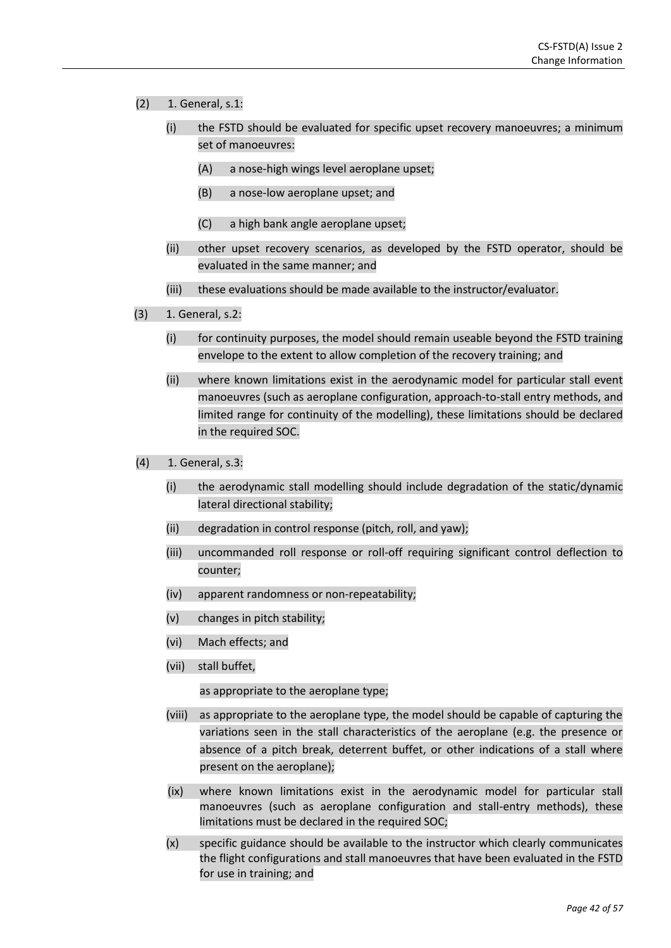- (2) 1. General, s.1:
	- (i) the FSTD should be evaluated for specific upset recovery manoeuvres; a minimum set of manoeuvres:
		- (A) a nose-high wings level aeroplane upset;
		- (B) a nose-low aeroplane upset; and
		- (C) a high bank angle aeroplane upset;
	- (ii) other upset recovery scenarios, as developed by the FSTD operator, should be evaluated in the same manner; and
	- (iii) these evaluations should be made available to the instructor/evaluator.
- (3) 1. General, s.2:
	- (i) for continuity purposes, the model should remain useable beyond the FSTD training envelope to the extent to allow completion of the recovery training; and
	- (ii) where known limitations exist in the aerodynamic model for particular stall event manoeuvres (such as aeroplane configuration, approach-to-stall entry methods, and limited range for continuity of the modelling), these limitations should be declared in the required SOC.
- (4) 1. General, s.3:
	- (i) the aerodynamic stall modelling should include degradation of the static/dynamic lateral directional stability;
	- (ii) degradation in control response (pitch, roll, and yaw);
	- (iii) uncommanded roll response or roll-off requiring significant control deflection to counter;
	- (iv) apparent randomness or non-repeatability;
	- (v) changes in pitch stability;
	- (vi) Mach effects; and
	- (vii) stall buffet,

as appropriate to the aeroplane type;

- (viii) as appropriate to the aeroplane type, the model should be capable of capturing the variations seen in the stall characteristics of the aeroplane (e.g. the presence or absence of a pitch break, deterrent buffet, or other indications of a stall where present on the aeroplane);
- (ix) where known limitations exist in the aerodynamic model for particular stall manoeuvres (such as aeroplane configuration and stall-entry methods), these limitations must be declared in the required SOC;
- (x) specific guidance should be available to the instructor which clearly communicates the flight configurations and stall manoeuvres that have been evaluated in the FSTD for use in training; and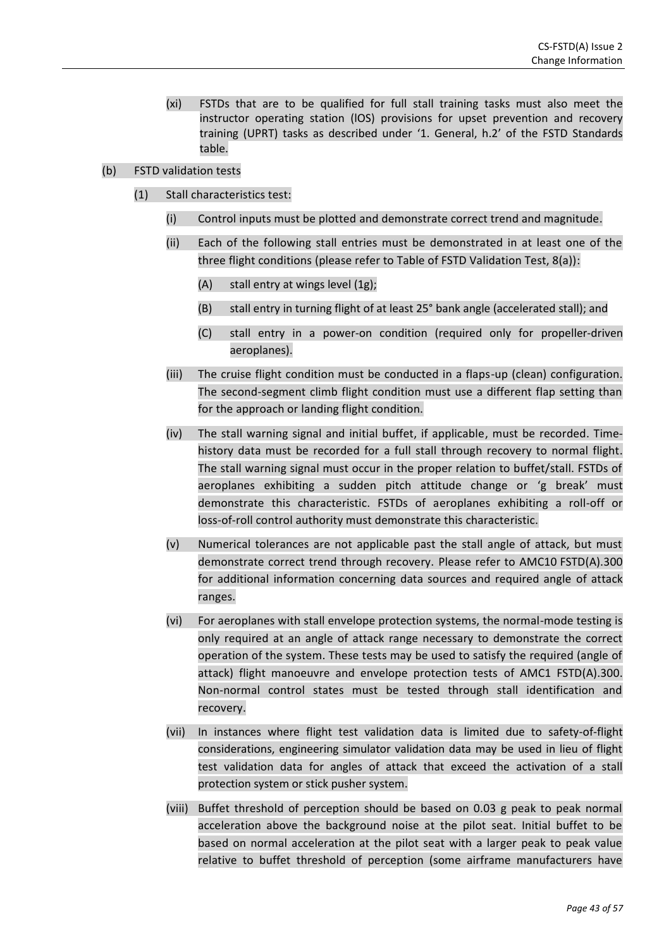- (xi) FSTDs that are to be qualified for full stall training tasks must also meet the instructor operating station (lOS) provisions for upset prevention and recovery training (UPRT) tasks as described under '1. General, h.2' of the FSTD Standards table.
- (b) FSTD validation tests
	- (1) Stall characteristics test:
		- (i) Control inputs must be plotted and demonstrate correct trend and magnitude.
		- (ii) Each of the following stall entries must be demonstrated in at least one of the three flight conditions (please refer to Table of FSTD Validation Test, 8(a)):
			- (A) stall entry at wings level (1g);
			- (B) stall entry in turning flight of at least 25° bank angle (accelerated stall); and
			- (C) stall entry in a power-on condition (required only for propeller-driven aeroplanes).
		- (iii) The cruise flight condition must be conducted in a flaps-up (clean) configuration. The second-segment climb flight condition must use a different flap setting than for the approach or landing flight condition.
		- (iv) The stall warning signal and initial buffet, if applicable, must be recorded. Timehistory data must be recorded for a full stall through recovery to normal flight. The stall warning signal must occur in the proper relation to buffet/stall. FSTDs of aeroplanes exhibiting a sudden pitch attitude change or 'g break' must demonstrate this characteristic. FSTDs of aeroplanes exhibiting a roll-off or loss-of-roll control authority must demonstrate this characteristic.
		- (v) Numerical tolerances are not applicable past the stall angle of attack, but must demonstrate correct trend through recovery. Please refer to AMC10 FSTD(A).300 for additional information concerning data sources and required angle of attack ranges.
		- (vi) For aeroplanes with stall envelope protection systems, the normal-mode testing is only required at an angle of attack range necessary to demonstrate the correct operation of the system. These tests may be used to satisfy the required (angle of attack) flight manoeuvre and envelope protection tests of AMC1 FSTD(A).300. Non-normal control states must be tested through stall identification and recovery.
		- (vii) In instances where flight test validation data is limited due to safety-of-flight considerations, engineering simulator validation data may be used in lieu of flight test validation data for angles of attack that exceed the activation of a stall protection system or stick pusher system.
		- (viii) Buffet threshold of perception should be based on 0.03 g peak to peak normal acceleration above the background noise at the pilot seat. Initial buffet to be based on normal acceleration at the pilot seat with a larger peak to peak value relative to buffet threshold of perception (some airframe manufacturers have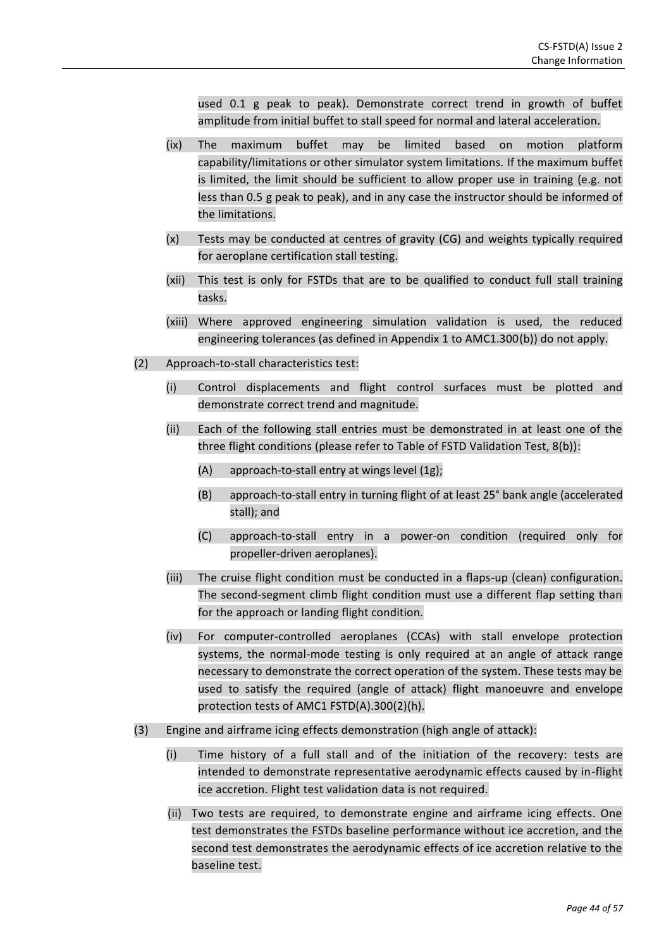used 0.1 g peak to peak). Demonstrate correct trend in growth of buffet amplitude from initial buffet to stall speed for normal and lateral acceleration.

- (ix) The maximum buffet may be limited based on motion platform capability/limitations or other simulator system limitations. If the maximum buffet is limited, the limit should be sufficient to allow proper use in training (e.g. not less than 0.5 g peak to peak), and in any case the instructor should be informed of the limitations.
- (x) Tests may be conducted at centres of gravity (CG) and weights typically required for aeroplane certification stall testing.
- (xii) This test is only for FSTDs that are to be qualified to conduct full stall training tasks.
- (xiii) Where approved engineering simulation validation is used, the reduced engineering tolerances (as defined in Appendix 1 to AMC1.300(b)) do not apply.
- (2) Approach-to-stall characteristics test:
	- (i) Control displacements and flight control surfaces must be plotted and demonstrate correct trend and magnitude.
	- (ii) Each of the following stall entries must be demonstrated in at least one of the three flight conditions (please refer to Table of FSTD Validation Test, 8(b)):
		- (A) approach-to-stall entry at wings level (1g);
		- (B) approach-to-stall entry in turning flight of at least 25° bank angle (accelerated stall); and
		- (C) approach-to-stall entry in a power-on condition (required only for propeller-driven aeroplanes).
	- (iii) The cruise flight condition must be conducted in a flaps-up (clean) configuration. The second-segment climb flight condition must use a different flap setting than for the approach or landing flight condition.
	- (iv) For computer-controlled aeroplanes (CCAs) with stall envelope protection systems, the normal-mode testing is only required at an angle of attack range necessary to demonstrate the correct operation of the system. These tests may be used to satisfy the required (angle of attack) flight manoeuvre and envelope protection tests of AMC1 FSTD(A).300(2)(h).
- (3) Engine and airframe icing effects demonstration (high angle of attack):
	- (i) Time history of a full stall and of the initiation of the recovery: tests are intended to demonstrate representative aerodynamic effects caused by in-flight ice accretion. Flight test validation data is not required.
	- (ii) Two tests are required, to demonstrate engine and airframe icing effects. One test demonstrates the FSTDs baseline performance without ice accretion, and the second test demonstrates the aerodynamic effects of ice accretion relative to the baseline test.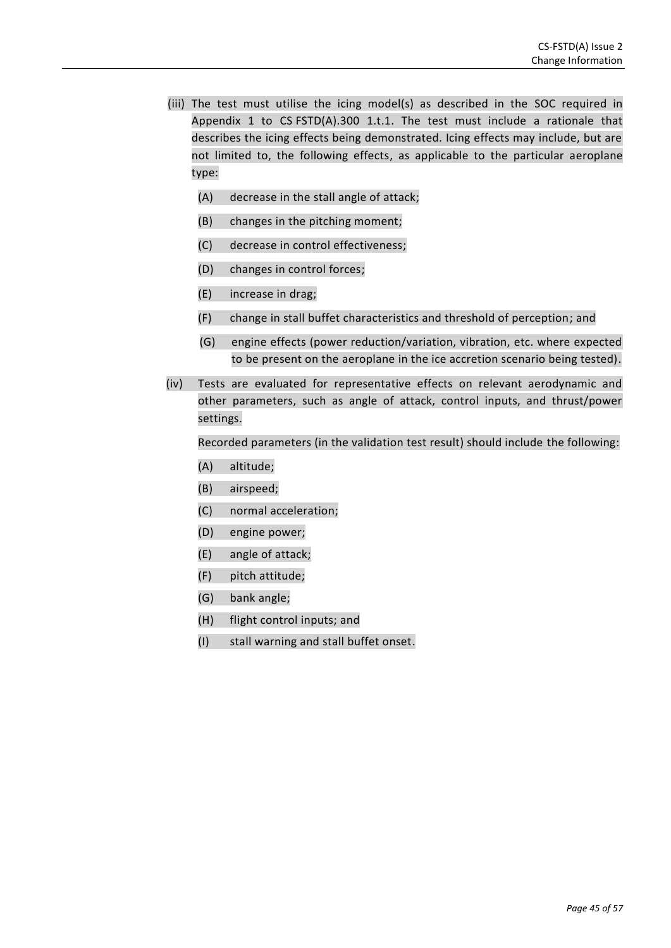- (iii) The test must utilise the icing model(s) as described in the SOC required in Appendix 1 to CS FSTD(A).300 1.t.1. The test must include a rationale that describes the icing effects being demonstrated. Icing effects may include, but are not limited to, the following effects, as applicable to the particular aeroplane type:
	- (A) decrease in the stall angle of attack;
	- (B) changes in the pitching moment;
	- (C) decrease in control effectiveness;
	- (D) changes in control forces;
	- (E) increase in drag;
	- (F) change in stall buffet characteristics and threshold of perception; and
	- (G) engine effects (power reduction/variation, vibration, etc. where expected to be present on the aeroplane in the ice accretion scenario being tested).
- (iv) Tests are evaluated for representative effects on relevant aerodynamic and other parameters, such as angle of attack, control inputs, and thrust/power settings.

Recorded parameters (in the validation test result) should include the following:

- (A) altitude;
- (B) airspeed;
- (C) normal acceleration;
- (D) engine power;
- (E) angle of attack;
- (F) pitch attitude;
- (G) bank angle;
- (H) flight control inputs; and
- (I) stall warning and stall buffet onset.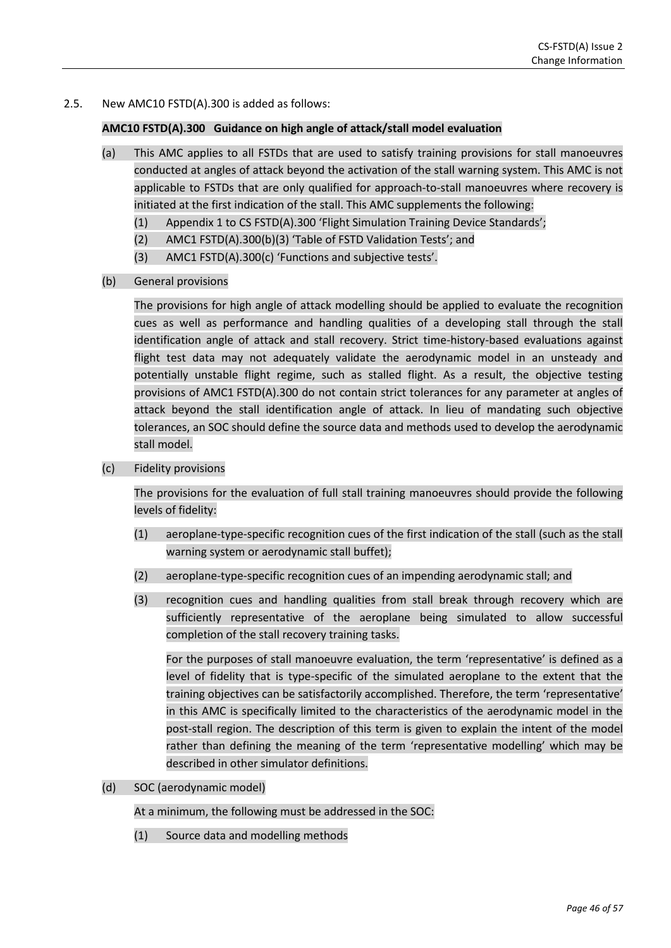### 2.5. New AMC10 FSTD(A).300 is added as follows:

#### **AMC10 FSTD(A).300 Guidance on high angle of attack/stall model evaluation**

- (a) This AMC applies to all FSTDs that are used to satisfy training provisions for stall manoeuvres conducted at angles of attack beyond the activation of the stall warning system. This AMC is not applicable to FSTDs that are only qualified for approach-to-stall manoeuvres where recovery is initiated at the first indication of the stall. This AMC supplements the following:
	- (1) Appendix 1 to CS FSTD(A).300 'Flight Simulation Training Device Standards';
	- (2) AMC1 FSTD(A).300(b)(3) 'Table of FSTD Validation Tests'; and
	- (3) AMC1 FSTD(A).300(c) 'Functions and subjective tests'.
- (b) General provisions

The provisions for high angle of attack modelling should be applied to evaluate the recognition cues as well as performance and handling qualities of a developing stall through the stall identification angle of attack and stall recovery. Strict time-history-based evaluations against flight test data may not adequately validate the aerodynamic model in an unsteady and potentially unstable flight regime, such as stalled flight. As a result, the objective testing provisions of AMC1 FSTD(A).300 do not contain strict tolerances for any parameter at angles of attack beyond the stall identification angle of attack. In lieu of mandating such objective tolerances, an SOC should define the source data and methods used to develop the aerodynamic stall model.

(c) Fidelity provisions

The provisions for the evaluation of full stall training manoeuvres should provide the following levels of fidelity:

- (1) aeroplane-type-specific recognition cues of the first indication of the stall (such as the stall warning system or aerodynamic stall buffet);
- (2) aeroplane-type-specific recognition cues of an impending aerodynamic stall; and
- (3) recognition cues and handling qualities from stall break through recovery which are sufficiently representative of the aeroplane being simulated to allow successful completion of the stall recovery training tasks.

For the purposes of stall manoeuvre evaluation, the term 'representative' is defined as a level of fidelity that is type-specific of the simulated aeroplane to the extent that the training objectives can be satisfactorily accomplished. Therefore, the term 'representative' in this AMC is specifically limited to the characteristics of the aerodynamic model in the post-stall region. The description of this term is given to explain the intent of the model rather than defining the meaning of the term 'representative modelling' which may be described in other simulator definitions.

(d) SOC (aerodynamic model)

At a minimum, the following must be addressed in the SOC:

(1) Source data and modelling methods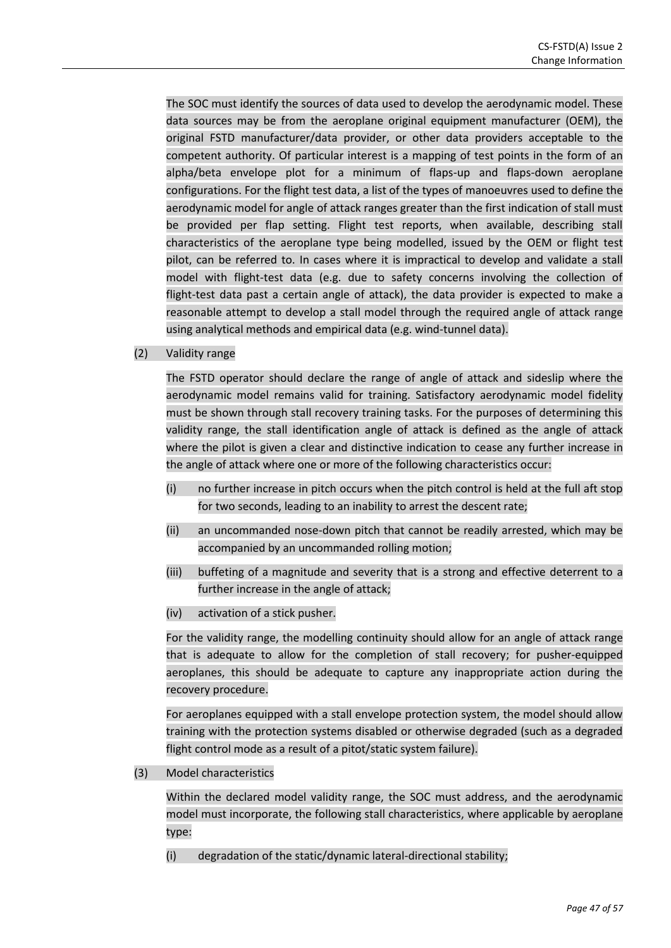The SOC must identify the sources of data used to develop the aerodynamic model. These data sources may be from the aeroplane original equipment manufacturer (OEM), the original FSTD manufacturer/data provider, or other data providers acceptable to the competent authority. Of particular interest is a mapping of test points in the form of an alpha/beta envelope plot for a minimum of flaps-up and flaps-down aeroplane configurations. For the flight test data, a list of the types of manoeuvres used to define the aerodynamic model for angle of attack ranges greater than the first indication of stall must be provided per flap setting. Flight test reports, when available, describing stall characteristics of the aeroplane type being modelled, issued by the OEM or flight test pilot, can be referred to. In cases where it is impractical to develop and validate a stall model with flight-test data (e.g. due to safety concerns involving the collection of flight-test data past a certain angle of attack), the data provider is expected to make a reasonable attempt to develop a stall model through the required angle of attack range using analytical methods and empirical data (e.g. wind-tunnel data).

### (2) Validity range

The FSTD operator should declare the range of angle of attack and sideslip where the aerodynamic model remains valid for training. Satisfactory aerodynamic model fidelity must be shown through stall recovery training tasks. For the purposes of determining this validity range, the stall identification angle of attack is defined as the angle of attack where the pilot is given a clear and distinctive indication to cease any further increase in the angle of attack where one or more of the following characteristics occur:

- (i) no further increase in pitch occurs when the pitch control is held at the full aft stop for two seconds, leading to an inability to arrest the descent rate;
- (ii) an uncommanded nose-down pitch that cannot be readily arrested, which may be accompanied by an uncommanded rolling motion;
- (iii) buffeting of a magnitude and severity that is a strong and effective deterrent to a further increase in the angle of attack;
- (iv) activation of a stick pusher.

For the validity range, the modelling continuity should allow for an angle of attack range that is adequate to allow for the completion of stall recovery; for pusher-equipped aeroplanes, this should be adequate to capture any inappropriate action during the recovery procedure.

For aeroplanes equipped with a stall envelope protection system, the model should allow training with the protection systems disabled or otherwise degraded (such as a degraded flight control mode as a result of a pitot/static system failure).

(3) Model characteristics

Within the declared model validity range, the SOC must address, and the aerodynamic model must incorporate, the following stall characteristics, where applicable by aeroplane type:

(i) degradation of the static/dynamic lateral-directional stability;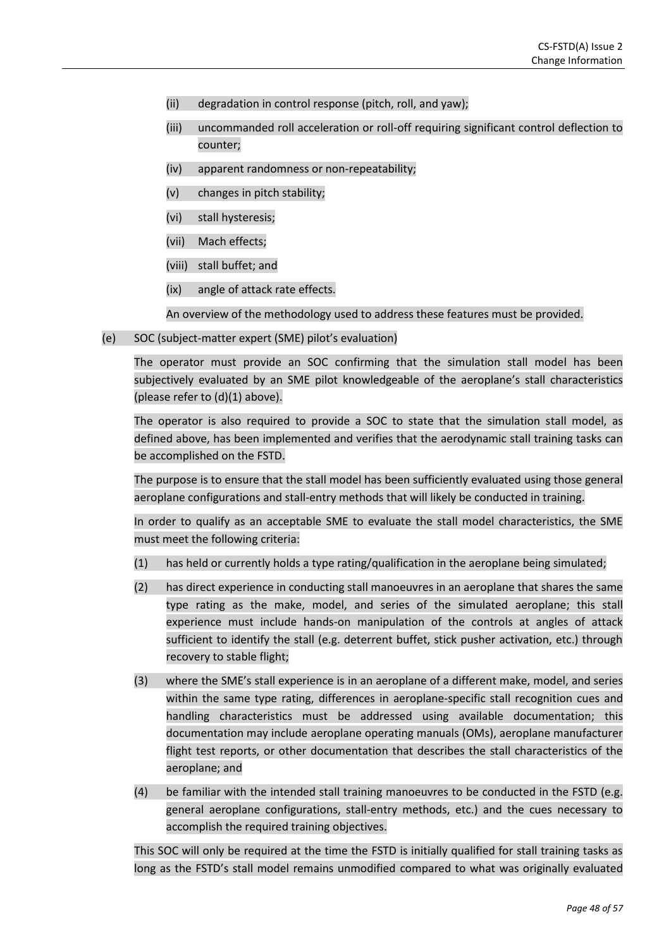- (ii) degradation in control response (pitch, roll, and yaw);
- (iii) uncommanded roll acceleration or roll-off requiring significant control deflection to counter;
- (iv) apparent randomness or non-repeatability;
- (v) changes in pitch stability;
- (vi) stall hysteresis;
- (vii) Mach effects;
- (viii) stall buffet; and
- (ix) angle of attack rate effects.

An overview of the methodology used to address these features must be provided.

(e) SOC (subject-matter expert (SME) pilot's evaluation)

The operator must provide an SOC confirming that the simulation stall model has been subjectively evaluated by an SME pilot knowledgeable of the aeroplane's stall characteristics (please refer to (d)(1) above).

The operator is also required to provide a SOC to state that the simulation stall model, as defined above, has been implemented and verifies that the aerodynamic stall training tasks can be accomplished on the FSTD.

The purpose is to ensure that the stall model has been sufficiently evaluated using those general aeroplane configurations and stall-entry methods that will likely be conducted in training.

In order to qualify as an acceptable SME to evaluate the stall model characteristics, the SME must meet the following criteria:

- (1) has held or currently holds a type rating/qualification in the aeroplane being simulated;
- (2) has direct experience in conducting stall manoeuvres in an aeroplane that shares the same type rating as the make, model, and series of the simulated aeroplane; this stall experience must include hands-on manipulation of the controls at angles of attack sufficient to identify the stall (e.g. deterrent buffet, stick pusher activation, etc.) through recovery to stable flight;
- (3) where the SME's stall experience is in an aeroplane of a different make, model, and series within the same type rating, differences in aeroplane-specific stall recognition cues and handling characteristics must be addressed using available documentation; this documentation may include aeroplane operating manuals (OMs), aeroplane manufacturer flight test reports, or other documentation that describes the stall characteristics of the aeroplane; and
- (4) be familiar with the intended stall training manoeuvres to be conducted in the FSTD (e.g. general aeroplane configurations, stall-entry methods, etc.) and the cues necessary to accomplish the required training objectives.

This SOC will only be required at the time the FSTD is initially qualified for stall training tasks as long as the FSTD's stall model remains unmodified compared to what was originally evaluated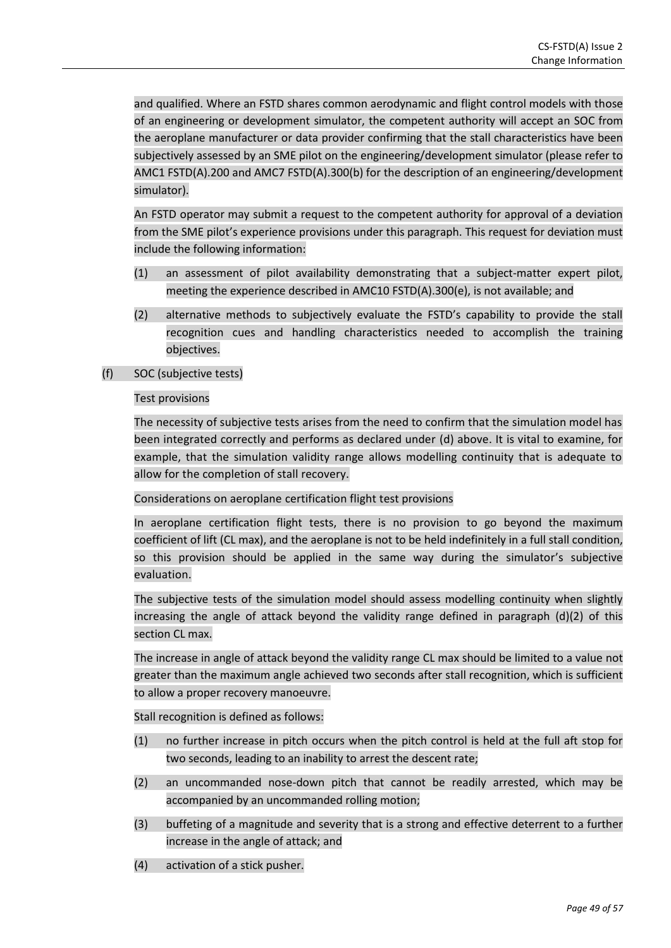and qualified. Where an FSTD shares common aerodynamic and flight control models with those of an engineering or development simulator, the competent authority will accept an SOC from the aeroplane manufacturer or data provider confirming that the stall characteristics have been subjectively assessed by an SME pilot on the engineering/development simulator (please refer to AMC1 FSTD(A).200 and AMC7 FSTD(A).300(b) for the description of an engineering/development simulator).

An FSTD operator may submit a request to the competent authority for approval of a deviation from the SME pilot's experience provisions under this paragraph. This request for deviation must include the following information:

- (1) an assessment of pilot availability demonstrating that a subject-matter expert pilot, meeting the experience described in AMC10 FSTD(A).300(e), is not available; and
- (2) alternative methods to subjectively evaluate the FSTD's capability to provide the stall recognition cues and handling characteristics needed to accomplish the training objectives.

### (f) SOC (subjective tests)

Test provisions

The necessity of subjective tests arises from the need to confirm that the simulation model has been integrated correctly and performs as declared under (d) above. It is vital to examine, for example, that the simulation validity range allows modelling continuity that is adequate to allow for the completion of stall recovery.

Considerations on aeroplane certification flight test provisions

In aeroplane certification flight tests, there is no provision to go beyond the maximum coefficient of lift (CL max), and the aeroplane is not to be held indefinitely in a full stall condition, so this provision should be applied in the same way during the simulator's subjective evaluation.

The subjective tests of the simulation model should assess modelling continuity when slightly increasing the angle of attack beyond the validity range defined in paragraph (d)(2) of this section CL max.

The increase in angle of attack beyond the validity range CL max should be limited to a value not greater than the maximum angle achieved two seconds after stall recognition, which is sufficient to allow a proper recovery manoeuvre.

Stall recognition is defined as follows:

- (1) no further increase in pitch occurs when the pitch control is held at the full aft stop for two seconds, leading to an inability to arrest the descent rate;
- (2) an uncommanded nose-down pitch that cannot be readily arrested, which may be accompanied by an uncommanded rolling motion;
- (3) buffeting of a magnitude and severity that is a strong and effective deterrent to a further increase in the angle of attack; and
- (4) activation of a stick pusher.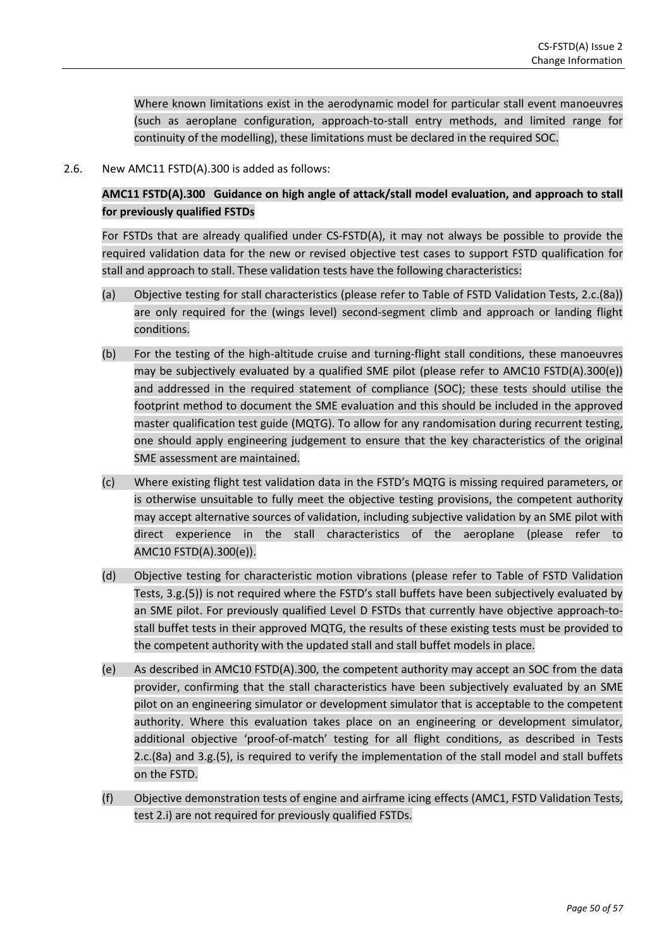Where known limitations exist in the aerodynamic model for particular stall event manoeuvres (such as aeroplane configuration, approach-to-stall entry methods, and limited range for continuity of the modelling), these limitations must be declared in the required SOC.

2.6. New AMC11 FSTD(A).300 is added as follows:

**AMC11 FSTD(A).300 Guidance on high angle of attack/stall model evaluation, and approach to stall for previously qualified FSTDs**

For FSTDs that are already qualified under CS-FSTD(A), it may not always be possible to provide the required validation data for the new or revised objective test cases to support FSTD qualification for stall and approach to stall. These validation tests have the following characteristics:

- (a) Objective testing for stall characteristics (please refer to Table of FSTD Validation Tests, 2.c.(8a)) are only required for the (wings level) second-segment climb and approach or landing flight conditions.
- (b) For the testing of the high-altitude cruise and turning-flight stall conditions, these manoeuvres may be subjectively evaluated by a qualified SME pilot (please refer to AMC10 FSTD(A).300(e)) and addressed in the required statement of compliance (SOC); these tests should utilise the footprint method to document the SME evaluation and this should be included in the approved master qualification test guide (MQTG). To allow for any randomisation during recurrent testing, one should apply engineering judgement to ensure that the key characteristics of the original SME assessment are maintained.
- (c) Where existing flight test validation data in the FSTD's MQTG is missing required parameters, or is otherwise unsuitable to fully meet the objective testing provisions, the competent authority may accept alternative sources of validation, including subjective validation by an SME pilot with direct experience in the stall characteristics of the aeroplane (please refer to AMC10 FSTD(A).300(e)).
- (d) Objective testing for characteristic motion vibrations (please refer to Table of FSTD Validation Tests, 3.g.(5)) is not required where the FSTD's stall buffets have been subjectively evaluated by an SME pilot. For previously qualified Level D FSTDs that currently have objective approach-tostall buffet tests in their approved MQTG, the results of these existing tests must be provided to the competent authority with the updated stall and stall buffet models in place.
- (e) As described in AMC10 FSTD(A).300, the competent authority may accept an SOC from the data provider, confirming that the stall characteristics have been subjectively evaluated by an SME pilot on an engineering simulator or development simulator that is acceptable to the competent authority. Where this evaluation takes place on an engineering or development simulator, additional objective 'proof-of-match' testing for all flight conditions, as described in Tests 2.c.(8a) and 3.g.(5), is required to verify the implementation of the stall model and stall buffets on the FSTD.
- (f) Objective demonstration tests of engine and airframe icing effects (AMC1, FSTD Validation Tests, test 2.i) are not required for previously qualified FSTDs.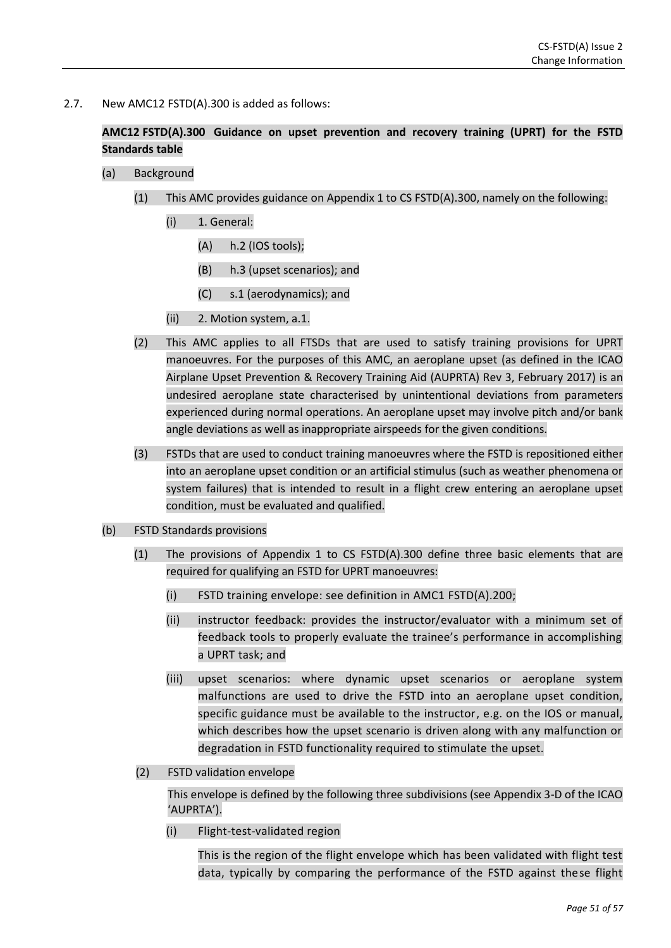2.7. New AMC12 FSTD(A).300 is added as follows:

# **AMC12 FSTD(A).300 Guidance on upset prevention and recovery training (UPRT) for the FSTD Standards table**

- (a) Background
	- (1) This AMC provides guidance on Appendix 1 to CS FSTD(A).300, namely on the following:
		- (i) 1. General:
			- (A) h.2 (IOS tools);
			- (B) h.3 (upset scenarios); and
			- (C) s.1 (aerodynamics); and
		- (ii) 2. Motion system, a.1.
	- (2) This AMC applies to all FTSDs that are used to satisfy training provisions for UPRT manoeuvres. For the purposes of this AMC, an aeroplane upset (as defined in the ICAO Airplane Upset Prevention & Recovery Training Aid (AUPRTA) Rev 3, February 2017) is an undesired aeroplane state characterised by unintentional deviations from parameters experienced during normal operations. An aeroplane upset may involve pitch and/or bank angle deviations as well as inappropriate airspeeds for the given conditions.
	- (3) FSTDs that are used to conduct training manoeuvres where the FSTD is repositioned either into an aeroplane upset condition or an artificial stimulus (such as weather phenomena or system failures) that is intended to result in a flight crew entering an aeroplane upset condition, must be evaluated and qualified.
- (b) FSTD Standards provisions
	- (1) The provisions of Appendix 1 to CS FSTD(A).300 define three basic elements that are required for qualifying an FSTD for UPRT manoeuvres:
		- (i) FSTD training envelope: see definition in AMC1 FSTD(A).200;
		- (ii) instructor feedback: provides the instructor/evaluator with a minimum set of feedback tools to properly evaluate the trainee's performance in accomplishing a UPRT task; and
		- (iii) upset scenarios: where dynamic upset scenarios or aeroplane system malfunctions are used to drive the FSTD into an aeroplane upset condition, specific guidance must be available to the instructor, e.g. on the IOS or manual, which describes how the upset scenario is driven along with any malfunction or degradation in FSTD functionality required to stimulate the upset.
	- (2) FSTD validation envelope

This envelope is defined by the following three subdivisions (see Appendix 3-D of the ICAO 'AUPRTA').

(i) Flight-test-validated region

This is the region of the flight envelope which has been validated with flight test data, typically by comparing the performance of the FSTD against these flight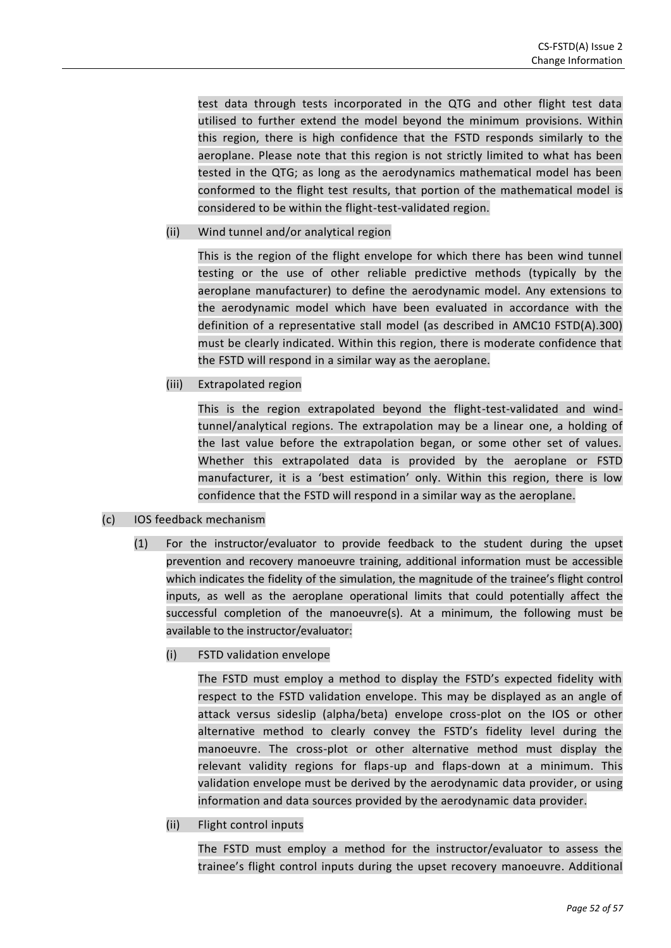test data through tests incorporated in the QTG and other flight test data utilised to further extend the model beyond the minimum provisions. Within this region, there is high confidence that the FSTD responds similarly to the aeroplane. Please note that this region is not strictly limited to what has been tested in the QTG; as long as the aerodynamics mathematical model has been conformed to the flight test results, that portion of the mathematical model is considered to be within the flight-test-validated region.

(ii) Wind tunnel and/or analytical region

This is the region of the flight envelope for which there has been wind tunnel testing or the use of other reliable predictive methods (typically by the aeroplane manufacturer) to define the aerodynamic model. Any extensions to the aerodynamic model which have been evaluated in accordance with the definition of a representative stall model (as described in AMC10 FSTD(A).300) must be clearly indicated. Within this region, there is moderate confidence that the FSTD will respond in a similar way as the aeroplane.

(iii) Extrapolated region

This is the region extrapolated beyond the flight-test-validated and windtunnel/analytical regions. The extrapolation may be a linear one, a holding of the last value before the extrapolation began, or some other set of values. Whether this extrapolated data is provided by the aeroplane or FSTD manufacturer, it is a 'best estimation' only. Within this region, there is low confidence that the FSTD will respond in a similar way as the aeroplane.

- (c) IOS feedback mechanism
	- (1) For the instructor/evaluator to provide feedback to the student during the upset prevention and recovery manoeuvre training, additional information must be accessible which indicates the fidelity of the simulation, the magnitude of the trainee's flight control inputs, as well as the aeroplane operational limits that could potentially affect the successful completion of the manoeuvre(s). At a minimum, the following must be available to the instructor/evaluator:
		- (i) FSTD validation envelope

The FSTD must employ a method to display the FSTD's expected fidelity with respect to the FSTD validation envelope. This may be displayed as an angle of attack versus sideslip (alpha/beta) envelope cross-plot on the IOS or other alternative method to clearly convey the FSTD's fidelity level during the manoeuvre. The cross-plot or other alternative method must display the relevant validity regions for flaps-up and flaps-down at a minimum. This validation envelope must be derived by the aerodynamic data provider, or using information and data sources provided by the aerodynamic data provider.

(ii) Flight control inputs

The FSTD must employ a method for the instructor/evaluator to assess the trainee's flight control inputs during the upset recovery manoeuvre. Additional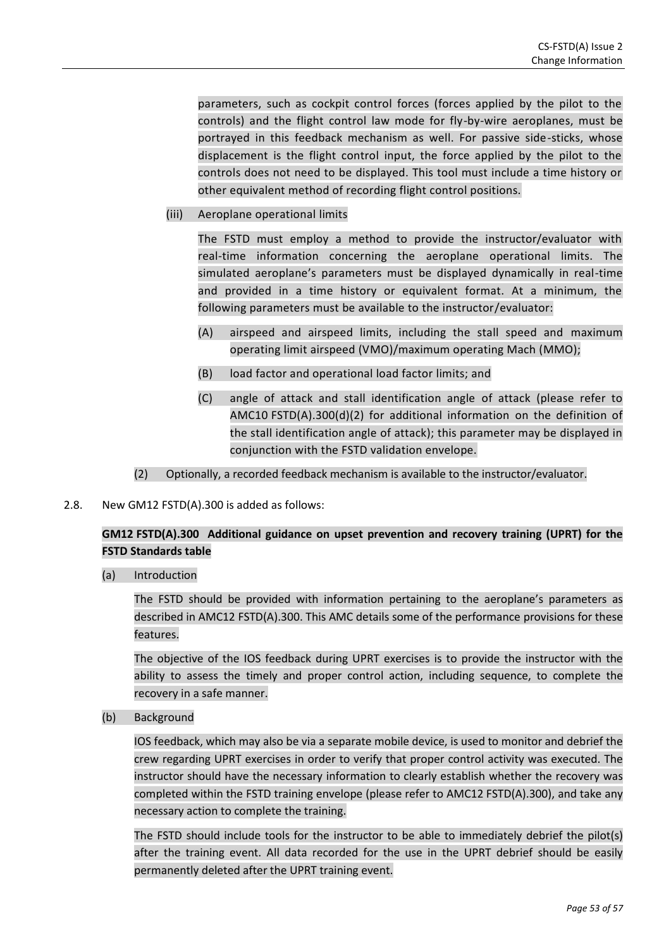parameters, such as cockpit control forces (forces applied by the pilot to the controls) and the flight control law mode for fly-by-wire aeroplanes, must be portrayed in this feedback mechanism as well. For passive side-sticks, whose displacement is the flight control input, the force applied by the pilot to the controls does not need to be displayed. This tool must include a time history or other equivalent method of recording flight control positions.

(iii) Aeroplane operational limits

The FSTD must employ a method to provide the instructor/evaluator with real-time information concerning the aeroplane operational limits. The simulated aeroplane's parameters must be displayed dynamically in real-time and provided in a time history or equivalent format. At a minimum, the following parameters must be available to the instructor/evaluator:

- (A) airspeed and airspeed limits, including the stall speed and maximum operating limit airspeed (VMO)/maximum operating Mach (MMO);
- (B) load factor and operational load factor limits; and
- (C) angle of attack and stall identification angle of attack (please refer to AMC10 FSTD(A).300(d)(2) for additional information on the definition of the stall identification angle of attack); this parameter may be displayed in conjunction with the FSTD validation envelope.
- (2) Optionally, a recorded feedback mechanism is available to the instructor/evaluator.
- 2.8. New GM12 FSTD(A).300 is added as follows:

# **GM12 FSTD(A).300 Additional guidance on upset prevention and recovery training (UPRT) for the FSTD Standards table**

(a) Introduction

The FSTD should be provided with information pertaining to the aeroplane's parameters as described in AMC12 FSTD(A).300. This AMC details some of the performance provisions for these features.

The objective of the IOS feedback during UPRT exercises is to provide the instructor with the ability to assess the timely and proper control action, including sequence, to complete the recovery in a safe manner.

(b) Background

IOS feedback, which may also be via a separate mobile device, is used to monitor and debrief the crew regarding UPRT exercises in order to verify that proper control activity was executed. The instructor should have the necessary information to clearly establish whether the recovery was completed within the FSTD training envelope (please refer to AMC12 FSTD(A).300), and take any necessary action to complete the training.

The FSTD should include tools for the instructor to be able to immediately debrief the pilot(s) after the training event. All data recorded for the use in the UPRT debrief should be easily permanently deleted after the UPRT training event.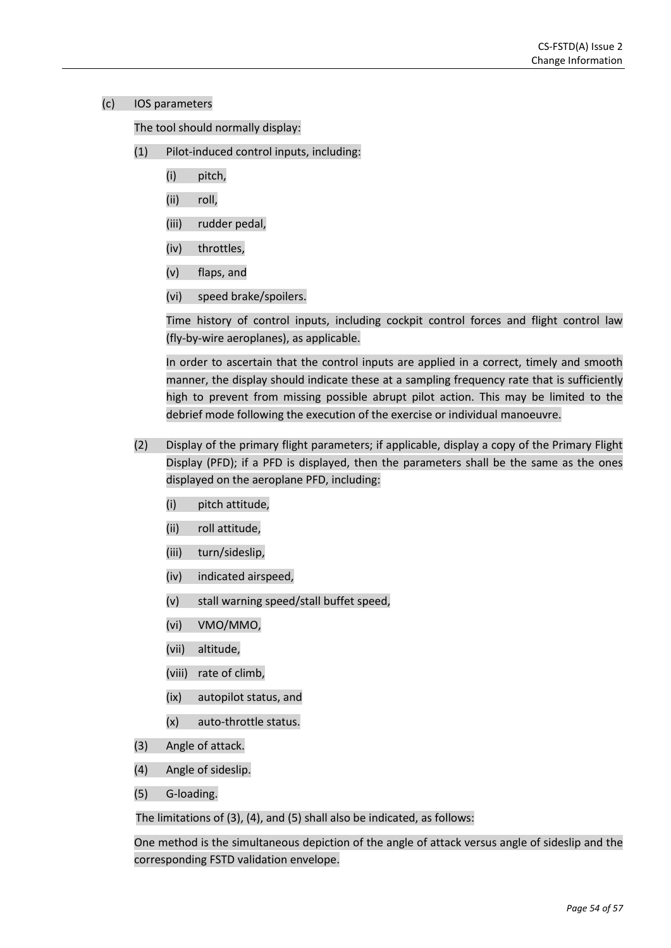### (c) IOS parameters

The tool should normally display:

- (1) Pilot-induced control inputs, including:
	- (i) pitch,
	- (ii) roll,
	- (iii) rudder pedal,
	- (iv) throttles,
	- (v) flaps, and
	- (vi) speed brake/spoilers.

Time history of control inputs, including cockpit control forces and flight control law (fly-by-wire aeroplanes), as applicable.

In order to ascertain that the control inputs are applied in a correct, timely and smooth manner, the display should indicate these at a sampling frequency rate that is sufficiently high to prevent from missing possible abrupt pilot action. This may be limited to the debrief mode following the execution of the exercise or individual manoeuvre.

- (2) Display of the primary flight parameters; if applicable, display a copy of the Primary Flight Display (PFD); if a PFD is displayed, then the parameters shall be the same as the ones displayed on the aeroplane PFD, including:
	- (i) pitch attitude,
	- (ii) roll attitude,
	- (iii) turn/sideslip,
	- (iv) indicated airspeed,
	- (v) stall warning speed/stall buffet speed,
	- (vi) VMO/MMO,
	- (vii) altitude,
	- (viii) rate of climb,
	- (ix) autopilot status, and
	- (x) auto-throttle status.
- (3) Angle of attack.
- (4) Angle of sideslip.
- (5) G-loading.

The limitations of (3), (4), and (5) shall also be indicated, as follows:

One method is the simultaneous depiction of the angle of attack versus angle of sideslip and the corresponding FSTD validation envelope.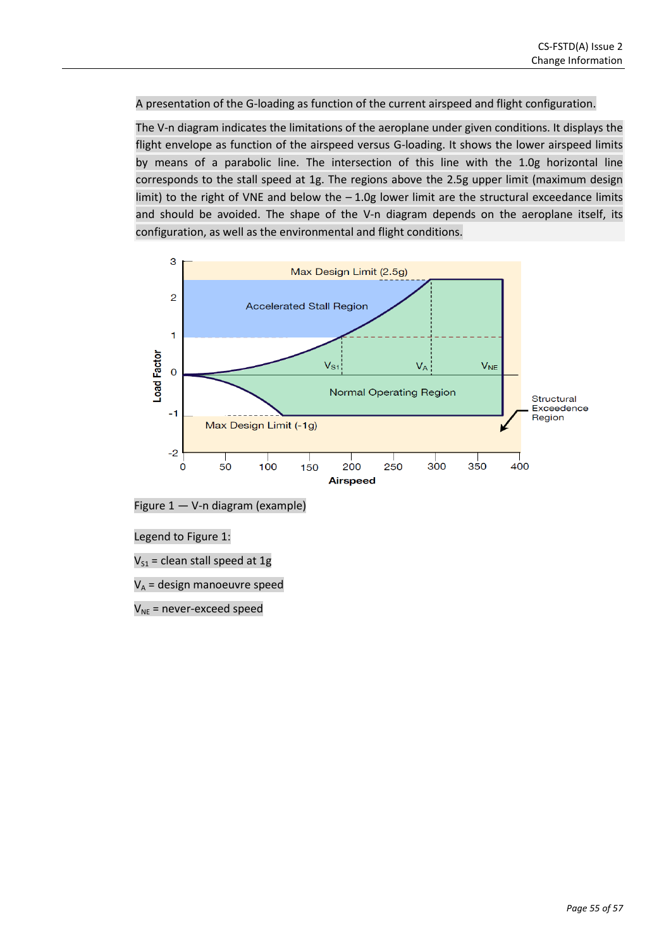### A presentation of the G-loading as function of the current airspeed and flight configuration.

The V-n diagram indicates the limitations of the aeroplane under given conditions. It displays the flight envelope as function of the airspeed versus G-loading. It shows the lower airspeed limits by means of a parabolic line. The intersection of this line with the 1.0g horizontal line corresponds to the stall speed at 1g. The regions above the 2.5g upper limit (maximum design limit) to the right of VNE and below the  $-1.0g$  lower limit are the structural exceedance limits and should be avoided. The shape of the V-n diagram depends on the aeroplane itself, its configuration, as well as the environmental and flight conditions.



Figure 1 — V-n diagram (example)

Legend to Figure 1:

 $V_{S1}$  = clean stall speed at 1g

 $V_A$  = design manoeuvre speed

 $V_{NE}$  = never-exceed speed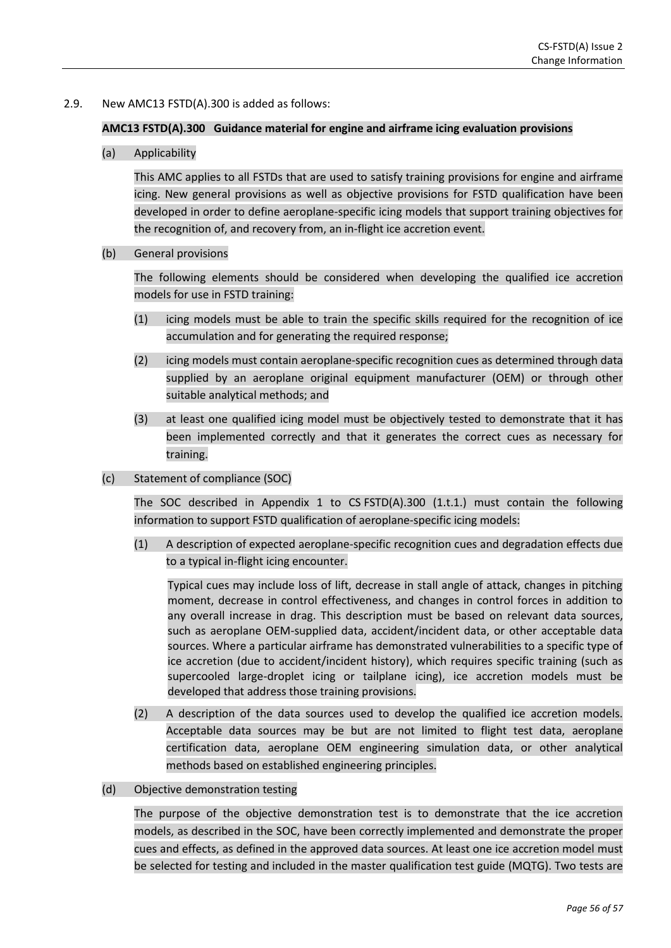### 2.9. New AMC13 FSTD(A).300 is added as follows:

#### **AMC13 FSTD(A).300 Guidance material for engine and airframe icing evaluation provisions**

(a) Applicability

This AMC applies to all FSTDs that are used to satisfy training provisions for engine and airframe icing. New general provisions as well as objective provisions for FSTD qualification have been developed in order to define aeroplane-specific icing models that support training objectives for the recognition of, and recovery from, an in-flight ice accretion event.

(b) General provisions

The following elements should be considered when developing the qualified ice accretion models for use in FSTD training:

- (1) icing models must be able to train the specific skills required for the recognition of ice accumulation and for generating the required response;
- (2) icing models must contain aeroplane-specific recognition cues as determined through data supplied by an aeroplane original equipment manufacturer (OEM) or through other suitable analytical methods; and
- (3) at least one qualified icing model must be objectively tested to demonstrate that it has been implemented correctly and that it generates the correct cues as necessary for training.
- (c) Statement of compliance (SOC)

The SOC described in Appendix 1 to  $CS$  FSTD(A).300 (1.t.1.) must contain the following information to support FSTD qualification of aeroplane-specific icing models:

(1) A description of expected aeroplane-specific recognition cues and degradation effects due to a typical in-flight icing encounter.

Typical cues may include loss of lift, decrease in stall angle of attack, changes in pitching moment, decrease in control effectiveness, and changes in control forces in addition to any overall increase in drag. This description must be based on relevant data sources, such as aeroplane OEM-supplied data, accident/incident data, or other acceptable data sources. Where a particular airframe has demonstrated vulnerabilities to a specific type of ice accretion (due to accident/incident history), which requires specific training (such as supercooled large-droplet icing or tailplane icing), ice accretion models must be developed that address those training provisions.

- (2) A description of the data sources used to develop the qualified ice accretion models. Acceptable data sources may be but are not limited to flight test data, aeroplane certification data, aeroplane OEM engineering simulation data, or other analytical methods based on established engineering principles.
- (d) Objective demonstration testing

The purpose of the objective demonstration test is to demonstrate that the ice accretion models, as described in the SOC, have been correctly implemented and demonstrate the proper cues and effects, as defined in the approved data sources. At least one ice accretion model must be selected for testing and included in the master qualification test guide (MQTG). Two tests are